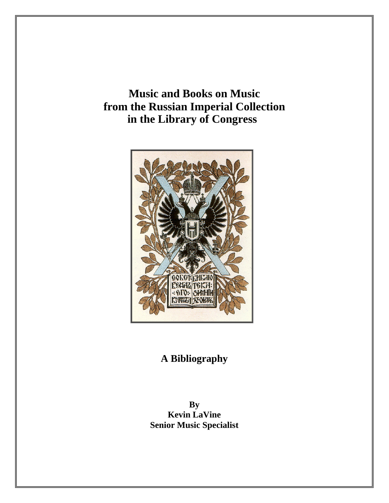**Music and Books on Music from the Russian Imperial Collection in the Library of Congress** 



# **A Bibliography**

**By Kevin LaVine Senior Music Specialist**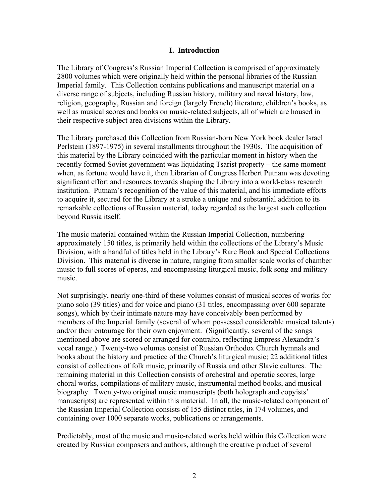# **I. Introduction**

The Library of Congress's Russian Imperial Collection is comprised of approximately 2800 volumes which were originally held within the personal libraries of the Russian Imperial family. This Collection contains publications and manuscript material on a diverse range of subjects, including Russian history, military and naval history, law, religion, geography, Russian and foreign (largely French) literature, children's books, as well as musical scores and books on music-related subjects, all of which are housed in their respective subject area divisions within the Library.

The Library purchased this Collection from Russian-born New York book dealer Israel Perlstein (1897-1975) in several installments throughout the 1930s. The acquisition of this material by the Library coincided with the particular moment in history when the recently formed Soviet government was liquidating Tsarist property – the same moment when, as fortune would have it, then Librarian of Congress Herbert Putnam was devoting significant effort and resources towards shaping the Library into a world-class research institution. Putnam's recognition of the value of this material, and his immediate efforts to acquire it, secured for the Library at a stroke a unique and substantial addition to its remarkable collections of Russian material, today regarded as the largest such collection beyond Russia itself.

The music material contained within the Russian Imperial Collection, numbering approximately 150 titles, is primarily held within the collections of the Library's Music Division, with a handful of titles held in the Library's Rare Book and Special Collections Division. This material is diverse in nature, ranging from smaller scale works of chamber music to full scores of operas, and encompassing liturgical music, folk song and military music.

Not surprisingly, nearly one-third of these volumes consist of musical scores of works for piano solo (39 titles) and for voice and piano (31 titles, encompassing over 600 separate songs), which by their intimate nature may have conceivably been performed by members of the Imperial family (several of whom possessed considerable musical talents) and/or their entourage for their own enjoyment. (Significantly, several of the songs mentioned above are scored or arranged for contralto, reflecting Empress Alexandra's vocal range.) Twenty-two volumes consist of Russian Orthodox Church hymnals and books about the history and practice of the Church's liturgical music; 22 additional titles consist of collections of folk music, primarily of Russia and other Slavic cultures. The remaining material in this Collection consists of orchestral and operatic scores, large choral works, compilations of military music, instrumental method books, and musical biography. Twenty-two original music manuscripts (both holograph and copyists' manuscripts) are represented within this material. In all, the music-related component of the Russian Imperial Collection consists of 155 distinct titles, in 174 volumes, and containing over 1000 separate works, publications or arrangements.

Predictably, most of the music and music-related works held within this Collection were created by Russian composers and authors, although the creative product of several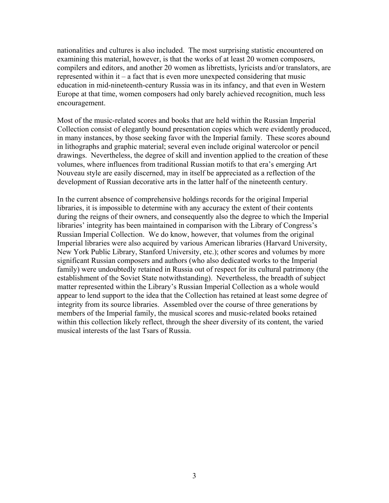nationalities and cultures is also included. The most surprising statistic encountered on examining this material, however, is that the works of at least 20 women composers, compilers and editors, and another 20 women as librettists, lyricists and/or translators, are represented within it – a fact that is even more unexpected considering that music education in mid-nineteenth-century Russia was in its infancy, and that even in Western Europe at that time, women composers had only barely achieved recognition, much less encouragement.

Most of the music-related scores and books that are held within the Russian Imperial Collection consist of elegantly bound presentation copies which were evidently produced, in many instances, by those seeking favor with the Imperial family. These scores abound in lithographs and graphic material; several even include original watercolor or pencil drawings. Nevertheless, the degree of skill and invention applied to the creation of these volumes, where influences from traditional Russian motifs to that era's emerging Art Nouveau style are easily discerned, may in itself be appreciated as a reflection of the development of Russian decorative arts in the latter half of the nineteenth century.

In the current absence of comprehensive holdings records for the original Imperial libraries, it is impossible to determine with any accuracy the extent of their contents during the reigns of their owners, and consequently also the degree to which the Imperial libraries' integrity has been maintained in comparison with the Library of Congress's Russian Imperial Collection. We do know, however, that volumes from the original Imperial libraries were also acquired by various American libraries (Harvard University, New York Public Library, Stanford University, etc.); other scores and volumes by more significant Russian composers and authors (who also dedicated works to the Imperial family) were undoubtedly retained in Russia out of respect for its cultural patrimony (the establishment of the Soviet State notwithstanding). Nevertheless, the breadth of subject matter represented within the Library's Russian Imperial Collection as a whole would appear to lend support to the idea that the Collection has retained at least some degree of integrity from its source libraries. Assembled over the course of three generations by members of the Imperial family, the musical scores and music-related books retained within this collection likely reflect, through the sheer diversity of its content, the varied musical interests of the last Tsars of Russia.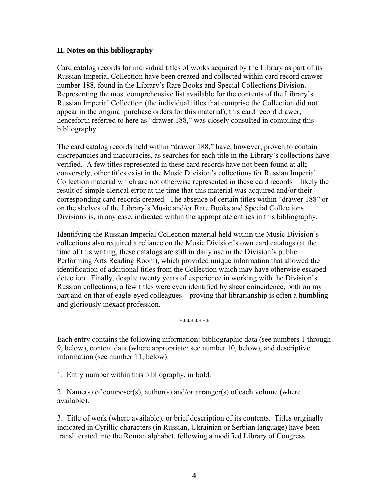# **II. Notes on this bibliography**

Card catalog records for individual titles of works acquired by the Library as part of its Russian Imperial Collection have been created and collected within card record drawer number 188, found in the Library's Rare Books and Special Collections Division. Representing the most comprehensive list available for the contents of the Library's Russian Imperial Collection (the individual titles that comprise the Collection did not appear in the original purchase orders for this material), this card record drawer, henceforth referred to here as "drawer 188," was closely consulted in compiling this bibliography.

The card catalog records held within "drawer 188," have, however, proven to contain discrepancies and inaccuracies, as searches for each title in the Library's collections have verified. A few titles represented in these card records have not been found at all; conversely, other titles exist in the Music Division's collections for Russian Imperial Collection material which are not otherwise represented in these card records—likely the result of simple clerical error at the time that this material was acquired and/or their corresponding card records created. The absence of certain titles within "drawer 188" or on the shelves of the Library's Music and/or Rare Books and Special Collections Divisions is, in any case, indicated within the appropriate entries in this bibliography.

Identifying the Russian Imperial Collection material held within the Music Division's collections also required a reliance on the Music Division's own card catalogs (at the time of this writing, these catalogs are still in daily use in the Division's public Performing Arts Reading Room), which provided unique information that allowed the identification of additional titles from the Collection which may have otherwise escaped detection. Finally, despite twenty years of experience in working with the Division's Russian collections, a few titles were even identified by sheer coincidence, both on my part and on that of eagle-eyed colleagues—proving that librarianship is often a humbling and gloriously inexact profession.

#### \*\*\*\*\*\*\*\*

Each entry contains the following information: bibliographic data (see numbers 1 through 9, below), content data (where appropriate; see number 10, below), and descriptive information (see number 11, below).

1. Entry number within this bibliography, in bold.

2. Name(s) of composer(s), author(s) and/or arranger(s) of each volume (where available).

3. Title of work (where available), or brief description of its contents. Titles originally indicated in Cyrillic characters (in Russian, Ukrainian or Serbian language) have been transliterated into the Roman alphabet, following a modified Library of Congress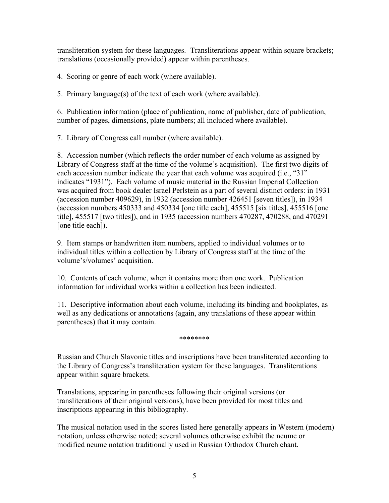transliteration system for these languages. Transliterations appear within square brackets; translations (occasionally provided) appear within parentheses.

4. Scoring or genre of each work (where available).

5. Primary language(s) of the text of each work (where available).

6. Publication information (place of publication, name of publisher, date of publication, number of pages, dimensions, plate numbers; all included where available).

7. Library of Congress call number (where available).

8. Accession number (which reflects the order number of each volume as assigned by Library of Congress staff at the time of the volume's acquisition). The first two digits of each accession number indicate the year that each volume was acquired (i.e., "31" indicates "1931"). Each volume of music material in the Russian Imperial Collection was acquired from book dealer Israel Perlstein as a part of several distinct orders: in 1931 (accession number 409629), in 1932 (accession number 426451 [seven titles]), in 1934 (accession numbers 450333 and 450334 [one title each], 455515 [six titles], 455516 [one title], 455517 [two titles]), and in 1935 (accession numbers 470287, 470288, and 470291 [one title each]).

9. Item stamps or handwritten item numbers, applied to individual volumes or to individual titles within a collection by Library of Congress staff at the time of the volume's/volumes' acquisition.

10. Contents of each volume, when it contains more than one work. Publication information for individual works within a collection has been indicated.

11. Descriptive information about each volume, including its binding and bookplates, as well as any dedications or annotations (again, any translations of these appear within parentheses) that it may contain.

\*\*\*\*\*\*\*\*

Russian and Church Slavonic titles and inscriptions have been transliterated according to the Library of Congress's transliteration system for these languages. Transliterations appear within square brackets.

Translations, appearing in parentheses following their original versions (or transliterations of their original versions), have been provided for most titles and inscriptions appearing in this bibliography.

The musical notation used in the scores listed here generally appears in Western (modern) notation, unless otherwise noted; several volumes otherwise exhibit the neume or modified neume notation traditionally used in Russian Orthodox Church chant.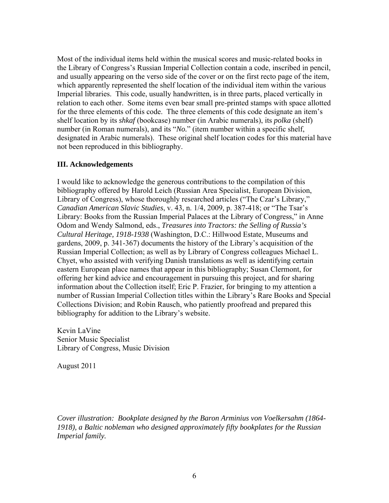Most of the individual items held within the musical scores and music-related books in the Library of Congress's Russian Imperial Collection contain a code, inscribed in pencil, and usually appearing on the verso side of the cover or on the first recto page of the item, which apparently represented the shelf location of the individual item within the various Imperial libraries. This code, usually handwritten, is in three parts, placed vertically in relation to each other. Some items even bear small pre-printed stamps with space allotted for the three elements of this code. The three elements of this code designate an item's shelf location by its *shkaf* (bookcase) number (in Arabic numerals), its *polka* (shelf) number (in Roman numerals), and its "*No.*" (item number within a specific shelf, designated in Arabic numerals). These original shelf location codes for this material have not been reproduced in this bibliography.

# **III. Acknowledgements**

I would like to acknowledge the generous contributions to the compilation of this bibliography offered by Harold Leich (Russian Area Specialist, European Division, Library of Congress), whose thoroughly researched articles ("The Czar's Library," *Canadian American Slavic Studies*, v. 43, n. 1/4, 2009, p. 387-418; or "The Tsar's Library: Books from the Russian Imperial Palaces at the Library of Congress," in Anne Odom and Wendy Salmond, eds., *Treasures into Tractors: the Selling of Russia's Cultural Heritage, 1918-1938* (Washington, D.C.: Hillwood Estate, Museums and gardens, 2009, p. 341-367) documents the history of the Library's acquisition of the Russian Imperial Collection; as well as by Library of Congress colleagues Michael L. Chyet, who assisted with verifying Danish translations as well as identifying certain eastern European place names that appear in this bibliography; Susan Clermont, for offering her kind advice and encouragement in pursuing this project, and for sharing information about the Collection itself; Eric P. Frazier, for bringing to my attention a number of Russian Imperial Collection titles within the Library's Rare Books and Special Collections Division; and Robin Rausch, who patiently proofread and prepared this bibliography for addition to the Library's website.

Kevin LaVine Senior Music Specialist Library of Congress, Music Division

August 2011

*Cover illustration: Bookplate designed by the Baron Arminius von Voelkersahm (1864- 1918), a Baltic nobleman who designed approximately fifty bookplates for the Russian Imperial family.*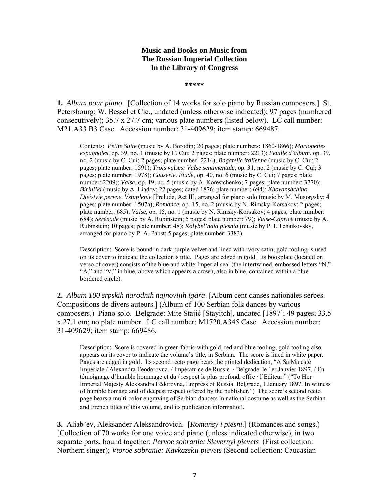# **Music and Books on Music from The Russian Imperial Collection In the Library of Congress**

**\*\*\*\*\*** 

**1.** *Album pour piano*. [Collection of 14 works for solo piano by Russian composers.] St. Petersbourg: W. Bessel et Cie., undated (unless otherwise indicated); 97 pages (numbered consecutively); 35.7 x 27.7 cm; various plate numbers (listed below). LC call number: M21.A33 B3 Case. Accession number: 31-409629; item stamp: 669487.

 Contents: *Petite Suite* (music by A. Borodin; 20 pages; plate numbers: 1860-1866); *Marionettes espagnoles,* op. 39, no. 1 (music by C. Cui; 2 pages; plate number: 2213); *Feuille d'album*, op. 39, no. 2 (music by C. Cui; 2 pages; plate number: 2214); *Bagatelle italienne* (music by C. Cui; 2 pages; plate number: 1591); *Trois valses: Valse sentimentale*, op. 31, no. 2 (music by C. Cui; 3 pages; plate number: 1978); *Causerie. Étude*, op. 40, no. 6 (music by C. Cui; 7 pages; plate number: 2209); *Valse*, op. 19, no. 5 (music by A. Korestchenko; 7 pages; plate number: 3770); *Biriul'ki* (music by A. Liadov; 22 pages; dated 1876; plate number: 694); *Khovanshchina. Dieistvie pervoe. Vstuplenie* [Prelude, Act II], arranged for piano solo (music by M. Musorgsky; 4 pages; plate number: 1507a); *Romance*, op. 15, no. 2 (music by N. Rimsky-Korsakov; 2 pages; plate number: 685); *Valse*, op. 15, no. 1 (music by N. Rimsky-Korsakov; 4 pages; plate number: 684); *Sérénade* (music by A. Rubinstein; 5 pages; plate number: 79); *Valse-Caprice* (music by A. Rubinstein; 10 pages; plate number: 48); *Kolybel'naia piesnia* (music by P. I. Tchaikovsky, arranged for piano by P. A. Pabst; 5 pages; plate number: 3383).

Description: Score is bound in dark purple velvet and lined with ivory satin; gold tooling is used on its cover to indicate the collection's title. Pages are edged in gold. Its bookplate (located on verso of cover) consists of the blue and white Imperial seal (the intertwined, embossed letters "N," "A," and "V," in blue, above which appears a crown, also in blue, contained within a blue bordered circle).

**2.** *Album 100 srpskih narodnih najnovijih igara*. [Album cent danses nationales serbes. Compositions de divers auteurs.] (Album of 100 Serbian folk dances by various composers.) Piano solo. Belgrade: Mite Stajić [Stayitch], undated [1897]; 49 pages; 33.5 x 27.1 cm; no plate number. LC call number: M1720.A345 Case. Accession number: 31-409629; item stamp: 669486.

Description: Score is covered in green fabric with gold, red and blue tooling; gold tooling also appears on its cover to indicate the volume's title, in Serbian. The score is lined in white paper. Pages are edged in gold. Its second recto page bears the printed dedication, "A Sa Majesté Impériale / Alexandra Feodorovna, / Impératrice de Russie. / Belgrade, le 1er Janvier 1897. / En témoignage d'humble hommage et du / respect le plus profond, offre / l'Editeur." ("To Her Imperial Majesty Aleksandra Fëdorovna, Empress of Russia. Belgrade, 1 January 1897. In witness of humble homage and of deepest respect offered by the publisher.") The score's second recto page bears a multi-color engraving of Serbian dancers in national costume as well as the Serbian and French titles of this volume, and its publication information.

**3.** Aliab'ev, Aleksander Aleksandrovich. [*Romansy i piesni*.] (Romances and songs.) [Collection of 70 works for one voice and piano (unless indicated otherwise), in two separate parts, bound together: *Pervoe sobranie: Sievernyi pievets* (First collection: Northern singer); *Vtoroe sobranie: Kavkazskii pievets* (Second collection: Caucasian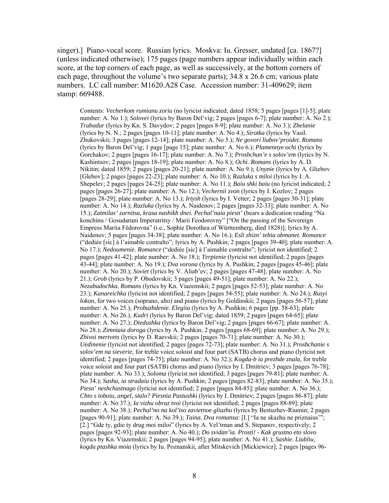singer).] Piano-vocal score. Russian lyrics. Moskva: Iu. Gresser, undated [ca. 1867?] (unless indicated otherwise); 175 pages (page numbers appear individually within each score, at the top corners of each page, as well as successively, at the bottom corners of each page, throughout the volume's two separate parts); 34.8 x 26.6 cm; various plate numbers. LC call number: M1620.A28 Case. Accession number: 31-409629; item stamp: 669488.

Contents: *Vecherkom rumianu zoriu* (no lyricist indicated; dated 1858; 5 pages [pages [1]-5]; plate number: A. No 1.); *Solovei* (lyrics by Baron Del'vig; 2 pages [pages 6-7]; plate number: A. No 2.); *Trubadur* (lyrics by Kn. S. Davydov; 2 pages [pages 8-9]; plate number: A. No 3.); *Zhelanie* (lyrics by N. N.; 2 pages [pages 10-11]; plate number: A. No 4.); *Sirotka* (lyrics by Vasil. Zhukovskii; 3 pages [pages 12-14]; plate number: A. No 5.); *Ne govori liubov'proidet. Romans*  (lyrics by Baron Del'vig; 1 page [page 15]; plate number: A. No 6.); *Plamennye ochi* (lyrics by Gorchakov; 2 pages [pages 16-17]; plate number: A. No 7.); *Proshchan'e s solov'em* (lyrics by N. Kashintsov; 2 pages [pages 18-19]; plate number: A. No 8.); *Ochi. Romans* (lyrics by A. D. Nikitin; dated 1859; 2 pages [pages 20-21]; plate number: A. No 9.); *Unynie* (lyrics by A. Gliebov [Glebov]; 2 pages [pages 22-23]; plate number: A. No 10.); *Razluka s miloi* (lyrics by I. A. Shepelev; 2 pages [pages 24-25]; plate number: A. No 11.); *Baiu shki baiu* (no lyricist indicated; 2 pages [pages 26-27]; plate number: A. No 12.); *Vechernii zvon* (lyrics by I. Kozlov; 2 pages [pages 28-29]; plate number: A. No 13.); *Irtysh* (lyrics by I. Vetter; 2 pages [pages 30-31]; plate number: A. No 14.); *Razluka* (lyrics by A. Naidenov; 2 pages [pages 32-33]; plate number: A. No 15.); *Zatmilas' zarnitsa, krasa nashikh dnei. Pechal'naia piesn'* (bears a dedication reading "Na konchinu / Gosudaruni Imperatritsy / Marii Feodorovny" ["On the passing of the Sovereign Empress Mariia Fëdorovna" (i.e., Sophie Dorothea of Württemberg, died 1828)]; lyrics by A. Naidenov; 5 pages [pages 34-38]; plate number: A. No 16.); *Esli zhizn' tebia obmanet. Romance*  ("dediée [sic] à l'aimable contralto"; lyrics by A. Pushkin; 2 pages [pages 39-40]; plate number: A. No 17.); *Nedoumenie. Romance* ("dediée [sic] à l'aimable contralto"; lyricist not identified; 2 pages [pages 41-42]; plate number: A. No 18.); *Terpienie* (lyricist not identified; 2 pages [pages 43-44]; plate number: A. No 19.); *Dva vorona* (lyrics by A. Pushkin; 2 pages [pages 45-46]; plate number: A. No 20.); *Soviet* (lyrics by V. Aliab'ev; 2 pages [pages 47-48]; plate number: A. No 21.); *Grob* (lyrics by P. Obodovskii; 3 pages [pages 49-51]; plate number: A. No 22.); *Nezabudochka. Romans* (lyrics by Kn. Viazemskii; 2 pages [pages 52-53]; plate number: A. No 23.); *Kanareichka* (lyricist not identified; 2 pages [pages 54-55]; plate number: A. No 24.); *Rusyi lokon*, for two voices (soprano, alto) and piano (lyrics by Goldinskii; 2 pages [pages 56-57]; plate number: A. No 25.); *Probuzhdenie. Elegiia* (lyrics by A. Pushkin; 6 pages [pp. 58-63]; plate number: A. No 26.); *Kudri* (lyrics by Baron Del'vig; dated 1859; 2 pages [pages 64-65]; plate number: A. No 27.); *Diedushka* (lyrics by Baron Del'vig; 2 pages [pages 66-67]; plate number: A. No 28.); *Zimniaia doroga* (lyrics by A. Pushkin; 2 pages [pages 68-69]; plate number: A. No 29.); *Zhivoi mertvets* (lyrics by D. Raevskii; 2 pages [pages 70-71]; plate number: A. No 30.); *Uedinenie* (lyricist not identified; 2 pages [pages 72-73]; plate number: A. No 31.); *Proshchanie s solov'em na sieverie*, for treble voice soloist and four part (SATB) chorus and piano (lyricist not identified; 2 pages [pages 74-75]; plate number: A. No 32.); *Kogda-b ia prezhde znala*, for treble voice soloist and four part (SATB) chorus and piano (lyrics by I. Dmitriev; 3 pages [pages 76-78]; plate number: A. No 33.); *Soloma* (lyricist not identified; 3 pages [pages 79-81]; plate number: A. No 34.); *Sasha, ia stradaiu* (lyrics by A. Pushkin; 2 pages [pages 82-83]; plate number: A. No 35.); *Piesn' neshchastnago* (lyricist not identified; 2 pages [pages 84-85]; plate number: A. No 36.); *Chto s toboiu, angel, stalo? Piesnia Pastushki* (lyrics by I. Dmitriev; 2 pages [pages 86-87]; plate number: A. No 37.); *Ia vizhu obraz tvoi* (lyricist not identified; 2 pages [pages 88-89]; plate number: A. No 38.); *Pechal'no na kol'tso zavietnoe gliazhu* (lyrics by Bestuzhev-Riumin; 2 pages [pages 90-91]; plate number: A. No 39.); *Taina. Dva romansa*: [I.] "Ia ne skazhu ne priznaius'"; [2.] "Gde ty, gdie ty drug moi miloi" (lyrics by A. Vel'tman and S. Stepanov, respectively; 2 pages [pages 92-93]; plate number: A. No 40.); *Do svidan'ia. Prosti! - Kak grustno eto slovo* (lyrics by Kn. Viazemskii; 2 pages [pages 94-95]; plate number: A. No 41.); *Sashie. Liubliu, kogda ptashka moia* (lyrics by Iu. Poznanskii, after Mitskevich [Mickiewicz]; 2 pages [pages 96-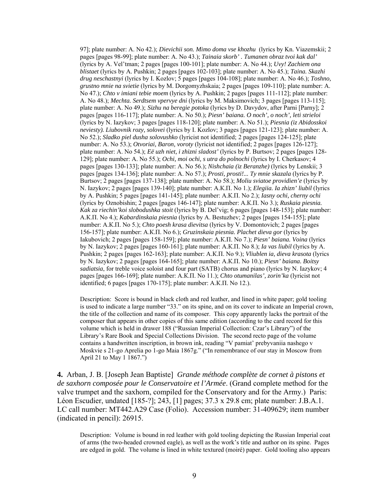97]; plate number: A. No 42.); *Dievichii son. Mimo doma vse khozhu* (lyrics by Kn. Viazemskii; 2 pages [pages 98-99]; plate number: A. No 43.); *Tainaia skorb' . Tumanen obraz tvoi kak dal'*  (lyrics by A. Vel'tman; 2 pages [pages 100-101]; plate number: A. No 44.); *Uvy! Zachiem ona blistaet* (lyrics by A. Pushkin; 2 pages [pages 102-103]; plate number: A. No 45.); *Taina. Skazhi drug neschastnyi* (lyrics by I. Kozlov; 5 pages [pages 104-108]; plate number: A. No 46.); *Toshno, grustno mnie na svietie* (lyrics by M. Dorgomyzhskaia; 2 pages [pages 109-110]; plate number: A. No 47.); *Chto v imiani tebie moem* (lyrics by A. Pushkin; 2 pages [pages 111-112]; plate number: A. No 48.); *Mechta. Serdtsem vpervye dni* (lyrics by M. Maksimovich; 3 pages [pages 113-115]; plate number: A. No 49.); *Sizhu na beregie potoka* (lyrics by D. Davydov, after Parni [Parny]; 2 pages [pages 116-117]; plate number: A. No 50.); *Piesn' baiana. O noch', o noch', leti strieloi*  (lyrics by N. Iazykov; 3 pages [pages 118-120]; plate number: A. No 51.); *Piesnia (iz Abidosskoi neviesty). Liubovnik rozy, solovei* (lyrics by I. Kozlov; 3 pages [pages 121-123]; plate number: A. No 52.); *Sladko piel dusha solovushko* (lyricist not identified; 2 pages [pages 124-125]; plate number: A. No 53.); *Otvoriai, Baron, voroty* (lyricist not identified; 2 pages [pages 126-127]; plate number: A. No 54.); *Eë uzh niet, i zhizni sladost'* (lyrics by P. Burtsov; 2 pages [pages 128- 129]; plate number: A. No 55.); *Ochi, moi ochi, s utra do polnochi* (lyrics by I. Cherkasov; 4 pages [pages 130-133]; plate number: A. No 56.); *Nishchaia (iz Beranzhe)* (lyrics by Lenskii; 3 pages [pages 134-136]; plate number: A. No 57.); *Prosti, prosti!... Ty mnie skazala* (lyrics by P. Burtsov; 2 pages [pages 137-138]; plate number: A. No 58.); *Moliu sviatoe providien'e* (lyrics by N. Iazykov; 2 pages [pages 139-140]; plate number: А.К.П. No 1.); *Elegiia. Ia zhizn' liubil* (lyrics by A. Pushkin; 5 pages [pages 141-145]; plate number: А.К.П. No 2.); *Iasny ochi, cherny ochi*  (lyrics by Oznobishin; 2 pages [pages 146-147]; plate number: А.К.П. No 3.); *Ruskaia piesnia. Kak za riechin'koi slobodushka stoit* (lyrics by B. Del'vig; 6 pages [pages 148-153]; plate number: А.К.П. No 4.); *Kabardinskaia piesnia* (lyrics by A. Bestuzhev; 2 pages [pages 154-155]; plate number: А.К.П. No 5.); *Chto poesh krasa dievitsa* (lyrics by V. Domontovich; 2 pages [pages 156-157]; plate number: А.К.П. No 6.); *Gruzinskaia piesnia. Plachet dieva gor* (lyrics by Iakubovich; 2 pages [pages 158-159]; plate number: А.К.П. No 7.); *Piesn' baiana. Voina* (lyrics by N. Iazykov; 2 pages [pages 160-161]; plate number: А.К.П. No 8.); *Ia vas liubil* (lyrics by A. Pushkin; 2 pages [pages 162-163]; plate number: А.К.П. No 9.); *Vliublen ia, dieva krasota* (lyrics by N. Iazykov; 2 pages [pages 164-165]; plate number: А.К.П. No 10.); *Piesn' baiana. Boitsy sadiatsia*, for treble voice soloist and four part (SATB) chorus and piano (lyrics by N. Iazykov; 4 pages [pages 166-169]; plate number: А.К.П. No 11.); *Chto otumanilas', zorin'ka* (lyricist not identified; 6 pages [pages 170-175]; plate number: А.К.П. No 12.).

Description: Score is bound in black cloth and red leather, and lined in white paper; gold tooling is used to indicate a large number "33." on its spine, and on its cover to indicate an Imperial crown, the title of the collection and name of its composer. This copy apparently lacks the portrait of the composer that appears in other copies of this same edition (according to the card record for this volume which is held in drawer 188 ("Russian Imperial Collection: Czar's Library") of the Library's Rare Book and Special Collections Division. The second recto page of the volume contains a handwritten inscription, in brown ink, reading "V pamiat' prebyvaniia nashego v Moskvie s 21-go Aprelia po 1-go Maia 1867g." ("In remembrance of our stay in Moscow from April 21 to May 1 1867.")

**4.** Arban, J. B. [Joseph Jean Baptiste] *Grande méthode complète de cornet à pistons et de saxhorn composée pour le Conservatoire et l'Armée*. (Grand complete method for the valve trumpet and the saxhorn, compiled for the Conservatory and for the Army.) Paris: Léon Escudier, undated [185-?]; 243, [1] pages; 37.3 x 29.8 cm; plate number: J.B.A.1. LC call number: MT442.A29 Case (Folio). Accession number: 31-409629; item number (indicated in pencil): 26915.

Description: Volume is bound in red leather with gold tooling depicting the Russian Imperial coat of arms (the two-headed crowned eagle), as well as the work's title and author on its spine. Pages are edged in gold. The volume is lined in white textured (moiré) paper. Gold tooling also appears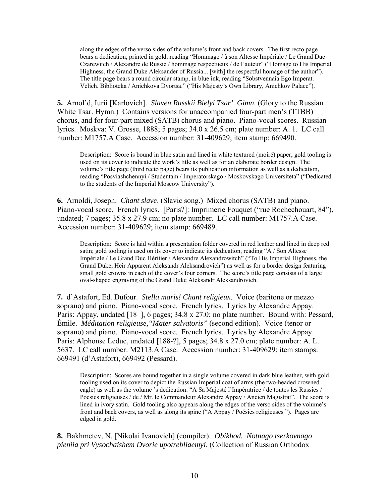along the edges of the verso sides of the volume's front and back covers. The first recto page bears a dedication, printed in gold, reading "Hommage / à son Altesse Impériale / Le Grand Duc Czarewitch / Alexandre de Russie / hommage respectueux / de l'auteur" ("Homage to His Imperial Highness, the Grand Duke Aleksander of Russia... [with] the respectful homage of the author"). The title page bears a round circular stamp, in blue ink, reading "Sobstvennaia Ego Imperat. Velich. Biblioteka / Anichkova Dvortsa." ("His Majesty's Own Library, Anichkov Palace").

**5.** Arnol'd, Iurii [Karlovich]. *Slaven Russkii Bielyi Tsar'. Gimn*. (Glory to the Russian White Tsar. Hymn.) Contains versions for unaccompanied four-part men's (TTBB) chorus, and for four-part mixed (SATB) chorus and piano. Piano-vocal scores. Russian lyrics. Moskva: V. Grosse, 1888; 5 pages; 34.0 x 26.5 cm; plate number: A. 1. LC call number: M1757.A Case. Accession number: 31-409629; item stamp: 669490.

Description: Score is bound in blue satin and lined in white textured (moiré) paper; gold tooling is used on its cover to indicate the work's title as well as for an elaborate border design. The volume's title page (third recto page) bears its publication information as well as a dedication, reading "Posviashchennyi / Studentam / Imperatorskago / Moskovskago Universiteta" ("Dedicated to the students of the Imperial Moscow University").

**6.** Arnoldi, Joseph. *Chant slave*. (Slavic song.) Mixed chorus (SATB) and piano. Piano-vocal score. French lyrics. [Paris?]: Imprimerie Fouquet ("rue Rochechouart, 84"), undated; 7 pages; 35.8 x 27.9 cm; no plate number. LC call number: M1757.A Case. Accession number: 31-409629; item stamp: 669489.

Description: Score is laid within a presentation folder covered in red leather and lined in deep red satin; gold tooling is used on its cover to indicate its dedication, reading " $\hat{A}$  / Son Altesse Impériale / Le Grand Duc Héritier / Alexandre Alexandrowitch" ("To His Imperial Highness, the Grand Duke, Heir Apparent Aleksandr Aleksandrovich") as well as for a border design featuring small gold crowns in each of the cover's four corners. The score's title page consists of a large oval-shaped engraving of the Grand Duke Aleksandr Aleksandrovich.

**7.** d'Astafort, Ed. Dufour. *Stella maris! Chant religieux*. Voice (baritone or mezzo soprano) and piano. Piano-vocal score. French lyrics. Lyrics by Alexandre Appay. Paris: Appay, undated [18–], 6 pages; 34.8 x 27.0; no plate number. Bound with: Pessard, Émile. *Méditation religieuse,"Mater salvatoris"* (second edition). Voice (tenor or soprano) and piano. Piano-vocal score. French lyrics. Lyrics by Alexandre Appay. Paris: Alphonse Leduc, undated [188-?], 5 pages; 34.8 x 27.0 cm; plate number: A. L. 5637. LC call number: M2113.A Case. Accession number: 31-409629; item stamps: 669491 (d'Astafort), 669492 (Pessard).

Description: Scores are bound together in a single volume covered in dark blue leather, with gold tooling used on its cover to depict the Russian Imperial coat of arms (the two-headed crowned eagle) as well as the volume 's dedication: "A Sa Majesté l'Impératrice / de toutes les Russies / Poésies religieuses / de / Mr. le Commandeur Alexandre Appay / Ancien Magistrat". The score is lined in ivory satin. Gold tooling also appears along the edges of the verso sides of the volume's front and back covers, as well as along its spine ("A Appay / Poésies religieuses "). Pages are edged in gold.

**8.** Bakhmetev, N. [Nikolai Ivanovich] (compiler). *Obikhod. Notnago tserkovnago pieniia pri Vysochaishem Dvorie upotrebliaemyi*. (Collection of Russian Orthodox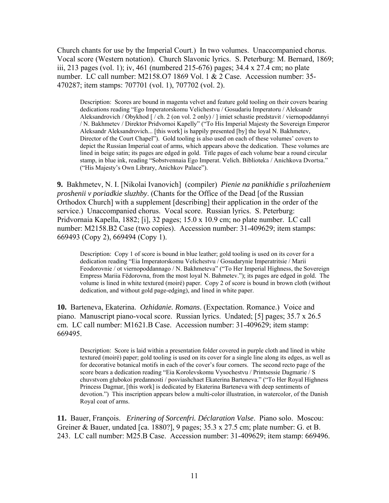Church chants for use by the Imperial Court.) In two volumes. Unaccompanied chorus. Vocal score (Western notation). Church Slavonic lyrics. S. Peterburg: M. Bernard, 1869; iii, 213 pages (vol. 1); iv, 461 (numbered 215-676) pages; 34.4 x 27.4 cm; no plate number. LC call number: M2158.O7 1869 Vol. 1 & 2 Case. Accession number: 35- 470287; item stamps: 707701 (vol. 1), 707702 (vol. 2).

Description: Scores are bound in magenta velvet and feature gold tooling on their covers bearing dedications reading "Ego Imperatorskomu Velichestvu / Gosudariu Imperatoru / Aleksandr Aleksandrovich / Obykhod [ / ch. 2 (on vol. 2 only) / ] imiet schastie predstavit / viernopoddannyi / N. Bakhmetev / Direktor Pridvornoi Kapelly" ("To His Imperial Majesty the Sovereign Emperor Aleksandr Aleksandrovich... [this work] is happily presented [by] the loyal N. Bakhmetev, Director of the Court Chapel"). Gold tooling is also used on each of these volumes' covers to depict the Russian Imperial coat of arms, which appears above the dedication. These volumes are lined in beige satin; its pages are edged in gold. Title pages of each volume bear a round circular stamp, in blue ink, reading "Sobstvennaia Ego Imperat. Velich. Biblioteka / Anichkova Dvortsa." ("His Majesty's Own Library, Anichkov Palace").

**9.** Bakhmetev, N. I. [Nikolai Ivanovich] (compiler) *Pienie na panikhidie s prilozheniem proshenii v poriadkie sluzhby*. (Chants for the Office of the Dead [of the Russian Orthodox Church] with a supplement [describing] their application in the order of the service.) Unaccompanied chorus. Vocal score. Russian lyrics. S. Peterburg: Pridvornaia Kapella, 1882; [i], 32 pages; 15.0 x 10.9 cm; no plate number. LC call number: M2158.B2 Case (two copies). Accession number: 31-409629; item stamps: 669493 (Copy 2), 669494 (Copy 1).

Description: Copy 1 of score is bound in blue leather; gold tooling is used on its cover for a dedication reading "Eia Imperatorskomu Velichestvu / Gosudarynie Imperatritsie / Marii Feodorovnie / ot viernopoddannago / N. Bakhmeteva" ("To Her Imperial Highness, the Sovereign Empress Mariia Fëdorovna, from the most loyal N. Bahmetev."); its pages are edged in gold. The volume is lined in white textured (moiré) paper. Copy 2 of score is bound in brown cloth (without dedication, and without gold page-edging), and lined in white paper.

**10.** Barteneva, Ekaterina. *Ozhidanie. Romans*. (Expectation. Romance.) Voice and piano. Manuscript piano-vocal score. Russian lyrics. Undated; [5] pages; 35.7 x 26.5 cm. LC call number: M1621.B Case. Accession number: 31-409629; item stamp: 669495.

Description: Score is laid within a presentation folder covered in purple cloth and lined in white textured (moiré) paper; gold tooling is used on its cover for a single line along its edges, as well as for decorative botanical motifs in each of the cover's four corners. The second recto page of the score bears a dedication reading "Eia Korolevskomu Vysochestvu / Printsessie Dagmarie / S chuvstvom glubokoi predannosti / posviashchaet Ekaterina Barteneva." ("To Her Royal Highness Princess Dagmar, [this work] is dedicated by Ekaterina Barteneva with deep sentiments of devotion.") This inscription appears below a multi-color illustration, in watercolor, of the Danish Royal coat of arms.

**11.** Bauer, François. *Erinering of Sorcenfri. Déclaration Valse*. Piano solo. Moscou: Greiner & Bauer, undated [ca. 1880?], 9 pages; 35.3 x 27.5 cm; plate number: G. et B. 243. LC call number: M25.B Case. Accession number: 31-409629; item stamp: 669496.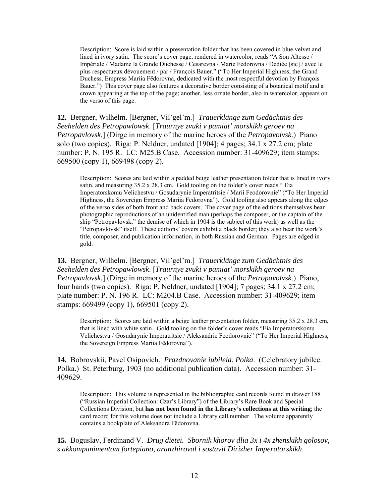Description: Score is laid within a presentation folder that has been covered in blue velvet and lined in ivory satin. The score's cover page, rendered in watercolor, reads "A Son Altesse / Impériale / Madame la Grande Duchesse / Cesarevna / Marie Fedorovna / Dediée [sic] / avec le plus respectueux dévouement / par / François Bauer." ("To Her Imperial Highness, the Grand Duchess, Empress Mariia Fëdorovna, dedicated with the most respectful devotion by François Bauer.") This cover page also features a decorative border consisting of a botanical motif and a crown appearing at the top of the page; another, less ornate border, also in watercolor, appears on the verso of this page.

**12.** Bergner, Wilhelm. [Bergner, Vil'gel'm.] *Trauerklänge zum Gedächtnis des Seehelden des Petropawlowsk*. [*Traurnye zvuki v pamiat' morskikh geroev na Petropavlovsk.*] (Dirge in memory of the marine heroes of the *Petropavolvsk*.) Piano solo (two copies). Riga: P. Neldner, undated [1904]; 4 pages; 34.1 x 27.2 cm; plate number: P. N. 195 R. LC: M25.B Case. Accession number: 31-409629; item stamps: 669500 (copy 1), 669498 (copy 2).

Description: Scores are laid within a padded beige leather presentation folder that is lined in ivory satin, and measuring 35.2 x 28.3 cm. Gold tooling on the folder's cover reads " Eia Imperatorskomu Velichestvu / Gosudarynie Imperatritsie / Marii Feodorovnie" ("To Her Imperial Highness, the Sovereign Empress Mariia Fëdorovna"). Gold tooling also appears along the edges of the verso sides of both front and back covers. The cover page of the editions themselves bear photographic reproductions of an unidentified man (perhaps the composer, or the captain of the ship "Petropavlovsk," the demise of which in 1904 is the subject of this work) as well as the "Petropavlovsk" itself. These editions' covers exhibit a black border; they also bear the work's title, composer, and publication information, in both Russian and German. Pages are edged in gold.

**13.** Bergner, Wilhelm. [Bergner, Vil'gel'm.] *Trauerklänge zum Gedächtnis des Seehelden des Petropawlowsk*. [*Traurnye zvuki v pamiat' morskikh geroev na Petropavlovsk.*] (Dirge in memory of the marine heroes of the *Petropavolvsk*.) Piano, four hands (two copies). Riga: P. Neldner, undated [1904]; 7 pages; 34.1 x 27.2 cm; plate number: P. N. 196 R. LC: M204.B Case. Accession number: 31-409629; item stamps: 669499 (copy 1), 669501 (copy 2).

Description: Scores are laid within a beige leather presentation folder, measuring 35.2 x 28.3 cm, that is lined with white satin. Gold tooling on the folder's cover reads "Eia Imperatorskomu Velichestvu / Gosudarynie Imperatritsie / Aleksandrie Feodorovnie" ("To Her Imperial Highness, the Sovereign Empress Mariia Fëdorovna").

**14.** Bobrovskii, Pavel Osipovich. *Prazdnovanie iubileia. Polka*. (Celebratory jubilee. Polka.) St. Peterburg, 1903 (no additional publication data). Accession number: 31- 409629.

Description: This volume is represented in the bibliographic card records found in drawer 188 ("Russian Imperial Collection: Czar's Library") of the Library's Rare Book and Special Collections Division, but **has not been found in the Library's collections at this writing**; the card record for this volume does not include a Library call number. The volume apparently contains a bookplate of Aleksandra Fëdorovna.

**15.** Boguslav, Ferdinand V. *Drug dietei. Sbornik khorov dlia 3x i 4x zhenskikh golosov, s akkompanimentom fortepiano, aranzhiroval i sostavil Dirizher Imperatorskikh*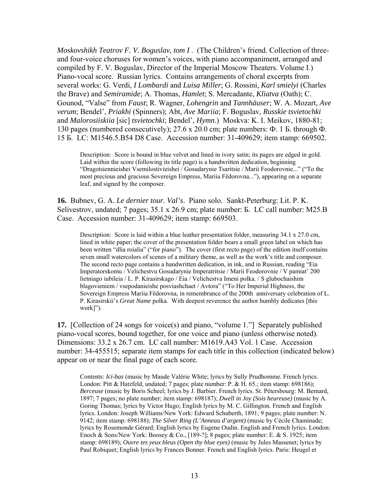*Moskovshikh Teatrov F. V. Boguslav, tom I* . (The Children's friend. Collection of threeand four-voice choruses for women's voices, with piano accompaniment, arranged and compiled by F. V. Boguslav, Director of the Imperial Moscow Theaters. Volume I.) Piano-vocal score. Russian lyrics. Contains arrangements of choral excerpts from several works: G. Verdi, *I Lombardi* and *Luisa Miller*; G. Rossini, *Karl smielyi* (Charles the Brave) and *Semiramide*; A. Thomas, *Hamlet*; S. Mercadante, *Kliatva* (Oath); C. Gounod, "Valse" from *Faust*; R. Wagner, *Lohengrin* and *Tannhäuser*; W. A. Mozart, *Ave verum*; Bendel', *Priakhi* (Spinners); Abt, *Ave Mariia*; F. Boguslav, *Russkie tsvietochki*  and *Malorosiiskiia* [sic] *tsvietochki*; Bendel', *Hymn*.) Moskva: K. I. Meikov, 1880-81; 130 pages (numbered consecutively); 27.6 x 20.0 cm; plate numbers: Ф. 1 Б. through Ф. 15 Б. LC: M1546.5.B54 D8 Case. Accession number: 31-409629; item stamp: 669502.

Description: Score is bound in blue velvet and lined in ivory satin; its pages are edged in gold. Laid within the score (following its title page) is a handwritten dedication, beginning "Dragotsiennieishei Vsemilostivieishei / Gosudarynie Tsaritsie / Marii Feodorovnie..." ("To the most precious and gracious Sovereign Empress, Mariia Fëdorovna..."), appearing on a separate leaf, and signed by the composer.

**16.** Bubnev, G. A. *Le dernier tour. Val's*. Piano solo. Sankt-Peterburg: Lit. P. K. Selivestrov, undated; 7 pages; 35.1 x 26.9 cm; plate number: Б. LC call number: M25.B Case. Accession number: 31-409629; item stamp: 669503.

Description: Score is laid within a blue leather presentation folder, measuring 34.1 x 27.0 cm, lined in white paper; the cover of the presentation folder bears a small green label on which has been written "dlia roialia" ("for piano"). The cover (first recto page) of the edition itself contains seven small watercolors of scenes of a military theme, as well as the work's title and composer. The second recto page contains a handwritten dedication, in ink, and in Russian, reading "Eia Imperatorskomu / Velichestvu Gosudarynie Imperatritsie / Marii Feodorovnie / V pamiat' 200 lietniago iubileia / L. P. Kirasirskago / Eia / Velichestva Imeni polka. / S glubochaishim blagovieniem / vsepodanieishe posviashchaet / Avtora" ("To Her Imperial Highness, the Sovereign Empress Mariia Fëdorovna, in remembrance of the 200th anniversary celebration of L. P. Kirasirskii's *Great Name* polka. With deepest reverence the author humbly dedicates [this work]").

**17.** [Collection of 24 songs for voice(s) and piano, "volume 1."] Separately published piano-vocal scores, bound together, for one voice and piano (unless otherwise noted). Dimensions: 33.2 x 26.7 cm. LC call number: M1619.A43 Vol. 1 Case. Accession number: 34-455515; separate item stamps for each title in this collection (indicated below) appear on or near the final page of each score.

 Contents: *Ici-bas* (music by Maude Valérie White; lyrics by Sully Prudhomme. French lyrics. London: Pitt & Hatzfeld, undated; 7 pages; plate number: P. & H. 65.; item stamp: 698186); *Berceuse* (music by Boris Scheel; lyrics by J. Barbier. French lyrics. St. Pétersbourg: M. Bernard, 1897; 7 pages; no plate number; item stamp: 698187); *Dwell in Joy (Sois heureuse)* (music by A. Goring Thomas; lyrics by Victor Hugo; English lyrics by M. C. Gillington. French and English lyrics. London: Joseph Williams/New York: Edward Schuberth, 1891; 9 pages; plate number: N. 9142; item stamp: 698188); *The Silver Ring (L'Anneau d'argent)* (music by Cécile Chaminade; lyrics by Rosemonde Gérard; English lyrics by Eugene Oudin. English and French lyrics. London: Enoch & Sons/New York: Boosey & Co., [189-?]; 8 pages; plate number: E. & S. 1925; item stamp: 698189); *Ouvre tes yeux bleus (Open thy blue eyes)* (music by Jules Massenet; lyrics by Paul Robiquet; English lyrics by Frances Bonner. French and English lyrics. Paris: Heugel et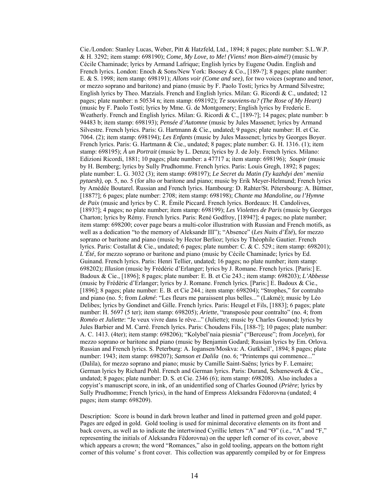Cie./London: Stanley Lucas, Weber, Pitt & Hatzfeld, Ltd., 1894; 8 pages; plate number: S.L.W.P. & H. 3292; item stamp: 698190); *Come, My Love, to Me! (Viens! mon Bien-aimé!)* (music by Cécile Chaminade; lyrics by Armand Lafrique; English lyrics by Eugene Oudin. English and French lyrics. London: Enoch & Sons/New York: Boosey & Co., [189-?]: 8 pages; plate number: E. & S. 1998; item stamp: 698191); *Allons voir (Come and see)*, for two voices (soprano and tenor, or mezzo soprano and baritone) and piano (music by F. Paolo Tosti; lyrics by Armand Silvestre; English lyrics by Theo. Marzials. French and English lyrics. Milan: G. Ricordi & C., undated; 12 pages; plate number: n 50534 n; item stamp: 698192); *Te souviens-tu? (The Rose of My Heart)*  (music by F. Paolo Tosti; lyrics by Mme. G. de Montgomery; English lyrics by Frederic E. Weatherly. French and English lyrics. Milan: G. Ricordi & C., [189-?]; 14 pages; plate number: b 94483 b; item stamp: 698193); *Pensée d'Automne* (music by Jules Massenet; lyrics by Armand Silvestre. French lyrics. Paris: G. Hartmann & Cie., undated; 9 pages; plate number: H. et Cie. 7064. (2); item stamp: 698194); *Les Enfants* (music by Jules Massenet; lyrics by Georges Boyer. French lyrics. Paris: G. Hartmann & Cie., undated; 8 pages; plate number: G. H. 1316. (1); item stamp: 698195); *À un Portrait* (music by L. Denza; lyrics by J. de Joly. French lyrics. Milano: Edizioni Ricordi, 1881; 10 pages; plate number: a 47717 a; item stamp: 698196); *Soupir* (music by H. Bemberg; lyrics by Sully Prudhomme. French lyrics. Paris: Louis Gregh, 1892; 8 pages; plate number: L. G. 3032 (3); item stamp: 698197); *Le Secret du Matin (Ty kazhdyi den' meniia pytaesh)*, op. 5, no. 5 (for alto or baritone and piano; music by Erik Meyer-Helmund; French lyrics by Amédée Boutarel. Russian and French lyrics. Hambourg: D. Rahter/St. Pétersbourg: A. Büttner, [1887?]; 6 pages; plate number: 2708; item stamp: 698198); *Chante ma Mandoline, ou l'Hymne de Paix* (music and lyrics by C. R. Émile Piccard. French lyrics. Bordeaux: H. Candolives, [1893?]; 4 pages; no plate number; item stamp: 698199); *Les Violettes de Paris* (music by Georges Charton; lyrics by Rémy. French lyrics. Paris: René Godfroy, [1894?]; 4 pages; no plate number; item stamp: 698200; cover page bears a multi-color illustration with Russian and French motifs, as well as a dedication "to the memory of Aleksandr III"); "Absence" (*Les Nuits d'Été*), for mezzo soprano or baritone and piano (music by Hector Berlioz; lyrics by Théophile Gautier. French lyrics. Paris: Costallat & Cie., undated; 6 pages; plate number: C. & C. 529.; item stamp: 698201); *L'Été*, for mezzo soprano or baritone and piano (music by Cécile Chaminade; lyrics by Ed. Guinand. French lyrics. Paris: Henri Tellier, undated; 16 pages; no plate number; item stamp: 698202); *Illusion* (music by Frédéric d'Erlanger; lyrics by J. Romane. French lyrics. [Paris:] E. Badoux & Cie., [1896]; 8 pages; plate number: E. B. et Cie 243.; item stamp: 698203); *L'Abbesse* (music by Frédéric d'Erlanger; lyrics by J. Romane. French lyrics. [Paris:] E. Badoux & Cie., [1896]; 8 pages; plate number: E. B. et Cie 244.; item stamp: 698204); "Strophes," for contralto and piano (no. 5; from *Lakmé*: "Les fleurs me paraissent plus belles..." (Lakmé); music by Léo Delibes; lyrics by Gondinet and Gille. French lyrics. Paris: Heugel et Fils, [1883]; 6 pages; plate number: H. 5697 (5 ter); item stamp: 698205); *Ariette*, "transposée pour contralto" (no. 4; from *Roméo et Juliette*: "Je veux vivre dans le rêve..." (Juliette); music by Charles Gounod; lyrics by Jules Barbier and M. Carré. French lyrics. Paris: Choudens Fils, [188-?]; 10 pages; plate number: A. C. 1413. (4ter); item stamp: 698206); "Kolybel'naia piesnia" ("Berceuse"; from *Jocelyn*), for mezzo soprano or baritone and piano (music by Benjamin Godard; Russian lyrics by Em. Orlova. Russian and French lyrics. S. Peterburg: A. Iogansen/Moskva: A. Gutkheil', 1894; 8 pages; plate number: 1943; item stamp: 698207); *Samson et Dalila* (no. 6; "Printemps qui commence..." (Dalila), for mezzo soprano and piano; music by Camille Saint-Saëns; lyrics by F. Lemaire; German lyrics by Richard Pohl. French and German lyrics. Paris: Durand, Schœnewerk & Cie., undated; 8 pages; plate number: D. S. et Cie. 2346 (6); item stamp: 698208). Also includes a copyist's manuscript score, in ink, of an unidentified song of Charles Gounod (*Prière*; lyrics by Sully Prudhomme; French lyrics), in the hand of Empress Aleksandra Fëdorovna (undated; 4 pages; item stamp: 698209).

Description: Score is bound in dark brown leather and lined in patterned green and gold paper. Pages are edged in gold. Gold tooling is used for minimal decorative elements on its front and back covers, as well as to indicate the intertwined Cyrillic letters "A" and "Ө" (i.e., "A" and "F," representing the initials of Aleksandra Fëdorovna) on the upper left corner of its cover, above which appears a crown; the word "Romances," also in gold tooling, appears on the bottom right corner of this volume' s front cover. This collection was apparently compiled by or for Empress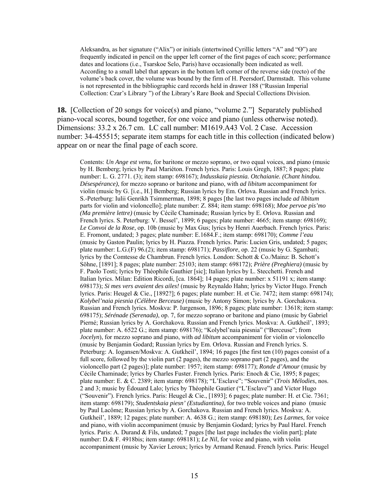Aleksandra, as her signature ("Alix") or initials (intertwined Cyrillic letters "A" and "Ө") are frequently indicated in pencil on the upper left corner of the first pages of each score; performance dates and locations (i.e., Tsarskoe Selo, Paris) have occasionally been indicated as well. According to a small label that appears in the bottom left corner of the reverse side (recto) of the volume's back cover, the volume was bound by the firm of H. Peersdorf, Darmstadt. This volume is not represented in the bibliographic card records held in drawer 188 ("Russian Imperial Collection: Czar's Library ") of the Library's Rare Book and Special Collections Division.

**18.** [Collection of 20 songs for voice(s) and piano, "volume 2."] Separately published piano-vocal scores, bound together, for one voice and piano (unless otherwise noted). Dimensions: 33.2 x 26.7 cm. LC call number: M1619.A43 Vol. 2 Case. Accession number: 34-455515; separate item stamps for each title in this collection (indicated below) appear on or near the final page of each score.

Contents: *Un Ange est venu*, for baritone or mezzo soprano, or two equal voices, and piano (music by H. Bemberg; lyrics by Paul Mariéton. French lyrics. Paris: Louis Gregh, 1887; 8 pages; plate number: L. G. 2771. (3); item stamp: 698167); *Indusskaia piesnia. Otchaianie. (Chant hindou. Désespérance)*, for mezzo soprano or baritone and piano, with *ad libitum* accompaniment for violin (music by G. [i.e., H.] Bemberg; Russian lyrics by Em. Orlova. Russian and French lyrics. S.-Peterburg: Iulii Genrikh Tsimmerman, 1898; 8 pages [the last two pages include *ad libitum*  parts for violin and violoncello]; plate number: Z. 884; item stamp: 698168); *Moe pervoe pis'mo (Ma première lettre)* (music by Cécile Chaminade; Russian lyrics by E. Orlova. Russian and French lyrics. S. Peterburg: V. Bessel', 1899; 6 pages; plate number: 4665; item stamp: 698169); *Le Convoi de la Rose*, op. 10b (music by Max Gus; lyrics by Henri Auerbach. French lyrics. Paris: E. Fromont, undated; 3 pages; plate number: E.1684.F.; item stamp: 698170); *Comme l'eau*  (music by Gaston Paulin; lyrics by H. Piazza. French lyrics. Paris: Lucien Gris, undated; 5 pages; plate number: L.G.(F) 96.(2); item stamp: 698171); *Passiflore*, op. 22 (music by G. Sgambati; lyrics by the Comtesse de Chambrun. French lyrics. London: Schott & Co./Mainz: B. Schott's Söhne, [1891]; 8 pages; plate number: 25103; item stamp: 698172); *Prière (Preghiera)* (music by F. Paolo Tosti; lyrics by Théophile Gauthier [sic]; Italian lyrics by L. Stecchetti. French and Italian lyrics. Milan: Edition Ricordi, [ca. 1864]; 14 pages; plate number: x 51191 x; item stamp: 698173); *Si mes vers avaient des ailes!* (music by Reynaldo Hahn; lyrics by Victor Hugo. French lyrics. Paris: Heugel & Cie., [1892?]; 6 pages; plate number: H. et Cie. 7472; item stamp: 698174); *Kolybel'naia piesnia (Célèbre Berceuse)* (music by Antony Simon; lyrics by A. Gorchakova. Russian and French lyrics. Moskva: P. Iurgenson, 1896; 8 pages; plate number: 13618; item stamp: 698175); *Sérénade (Serenada)*, op. 7, for mezzo soprano or baritone and piano (music by Gabriel Pierné; Russian lyrics by A. Gorchakova. Russian and French lyrics. Moskva: A. Gutkheil', 1893; plate number: A. 6522 G.; item stamp: 698176); "Kolybel'naia piesnia" ("Berceuse"; from *Jocelyn*), for mezzo soprano and piano, with *ad libitum* accompaniment for violin or violoncello (music by Benjamin Godard; Russian lyrics by Em. Orlova. Russian and French lyrics. S. Peterburg: A. Iogansen/Moskva: A. Gutkheil', 1894; 16 pages [the first ten (10) pages consist of a full score, followed by the violin part (2 pages), the mezzo soprano part (2 pages), and the violoncello part (2 pages)]; plate number: 1957; item stamp: 698177); *Ronde d'Amour* (music by Cécile Chaminade; lyrics by Charles Fuster. French lyrics. Paris: Enoch & Cie, 1895; 8 pages; plate number: E. & C. 2389; item stamp: 698178); "L'Esclave"; "Souvenir" (*Trois Mélodies*, nos. 2 and 3; music by Édouard Lalo; lyrics by Théophile Gautier ("L'Esclave") and Victor Hugo ("Souvenir"). French lyrics. Paris: Heugel & Cie., [1893]; 6 pages; plate number: H. et Cie. 7361; item stamp: 698179); *Studentskaia piesn' (Estudiantina)*, for two treble voices and piano (music by Paul Lacôme; Russian lyrics by A. Gorchakova. Russian and French lyrics. Moskva: A. Gutkheil', 1889; 12 pages; plate number: A. 4638 G.; item stamp: 698180); *Les Larmes*, for voice and piano, with violin accompaniment (music by Benjamin Godard; lyrics by Paul Harel. French lyrics. Paris: A. Durand & Fils, undated; 7 pages [the last page includes the violin part]; plate number: D.& F. 4918bis; item stamp: 698181); *Le Nil*, for voice and piano, with violin accompaniment (music by Xavier Leroux; lyrics by Armand Renaud. French lyrics. Paris: Heugel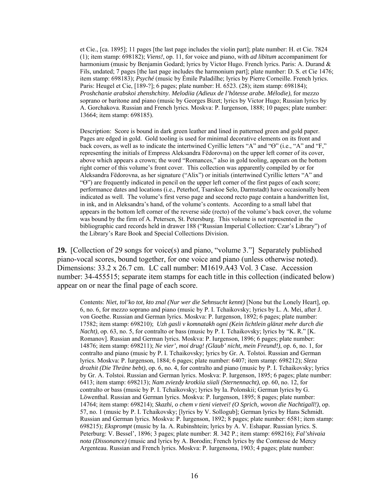et Cie., [ca. 1895]; 11 pages [the last page includes the violin part]; plate number: H. et Cie. 7824 (1); item stamp: 698182); *Viens!*, op. 11, for voice and piano, with *ad libitum* accompaniment for harmonium (music by Benjamin Godard; lyrics by Victor Hugo. French lyrics. Paris: A. Durand & Fils, undated; 7 pages [the last page includes the harmonium part]; plate number: D. S. et Cie 1476; item stamp: 698183); *Psyché* (music by Émile Paladilhe; lyrics by Pierre Corneille. French lyrics. Paris: Heugel et Cie, [189-?]; 6 pages; plate number: H. 6523. (28); item stamp: 698184); *Proshchanie arabskoi zhenshchiny. Melodiia (Adieux de l'hôtesse arabe. Mélodie)*, for mezzo soprano or baritone and piano (music by Georges Bizet; lyrics by Victor Hugo; Russian lyrics by A. Gorchakova. Russian and French lyrics. Moskva: P. Iurgenson, 1888; 10 pages; plate number: 13664; item stamp: 698185).

Description: Score is bound in dark green leather and lined in patterned green and gold paper. Pages are edged in gold. Gold tooling is used for minimal decorative elements on its front and back covers, as well as to indicate the intertwined Cyrillic letters "A" and "Ө" (i.e., "A" and "F," representing the initials of Empress Aleksandra Fëdorovna) on the upper left corner of its cover, above which appears a crown; the word "Romances," also in gold tooling, appears on the bottom right corner of this volume's front cover. This collection was apparently compiled by or for Aleksandra Fëdorovna, as her signature ("Alix") or initials (intertwined Cyrillic letters "A" and "Ө") are frequently indicated in pencil on the upper left corner of the first pages of each score; performance dates and locations (i.e., Peterhof, Tsarskoe Selo, Darmstadt) have occasionally been indicated as well. The volume's first verso page and second recto page contain a handwritten list, in ink, and in Aleksandra's hand, of the volume's contents. According to a small label that appears in the bottom left corner of the reverse side (recto) of the volume's back cover, the volume was bound by the firm of A. Petersen, St. Petersburg. This volume is not represented in the bibliographic card records held in drawer 188 ("Russian Imperial Collection: Czar's Library") of the Library's Rare Book and Special Collections Division.

**19.** [Collection of 29 songs for voice(s) and piano, "volume 3."] Separately published piano-vocal scores, bound together, for one voice and piano (unless otherwise noted). Dimensions: 33.2 x 26.7 cm. LC call number: M1619.A43 Vol. 3 Case. Accession number: 34-455515; separate item stamps for each title in this collection (indicated below) appear on or near the final page of each score.

Contents: *Niet, tol'ko tot, kto znal (Nur wer die Sehnsucht kennt)* [None but the Lonely Heart], op. 6, no. 6, for mezzo soprano and piano (music by P. I. Tchaikovsky; lyrics by L. A. Mei, after J. von Goethe. Russian and German lyrics. Moskva: P. Iurgenson, 1892; 6 pages; plate number: 17582; item stamp: 698210); *Uzh gasli v komnatakh ogni (Kein lichtlein glänzt mehr durch die Nacht)*, op. 63, no. 5, for contralto or bass (music by P. I. Tchaikovsky; lyrics by "K. R." [K. Romanov]. Russian and German lyrics. Moskva: P. Iurgenson, 1896; 6 pages; plate number: 14876; item stamp: 698211); *Ne vier', moi drug! (Glaub' nicht, mein Freund!)*, op. 6, no. 1, for contralto and piano (music by P. I. Tchaikovsky; lyrics by Gr. A. Tolstoi. Russian and German lyrics. Moskva: P. Iurgenson, 1884; 6 pages; plate number: 6407; item stamp: 698212); *Sleza drozhit (Die Thräne bebt)*, op. 6, no. 4, for contralto and piano (music by P. I. Tchaikovsky; lyrics by Gr. A. Tolstoi. Russian and German lyrics. Moskva: P. Iurgenson, 1895; 6 pages; plate number: 6413; item stamp: 698213); *Nam zviezdy krotkiia siiali (Sternennacht)*, op. 60, no. 12, for contralto or bass (music by P. I. Tchaikovsky; lyrics by Ia. Polonskii; German lyrics by G. Löwenthal. Russian and German lyrics. Moskva: P. Iurgenson, 1895; 8 pages; plate number: 14764; item stamp: 698214); *Skazhi, o chem v tieni vietvei! (O Sprich, wovon die Nachtigall!)*, op. 57, no. 1 (music by P. I. Tchaikovsky; [lyrics by V. Sollogub]; German lyrics by Hans Schmidt. Russian and German lyrics. Moskva: P. Iurgenson, 1892; 8 pages; plate number: 6581; item stamp: 698215); *Eksprompt* (music by Ia. A. Rubinshtein; lyrics by A. V. Eshapar. Russian lyrics. S. Peterburg: V. Bessel', 1896; 3 pages; plate number: Я. 342 P.; item stamp: 698216); *Fal'shivaia nota (Dissonance)* (music and lyrics by A. Borodin; French lyrics by the Comtesse de Mercy Argenteau. Russian and French lyrics. Moskva: P. Iurgensona, 1903; 4 pages; plate number: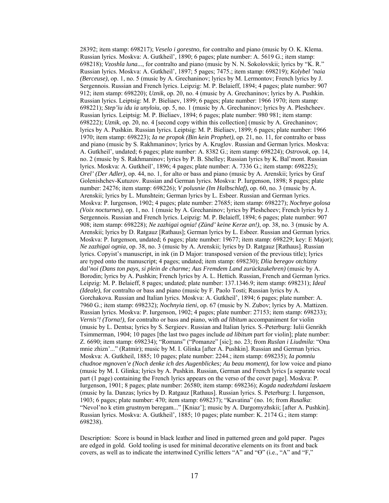28392; item stamp: 698217); *Veselo i gorestno*, for contralto and piano (music by O. K. Klema. Russian lyrics. Moskva: A. Gutkheil', 1890; 6 pages; plate number: A. 5619 G.; item stamp: 698218); *Vzoshla luna...*, for contralto and piano (music by N. N. Sokolovskii; lyrics by "K. R." Russian lyrics. Moskva: A. Gutkheil', 1897; 5 pages; 7475.; item stamp: 698219); *Kolybel 'naia (Berceuse)*, op. 1, no. 5 (music by A. Grechaninov; lyrics by M. Lermontov; French lyrics by J. Sergennois. Russian and French lyrics. Leipzig: M. P. Belaieff, 1894; 4 pages; plate number: 907 912; item stamp: 698220); *Uznik*, op. 20, no. 4 (music by A. Grechaninov; lyrics by A. Pushkin. Russian lyrics. Leiptsig: M. P. Bieliaev, 1899; 6 pages; plate number: 1966 1970; item stamp: 698221); *Step'iu idu ia unyloiu*, op. 5, no. 1 (music by A. Grechaninov; lyrics by A. Pleshcheev. Russian lyrics. Leiptsig: M. P. Bieliaev, 1894; 6 pages; plate number: 980 981; item stamp: 698222); *Uznik*, op. 20, no. 4 [second copy within this collection] (music by A. Grechaninov; lyrics by A. Pushkin. Russian lyrics. Leiptsig: M. P. Bieliaev, 1899; 6 pages; plate number: 1966 1970; item stamp: 698223); *Ia ne propok (Bin kein Prophet)*, op. 21, no. 11, for contralto or bass and piano (music by S. Rakhmaninov; lyrics by A. Kruglov. Russian and German lyrics. Moskva: A. Gutkheil', undated; 6 pages; plate number: A. 8382 G.; item stamp: 698224); *Ostrovok*, op. 14, no. 2 (music by S. Rakhmaninov; lyrics by P. B. Shelley; Russian lyrics by K. Bal'mont. Russian lyrics. Moskva: A. Gutkheil', 1896; 4 pages; plate number: A. 7336 G.; item stamp: 698225); *Orel' (Der Adler)*, op. 44, no. 1, for alto or bass and piano (music by A. Arenskii; lyrics by Graf Golenishchev-Kutuzov. Russian and German lyrics. Moskva: P. Iurgenson, 1898; 8 pages; plate number: 24276; item stamp: 698226); *V polusnie (Im Halbschlaf)*, op. 60, no. 3 (music by A. Arenskii; lyrics by L. Munshtein; German lyrics by L. Esbeer. Russian and German lyrics. Moskva: P. Iurgenson, 1902; 4 pages; plate number: 27685; item stamp: 698227); *Nochnye golosa (Voix nocturnes)*, op. 1, no. 1 (music by A. Grechaninov; lyrics by Pleshcheev; French lyrics by J. Sergennois. Russian and French lyrics. Leipzig: M. P. Belaieff, 1894; 6 pages; plate number: 907 908; item stamp: 698228); *Ne zazhigai ognia! (Zünd' keine Kerze an!)*, op. 38, no. 3 (music by A. Arenskii; lyrics by D. Ratgauz [Rathaus]; German lyrics by L. Esbeer. Russian and German lyrics. Moskva: P. Iurgenson, undated; 6 pages; plate number: 19677; item stamp: 698229; key: E Major); *Ne zazhigai ognia*, op. 38, no. 3 (music by A. Arenskii; lyrics by D. Ratgauz [Rathaus]. Russian lyrics. Copyist's manuscript, in ink (in D Major: transposed version of the previous title); lyrics are typed onto the manuscript; 4 pages; undated; item stamp: 698230); *Dlia beregov otchizny dal'noi (Dans ton pays, si plein de charme; Aus Fremdem Land zurückzukehren)* (music by A. Borodin; lyrics by A. Pushkin; French lyrics by A. L. Hettich. Russian, French and German lyrics. Leipzig: M. P. Belaieff, 8 pages; undated; plate number: 137.1346.9; item stamp: 698231); *Ideal (Ideale)*, for contralto or bass and piano (music by F. Paolo Tosti; Russian lyrics by A. Gorchakova. Russian and Italian lyrics. Moskva: A. Gutkheil', 1894; 6 pages; plate number: A. 7960 G.; item stamp: 698232); *Nochnyia tieni*, op. 67 (music by N. Zubov; lyrics by A. Mattizen. Russian lyrics. Moskva: P. Iurgenson, 1902; 4 pages; plate number: 27153; item stamp: 698233); *Vernis'! (Torna!)*, for contralto or bass and piano, with *ad libitum* accompaniment for violin (music by L. Dentsa; lyrics by S. Sergieev. Russian and Italian lyrics. S.-Peterburg: Iulii Genrikh Tsimmerman, 1904; 10 pages [the last two pages include *ad libitum* part for violin]; plate number: Z. 6690; item stamp: 698234); "Romans" ("Pomanze" [sic]; no. 23; from *Ruslan i Liudmila*: "Ona mnie zhizn'..." (Ratmir); music by M. I. Glinka [after A. Pushkin]. Russian and German lyrics. Moskva: A. Gutkheil, 1885; 10 pages; plate number: 2244.; item stamp: 698235); *Ia pomniu chudnoe mgnoven'e (Noch denke ich des Augenblickes; Au beau moment)*, for low voice and piano (music by M. I. Glinka; lyrics by A. Pushkin. Russian, German and French lyrics [a separate vocal part (1 page) containing the French lyrics appears on the verso of the cover page]. Moskva: P. Iurgenson, 1901; 8 pages; plate number: 26580; item stamp: 698236); *Kogda nadezhdami laskaem*  (music by Ia. Danzas; lyrics by D. Ratgauz [Rathaus]. Russian lyrics. S. Peterburg: I. Iurgenson, 1903; 6 pages; plate number: 470; item stamp: 698237); "Kavatina" (no. 16; from *Rusalka*: "Nevol'no k etim grustnym beregam..." [Kniaz']; music by A. Dargomyzhskii; [after A. Pushkin]. Russian lyrics. Moskva: A. Gutkheil', 1885; 10 pages; plate number: K. 2174 G.; item stamp: 698238).

Description: Score is bound in black leather and lined in patterned green and gold paper. Pages are edged in gold. Gold tooling is used for minimal decorative elements on its front and back covers, as well as to indicate the intertwined Cyrillic letters "A" and "Ө" (i.e., "A" and "F,"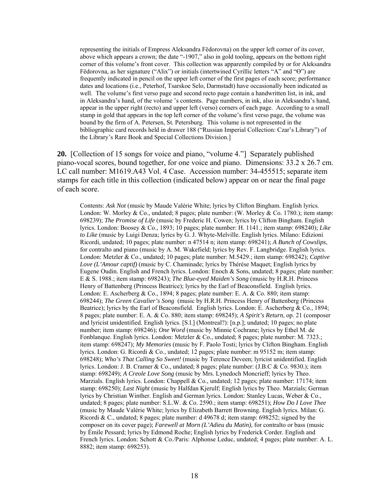representing the initials of Empress Aleksandra Fëdorovna) on the upper left corner of its cover, above which appears a crown; the date "-1907," also in gold tooling, appears on the bottom right corner of this volume's front cover. This collection was apparently compiled by or for Aleksandra Fëdorovna, as her signature ("Alix") or initials (intertwined Cyrillic letters "A" and "Ө") are frequently indicated in pencil on the upper left corner of the first pages of each score; performance dates and locations (i.e., Peterhof, Tsarskoe Selo, Darmstadt) have occasionally been indicated as well. The volume's first verso page and second recto page contain a handwritten list, in ink, and in Aleksandra's hand, of the volume 's contents. Page numbers, in ink, also in Aleksandra's hand, appear in the upper right (recto) and upper left (verso) corners of each page. According to a small stamp in gold that appears in the top left corner of the volume's first verso page, the volume was bound by the firm of A. Petersen, St. Petersburg. This volume is not represented in the bibliographic card records held in drawer 188 ("Russian Imperial Collection: Czar's Library") of the Library's Rare Book and Special Collections Division.]

**20.** [Collection of 15 songs for voice and piano, "volume 4."] Separately published piano-vocal scores, bound together, for one voice and piano. Dimensions: 33.2 x 26.7 cm. LC call number: M1619.A43 Vol. 4 Case. Accession number: 34-455515; separate item stamps for each title in this collection (indicated below) appear on or near the final page of each score.

Contents: *Ask Not* (music by Maude Valérie White; lyrics by Clifton Bingham. English lyrics. London: W. Morley & Co., undated; 8 pages; plate number: (W. Morley & Co. 1780.); item stamp: 698239); *The Promise of Life* (music by Frederic H. Cowen; lyrics by Clifton Bingham. English lyrics. London: Boosey & Co., 1893; 10 pages; plate number: H. 1141.; item stamp: 698240); *Like to Like* (music by Luigi Denza; lyrics by G. J. Whyte-Melville. English lyrics. Milano: Edizioni Ricordi, undated; 10 pages; plate number: n 47514 n; item stamp: 698241); *A Bunch of Cowslips*, for contralto and piano (music by A. M. Wakefield; lyrics by Rev. F. Langbridge. English lyrics. London: Metzler & Co., undated; 10 pages; plate number: M.5429.; item stamp: 698242); *Captive Love (L'Amour captif)* (music by C. Chaminade; lyrics by Thérèse Maquet; English lyrics by Eugene Oudin. English and French lyrics. London: Enoch & Sons, undated; 8 pages; plate number: E & S. 1988.; item stamp: 698243); *The Blue-eyed Maiden's Song* (music by H.R.H. Princess Henry of Battenberg (Princess Beatrice); lyrics by the Earl of Beaconsfield. English lyrics. London: E. Ascherberg & Co., 1894; 8 pages; plate number: E. A. & Co. 880; item stamp: 698244); *The Green Cavalier's Song* (music by H.R.H. Princess Henry of Battenberg (Princess Beatrice); lyrics by the Earl of Beaconsfield. English lyrics. London: E. Ascherberg & Co., 1894; 8 pages; plate number: E. A. & Co. 880; item stamp: 698245); *A Spirit's Return*, op. 21 (composer and lyricist unidentified. English lyrics. [S.l.] (Montreal?): [n.p.]; undated; 10 pages; no plate number; item stamp: 698246); *One Word* (music by Minnie Cochrane; lyrics by Ethel M. de Fonblanque. English lyrics. London: Metzler & Co., undated; 8 pages; plate number: M. 7323.; item stamp: 698247); *My Memories* (music by F. Paolo Tosti; lyrics by Clifton Bingham. English lyrics. London: G. Ricordi & Co., undated; 12 pages; plate number: m 95152 m; item stamp: 698248); *Who's That Calling So Sweet!* (music by Terence Deveen; lyricist unidentified. English lyrics. London: J. B. Cramer & Co., undated; 8 pages; plate number: (J.B.C & Co. 9830.); item stamp: 698249); *A Creole Love Song* (music by Mrs. Lynedoch Moncrieff; lyrics by Theo. Marzials. English lyrics. London: Chappell & Co., undated; 12 pages; plate number: 17174; item stamp: 698250); *Last Night* (music by Halfdan Kjerulf; English lyrics by Theo. Marzials; German lyrics by Christian Winther. English and German lyrics. London: Stanley Lucas, Weber & Co., undated; 8 pages; plate number: S.L.W. & Co. 2590.; item stamp: 698251); *How Do I Love Thee*  (music by Maude Valérie White; lyrics by Elizabeth Barrett Browning. English lyrics. Milan: G. Ricordi & C., undated; 8 pages; plate number: d 49678 d; item stamp: 698252; signed by the composer on its cover page); *Farewell at Morn (L'Adieu du Matin)*, for contralto or bass (music by Émile Pessard; lyrics by Edmond Roche; English lyrics by Frederick Corder. English and French lyrics. London: Schott & Co./Paris: Alphonse Leduc, undated; 4 pages; plate number: A. L. 8882; item stamp: 698253).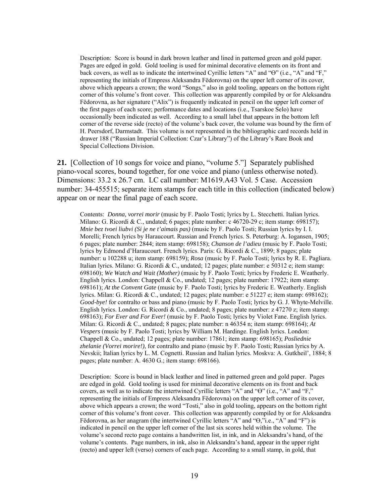Description: Score is bound in dark brown leather and lined in patterned green and gold paper. Pages are edged in gold. Gold tooling is used for minimal decorative elements on its front and back covers, as well as to indicate the intertwined Cyrillic letters "A" and "Ө" (i.e., "A" and "F," representing the initials of Empress Aleksandra Fëdorovna) on the upper left corner of its cover, above which appears a crown; the word "Songs," also in gold tooling, appears on the bottom right corner of this volume's front cover. This collection was apparently compiled by or for Aleksandra Fëdorovna, as her signature ("Alix") is frequently indicated in pencil on the upper left corner of the first pages of each score; performance dates and locations (i.e., Tsarskoe Selo) have occasionally been indicated as well. According to a small label that appears in the bottom left corner of the reverse side (recto) of the volume's back cover, the volume was bound by the firm of H. Peersdorf, Darmstadt. This volume is not represented in the bibliographic card records held in drawer 188 ("Russian Imperial Collection: Czar's Library") of the Library's Rare Book and Special Collections Division.

**21.** [Collection of 10 songs for voice and piano, "volume 5."] Separately published piano-vocal scores, bound together, for one voice and piano (unless otherwise noted). Dimensions: 33.2 x 26.7 cm. LC call number: M1619.A43 Vol. 5 Case. Accession number: 34-455515; separate item stamps for each title in this collection (indicated below) appear on or near the final page of each score.

Contents: *Donna, vorrei morir* (music by F. Paolo Tosti; lyrics by L. Stecchetti. Italian lyrics. Milano: G. Ricordi & C., undated; 6 pages; plate number: c  $46720-29$  c; item stamp: 698157); *Mnie bez tvoei liubvi (Si je ne t'aimais pas)* (music by F. Paolo Tosti; Russian lyrics by I. I. Morelli; French lyrics by Haraucourt. Russian and French lyrics. S. Peterburg: A. Iogansen, 1905; 6 pages; plate number: 2844; item stamp: 698158); *Chanson de l'adieu* (music by F. Paolo Tosti; lyrics by Edmond d'Haraucourt. French lyrics. Paris: G. Ricordi & C., 1899; 8 pages; plate number: u 102288 u; item stamp: 698159); *Rosa* (music by F. Paolo Tosti; lyrics by R. E. Pagliara. Italian lyrics. Milano: G. Ricordi & C., undated; 12 pages; plate number: e 50312 e; item stamp: 698160); *We Watch and Wait (Mother)* (music by F. Paolo Tosti; lyrics by Frederic E. Weatherly. English lyrics. London: Chappell & Co., undated; 12 pages; plate number: 17922; item stamp: 698161); *At the Convent Gate* (music by F. Paolo Tosti; lyrics by Frederic E. Weatherly. English lyrics. Milan: G. Ricordi & C., undated; 12 pages; plate number: e 51227 e; item stamp: 698162); *Good-bye!* for contralto or bass and piano (music by F. Paolo Tosti; lyrics by G. J. Whyte-Melville. English lyrics. London: G. Ricordi & Co., undated; 8 pages; plate number: z 47270 z; item stamp: 698163); *For Ever and For Ever!* (music by F. Paolo Tosti; lyrics by Violet Fane. English lyrics. Milan: G. Ricordi & C., undated; 8 pages; plate number: n 46354 n; item stamp: 698164); *At Vespers* (music by F. Paolo Tosti; lyrics by William M. Hardinge. English lyrics. London: Chappell & Co., undated; 12 pages; plate number: 17861; item stamp: 698165); *Posliednie zhelanie (Vorrei morire!)*, for contralto and piano (music by F. Paolo Tosti; Russian lyrics by A. Nevskii; Italian lyrics by L. M. Cognetti. Russian and Italian lyrics. Moskva: A. Gutkheil', 1884; 8 pages; plate number: A. 4630 G.; item stamp: 698166).

Description: Score is bound in black leather and lined in patterned green and gold paper. Pages are edged in gold. Gold tooling is used for minimal decorative elements on its front and back covers, as well as to indicate the intertwined Cyrillic letters "A" and "Ө" (i.e., "A" and "F," representing the initials of Empress Aleksandra Fëdorovna) on the upper left corner of its cover, above which appears a crown; the word "Tosti," also in gold tooling, appears on the bottom right corner of this volume's front cover. This collection was apparently compiled by or for Aleksandra Fëdorovna, as her anagram (the intertwined Cyrillic letters "A" and "Ө,"i.e., "A" and "F") is indicated in pencil on the upper left corner of the last six scores held within the volume. The volume's second recto page contains a handwritten list, in ink, and in Aleksandra's hand, of the volume's contents. Page numbers, in ink, also in Aleksandra's hand, appear in the upper right (recto) and upper left (verso) corners of each page. According to a small stamp, in gold, that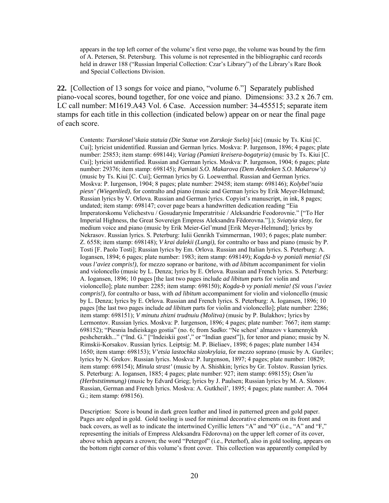appears in the top left corner of the volume's first verso page, the volume was bound by the firm of A. Petersen, St. Petersburg. This volume is not represented in the bibliographic card records held in drawer 188 ("Russian Imperial Collection: Czar's Library") of the Library's Rare Book and Special Collections Division.

**22.** [Collection of 13 songs for voice and piano, "volume 6."] Separately published piano-vocal scores, bound together, for one voice and piano. Dimensions: 33.2 x 26.7 cm. LC call number: M1619.A43 Vol. 6 Case. Accession number: 34-455515; separate item stamps for each title in this collection (indicated below) appear on or near the final page of each score.

Contents: *Tsarskosel'skaia statuia (Die Statue von Zarskoje Sselo)* [sic] (music by Ts. Kiui [C. Cui]; lyricist unidentified. Russian and German lyrics. Moskva: P. Iurgenson, 1896; 4 pages; plate number: 25853; item stamp: 698144); *Variag (Pamiati kreisera-bogatyria)* (music by Ts. Kiui [C. Cui]; lyricist unidentified. Russian and German lyrics. Moskva: P. Iurgenson, 1904; 6 pages; plate number: 29376; item stamp: 698145); *Pamiati S.O. Makarova (Dem Andenken S.O. Makarow's)* (music by Ts. Kiui [C. Cui]; German lyrics by G. Loewenthal. Russian and German lyrics. Moskva: P. Iurgenson, 1904; 8 pages; plate number: 29458; item stamp: 698146); *Kolybel'naia piesn' (Wiegenlied)*, for contralto and piano (music and German lyrics by Erik Meyer-Helmund; Russian lyrics by V. Orlova. Russian and German lyrics. Copyist's manuscript, in ink, 8 pages; undated; item stamp: 698147; cover page bears a handwritten dedication reading "Eia Imperatorskomu Velichestvu / Gosudarynie Imperatritsie / Aleksandrie Feodorovnie." ["To Her Imperial Highness, the Great Sovereign Empress Aleksandra Fëdorovna."].); *Sviatyia slezy*, for medium voice and piano (music by Erik Meier-Gel'mund [Erik Meyer-Helmund]; lyrics by Nekrasov. Russian lyrics. S. Peterburg: Iulii Genrikh Tsimmerman, 1903; 6 pages; plate number: Z. 6558; item stamp: 698148); *V krai dalekii (Lungi)*, for contralto or bass and piano (music by P. Tosti [F. Paolo Tosti]; Russian lyrics by Em. Orlova. Russian and Italian lyrics. S. Peterburg: A. Iogansen, 1894; 6 pages; plate number: 1983; item stamp: 698149); *Kogda-b vy poniali menia! (Si vous l'aviez compris!)*, for mezzo soprano or baritone, with *ad libitum* accompaniment for violin and violoncello (music by L. Denza; lyrics by E. Orlova. Russian and French lyrics. S. Peterburg: A. Iogansen, 1896; 10 pages [the last two pages include *ad libitum* parts for violin and violoncello]; plate number: 2285; item stamp: 698150); *Kogda-b vy poniali menia! (Si vous l'aviez compris!)*, for contralto or bass, with *ad libitum* accompaniment for violin and violoncello (music by L. Denza; lyrics by E. Orlova. Russian and French lyrics. S. Peterburg: A. Iogansen, 1896; 10 pages [the last two pages include *ad libitum* parts for violin and violoncello]; plate number: 2286; item stamp: 698151); *V minutu zhizni trudnuiu (Molitva)* (music by P. Bulakhov; lyrics by Lermontov. Russian lyrics. Moskva: P. Iurgenson, 1896; 4 pages; plate number: 7667; item stamp: 698152); "Piesnia Indieiskago gostia" (no. 6; from *Sadko*: "Ne schest' almazov v kamennykh peshcherakh..." ("Ind. G." ["Indeiskii gost'," or "Indian guest"]), for tenor and piano; music by N. Rimskii-Korsakov. Russian lyrics. Leiptsig: M. P. Bieliaev, 1898; 6 pages; plate number 1434 1650; item stamp: 698153); *V'etsia lastochka sizokrylaia*, for mezzo soprano (music by A. Gurilev; lyrics by N. Grekov. Russian lyrics. Moskva: P. Iurgenson, 1897; 4 pages; plate number: 10829; item stamp: 698154); *Minula strast'* (music by A. Shishkin; lyrics by Gr. Tolstov. Russian lyrics. S. Peterburg: A. Iogansen, 1885; 4 pages; plate number: 927; item stamp: 698155); *Osen'iu (Herbststimmung)* (music by Edvard Grieg; lyrics by J. Paulsen; Russian lyrics by M. A. Slonov. Russian, German and French lyrics. Moskva: A. Gutkheil', 1895; 4 pages; plate number: A. 7064 G.; item stamp: 698156).

Description: Score is bound in dark green leather and lined in patterned green and gold paper. Pages are edged in gold. Gold tooling is used for minimal decorative elements on its front and back covers, as well as to indicate the intertwined Cyrillic letters "A" and "Ө" (i.e., "A" and "F," representing the initials of Empress Aleksandra Fëdorovna) on the upper left corner of its cover, above which appears a crown; the word "Petergof" (i.e., Peterhof), also in gold tooling, appears on the bottom right corner of this volume's front cover. This collection was apparently compiled by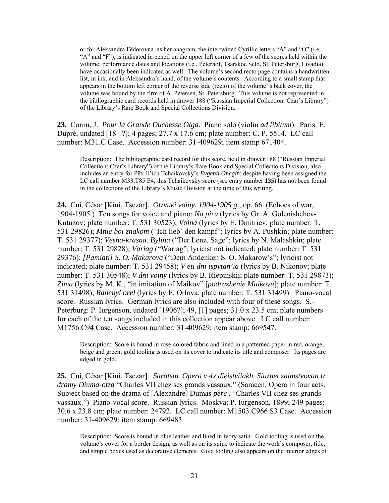or for Aleksandra Fëdorovna, as her anagram, the intertwined Cyrillic letters "A" and "Ө" (i.e., "A" and "F"), is indicated in pencil on the upper left corner of a few of the scores held within the volume; performance dates and locations (i.e., Peterhof, Tsarskoe Selo, St. Petersburg, Livadia) have occasionally been indicated as well. The volume's second recto page contains a handwritten list, in ink, and in Aleksandra's hand, of the volume's contents. According to a small stamp that appears in the bottom left corner of the reverse side (recto) of the volume' s back cover, the volume was bound by the firm of A. Petersen, St. Petersburg. This volume is not represented in the bibliographic card records held in drawer 188 ("Russian Imperial Collection: Czar's Library") of the Library's Rare Book and Special Collections Division.

**23.** Cornu, J. *Pour la Grande Duchesse Olga*. Piano solo (violin *ad libitum*). Paris: E. Dupré, undated [18 –?]; 4 pages; 27.7 x 17.6 cm; plate number: C. P. 5514. LC call number: M31.C Case. Accession number: 31-409629; item stamp 671404.

Description: The bibliographic card record for this score, held in drawer 188 ("Russian Imperial Collection: Czar's Library") of the Library's Rare Book and Special Collections Division, also includes an entry for Pëtr Il'ich Tchaikovsky's *Evgenii Onegin*; despite having been assigned the LC call number M33.T85 E4, this Tchaikovsky score (see entry number **135**) has not been found in the collections of the Library's Music Division at the time of this writing.

**24.** Cui, César [Kiui, Tsezar]. *Otzvuki voiny. 1904-1905 g.*, op. 66. (Echoes of war, 1904-1905.) Ten songs for voice and piano: *Na piru* (lyrics by Gr. A. Golenishchev-Kutuzov; plate number: T. 531 30523); *Voina* (lyrics by E. Dmitriev; plate number: T. 531 29826); *Mnie boi znakom* ("Ich lieb' den kampf"; lyrics by A. Pushkin; plate number: T. 531 29377); *Vesna-krasna. Bylina* ("Der Lenz. Sage"; lyrics by N. Malashkin; plate number: T. 531 29828); *Variag* ("Wariág"; lyricist not indicated; plate number: T. 531 29376); *[Pamiati] S. O. Makarova* ("Dem Andenken S. O. Makarow's"; lyricist not indicated; plate number: T. 531 29458); *V eti dni ispytan'ia* (lyrics by B. Nikonov; plate number: T. 531 30548); *V dni voiny* (lyrics by B. Riepinskii; plate number: T. 531 29873); *Zima* (lyrics by M. K., "in imitation of Maikov" [*podrazhenie Maikovu*]; plate number: T. 531 31498); *Ranenyi orel* (lyrics by E. Orlova; plate number: T. 531 31499). Piano-vocal score. Russian lyrics. German lyrics are also included with four of these songs. S.- Peterburg: P. Iurgenson, undated [1906?]; 49, [1] pages; 31.0 x 23.5 cm; plate numbers for each of the ten songs included in this collection appear above. LC call number: M1756.C94 Case. Accession number: 31-409629; item stamp: 669547.

Description: Score is bound in rose-colored fabric and lined in a patterned paper in red, orange, beige and green; gold tooling is used on its cover to indicate its title and composer. Its pages are edged in gold.

**25.** Cui, César [Kiui, Tsezar]. *Saratsin. Opera v 4x dieistviiakh. Siuzhet zaimstvovan iz dramy Diuma-otza* "Charles VII chez ses grands vassaux." (Saracen. Opera in four acts. Subject based on the drama of [Alexandre] Dumas *père* , "Charles VII chez ses grands vassaux.") Piano-vocal score. Russian lyrics. Moskva: P. Iurgenson, 1899; 249 pages; 30.6 x 23.8 cm; plate number: 24792. LC call number: M1503.C966 S3 Case. Accession number: 31-409629; item stamp: 669483.

Description: Score is bound in blue leather and lined in ivory satin. Gold tooling is used on the volume's cover for a border design, as well as on its spine to indicate the work's composer, title, and simple boxes used as decorative elements. Gold tooling also appears on the interior edges of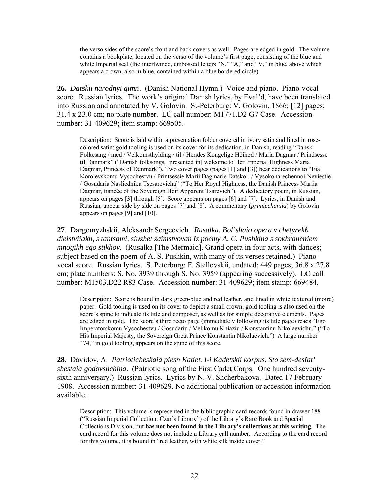the verso sides of the score's front and back covers as well. Pages are edged in gold. The volume contains a bookplate, located on the verso of the volume's first page, consisting of the blue and white Imperial seal (the intertwined, embossed letters "N," "A," and "V," in blue, above which appears a crown, also in blue, contained within a blue bordered circle).

**26.** *Datskii narodnyi gimn*. (Danish National Hymn.) Voice and piano. Piano-vocal score. Russian lyrics. The work's original Danish lyrics, by Eval'd, have been translated into Russian and annotated by V. Golovin. S.-Peterburg: V. Golovin, 1866; [12] pages; 31.4 x 23.0 cm; no plate number. LC call number: M1771.D2 G7 Case. Accession number: 31-409629; item stamp: 669505.

Description: Score is laid within a presentation folder covered in ivory satin and lined in rosecolored satin; gold tooling is used on its cover for its dedication, in Danish, reading "Dansk Folkesang / med / Velkomsthylding / til / Hendes Kongelige Höihed / Maria Dagmar / Prindsesse til Danmark" ("Danish folksongs, [presented in] welcome to Her Imperial Highness Maria Dagmar, Princess of Denmark"). Two cover pages (pages [1] and [3]) bear dedications to "Eia" Korolevskomu Vysochestvu / Printsessie Marii Dagmarie Datskoi, / Vysokonarechennoi Neviestie / Gosudaria Nasliednika Tsesarevicha" ("To Her Royal Highness, the Danish Princess Mariia Dagmar, fiancée of the Sovereign Heir Apparent Tsarevich"). A dedicatory poem, in Russian, appears on pages [3] through [5]. Score appears on pages [6] and [7]. Lyrics, in Danish and Russian, appear side by side on pages [7] and [8]. A commentary (*primiechaniia*) by Golovin appears on pages [9] and [10].

**27**. Dargomyzhskii, Aleksandr Sergeevich. *Rusalka. Bol'shaia opera v chetyrekh dieistviiakh, s tantsami, siuzhet zaimstvovan iz poemy A. C. Pushkina s sokhraneniem mnogikh ego stikhov*. (Rusalka [The Mermaid]. Grand opera in four acts, with dances; subject based on the poem of A. S. Pushkin, with many of its verses retained.) Pianovocal score. Russian lyrics. S. Peterburg: F. Stellovskii, undated; 449 pages; 36.8 x 27.8 cm; plate numbers: S. No. 3939 through S. No. 3959 (appearing successively). LC call number: M1503.D22 R83 Case. Accession number: 31-409629; item stamp: 669484.

Description: Score is bound in dark green-blue and red leather, and lined in white textured (moiré) paper. Gold tooling is used on its cover to depict a small crown; gold tooling is also used on the score's spine to indicate its title and composer, as well as for simple decorative elements. Pages are edged in gold. The score's third recto page (immediately following its title page) reads "Ego Imperatorskomu Vysochestvu / Gosudariu / Velikomu Kniaziu / Konstantinu Nikolaevichu." ("To His Imperial Majesty, the Sovereign Great Prince Konstantin Nikolaevich.") A large number "74," in gold tooling, appears on the spine of this score.

**28**. Davidov, A. *Patrioticheskaia piesn Kadet. I-i Kadetskii korpus. Sto sem-desiat' shestaia godovshchina*. (Patriotic song of the First Cadet Corps. One hundred seventysixth anniversary.) Russian lyrics. Lyrics by N. V. Shcherbakova. Dated 17 February 1908. Accession number: 31-409629. No additional publication or accession information available.

Description: This volume is represented in the bibliographic card records found in drawer 188 ("Russian Imperial Collection: Czar's Library") of the Library's Rare Book and Special Collections Division, but **has not been found in the Library's collections at this writing**. The card record for this volume does not include a Library call number. According to the card record for this volume, it is bound in "red leather, with white silk inside cover."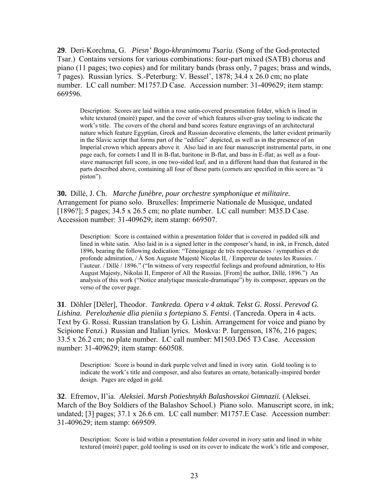**29**. Deri-Korchma, G. *Piesn' Bogo-khranimomu Tsariu*. (Song of the God-protected Tsar.) Contains versions for various combinations: four-part mixed (SATB) chorus and piano (11 pages; two copies) and for military bands (brass only, 7 pages; brass and winds, 7 pages). Russian lyrics. S.-Peterburg: V. Bessel', 1878; 34.4 x 26.0 cm; no plate number. LC call number: M1757.D Case. Accession number: 31-409629; item stamp: 669596.

Description: Scores are laid within a rose satin-covered presentation folder, which is lined in white textured (moiré) paper, and the cover of which features silver-gray tooling to indicate the work's title. The covers of the choral and band scores feature engravings of an architectural nature which feature Egyptian, Greek and Russian decorative elements, the latter evident primarily in the Slavic script that forms part of the "edifice" depicted, as well as in the presence of an Imperial crown which appears above it. Also laid in are four manuscript instrumental parts, in one page each, for cornets I and II in B-flat, baritone in B-flat, and bass in E-flat; as well as a fourstave manuscript full score, in one two-sided leaf, and in a different hand than that featured in the parts described above, containing all four of these parts (cornets are specified in this score as "à piston").

**30.** Dillé, J. Ch. *Marche funèbre, pour orchestre symphonique et militaire.*  Arrangement for piano solo. Bruxelles: Imprimerie Nationale de Musique, undated [1896?]; 5 pages; 34.5 x 26.5 cm; no plate number. LC call number: M35.D Case. Accession number: 31-409629; item stamp: 669507.

Description: Score is contained within a presentation folder that is covered in padded silk and lined in white satin. Also laid in is a signed letter in the composer's hand, in ink, in French, dated 1896, bearing the following dedication: "Témoignage de très respectueuses / sympathies et de profonde admiration,  $\hat{A}$  Son Auguste Majesté Nicolas II,  $\hat{B}$  Empereur de toutes les Russies.  $\hat{B}$ l'auteur. / Dillé / 1896." ("In witness of very respectful feelings and profound admiration, to His August Majesty, Nikolai II, Emperor of All the Russias. [From] the author, Dillé, 1896.") An analysis of this work ("Notice analytique musicale-dramatique") by its composer, appears on the verso of the cover page.

**31**. Döhler [Dëler], Theodor. *Tankreda. Opera v 4 aktak. Tekst G. Rossi. Perevod G. Lishina. Perelozhenie dlia pieniia s fortepiano S. Fentsi*. (Tancreda. Opera in 4 acts. Text by G. Rossi. Russian translation by G. Lishin. Arrangement for voice and piano by Scipione Fenzi.) Russian and Italian lyrics. Moskva: P. Iurgenson, 1876, 216 pages; 33.5 x 26.2 cm; no plate number. LC call number: M1503.D65 T3 Case. Accession number: 31-409629; item stamp: 660508.

Description: Score is bound in dark purple velvet and lined in ivory satin. Gold tooling is to indicate the work's title and composer, and also features an ornate, botanically-inspired border design. Pages are edged in gold.

**32**. Efremov, Il'ia. *Aleksiei. Marsh Potieshnykh Balashovskoi Gimnazii.* (Aleksei. March of the Boy Soldiers of the Balashov School.) Piano solo. Manuscript score, in ink; undated; [3] pages; 37.1 x 26.6 cm. LC call number: M1757.E Case. Accession number: 31-409629; item stamp: 669509.

Description: Score is laid within a presentation folder covered in ivory satin and lined in white textured (moiré) paper; gold tooling is used on its cover to indicate the work's title and composer,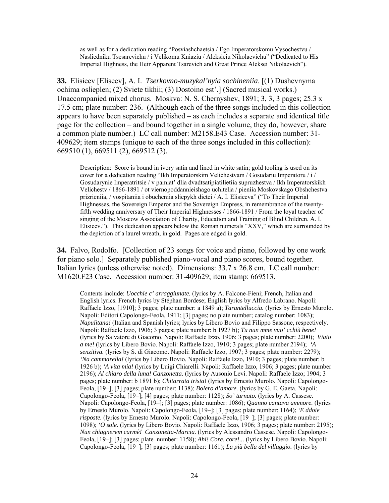as well as for a dedication reading "Posviashchaetsia / Ego Imperatorskomu Vysochestvu / Nasliedniku Tsesarevichu / i Velikomu Kniaziu / Aleksieiu Nikolaevichu" ("Dedicated to His Imperial Highness, the Heir Apparent Tsarevich and Great Prince Aleksei Nikolaevich").

**33.** Elisieev [Eliseev], A. I. *Tserkovno-muzykal'nyia sochineniia*. [(1) Dushevnyma ochima oslieplen; (2) Sviete tikhii; (3) Dostoino est'.] (Sacred musical works.) Unaccompanied mixed chorus. Moskva: N. S. Chernyshev, 1891; 3, 3, 3 pages; 25.3 x 17.5 cm; plate number: 236. (Although each of the three songs included in this collection appears to have been separately published – as each includes a separate and identical title page for the collection – and bound together in a single volume, they do, however, share a common plate number.) LC call number: M2158.E43 Case. Accession number: 31- 409629; item stamps (unique to each of the three songs included in this collection): 669510 (1), 669511 (2), 669512 (3).

Description: Score is bound in ivory satin and lined in white satin; gold tooling is used on its cover for a dedication reading "Ikh Imperatorskim Velichestvam / Gosudariu Imperatoru / i / Gosudarynie Imperatritsie / v pamiat' dlia dvadtsatipiatilietiia supruzhestva / Ikh Imperatorskikh Velichestv / 1866-1891 / ot viernopoddannieishago uchitelia / pieniia Moskovskago Obshchestva prizrieniia, / vospitaniia i obucheniia sliepykh dietei / A. I. Elisieeva" ("To Their Imperial Highnesses, the Sovereign Emperor and the Sovereign Empress, in remembrance of the twentyfifth wedding anniversary of Their Imperial Highnesses / 1866-1891 / From the loyal teacher of singing of the Moscow Association of Charity, Education and Training of Blind Children. A. I. Elisieev."). This dedication appears below the Roman numerals "XXV," which are surrounded by the depiction of a laurel wreath, in gold. Pages are edged in gold.

**34.** Falvo, Rodolfo. [Collection of 23 songs for voice and piano, followed by one work for piano solo.] Separately published piano-vocal and piano scores, bound together. Italian lyrics (unless otherwise noted). Dimensions: 33.7 x 26.8 cm. LC call number: M1620.F23 Case. Accession number: 31-409629; item stamp: 669513.

Contents include: *Uocchie c' arraggiunate.* (lyrics by A. Falcone-Fieni; French, Italian and English lyrics. French lyrics by Stéphan Bordese; English lyrics by Alfredo Labrano. Napoli: Raffaele Izzo, [1910]; 3 pages; plate number: a 1849 a); *Tarantelluccia.* (lyrics by Ernesto Murolo. Napoli: Editori Capolongo-Feola, 1911; [3] pages; no plate number; catalog number: 1083); *Napulitana!* (Italian and Spanish lyrics; lyrics by Libero Bovio and Filippo Sassone, respectively. Napoli: Raffaele Izzo, 1906; 3 pages; plate number: b 1927 b); *Tu nun mme vuo' cchiù bene!*  (lyrics by Salvatore di Giacomo. Napoli: Raffaele Izzo, 1906; 3 pages; plate number: 2200); *Viato a me!* (lyrics by Libero Bovio. Napoli: Raffaele Izzo, 1910; 3 pages; plate number 2194); *'A senzitiva.* (lyrics by S. di Giacomo. Napoli: Raffaele Izzo, 1907; 3 pages; plate number: 2279); *'Na cammarella!* (lyrics by Libero Bovio. Napoli: Raffaele Izzo, 1910; 3 pages; plate number: b 1926 b); *'A vita mia!* (lyrics by Luigi Chiarelli. Napoli: Raffaele Izzo, 1906; 3 pages; plate number 2196); *Al chiaro della luna! Canzonetta.* (lyrics by Ausonio Levi. Napoli: Raffaele Izzo; 1904; 3 pages; plate number: b 1891 b); *Chitarrata trista!* (lyrics by Ernesto Murolo. Napoli: Capolongo-Feola, [19–]; [3] pages; plate number: 1138); *Bolero d'amore.* (lyrics by G. E. Gaeta. Napoli: Capolongo-Feola, [19–]; [4] pages; plate number: 1128); *So' turnato.* (lyrics by A. Cassese. Napoli: Capolongo-Feola, [19–]; [3] pages; plate number: 1086); *Quanno cantava ammore.* (lyrics by Ernesto Murolo. Napoli: Capolongo-Feola, [19–]; [3] pages; plate number: 1164); *'E ddoie risposte.* (lyrics by Ernesto Murolo. Napoli: Capolongo-Feola, [19–]; [3] pages; plate number: 1098); *'O sole.* (lyrics by Libero Bovio. Napoli: Raffaele Izzo, 1906; 3 pages; plate number: 2195); *Nun chiagnerem carmè! Canzonetta-Marcia.* (lyrics by Alessandro Cassese. Napoli: Capolongo-Feola, [19–]; [3] pages; plate number: 1158); *Ahi! Core, core!...* (lyrics by Libero Bovio. Napoli: Capolongo-Feola, [19–]; [3] pages; plate number: 1161); *La più bella del villaggio.* (lyrics by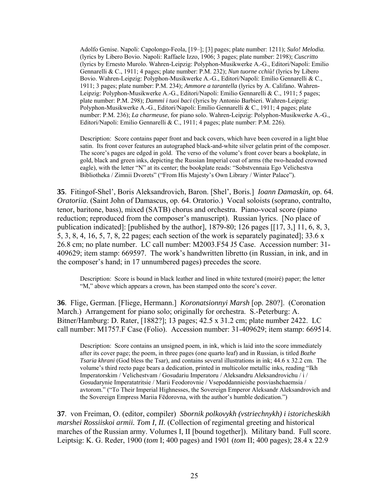Adolfo Genise. Napoli: Capolongo-Feola, [19–]; [3] pages; plate number: 1211); *Sulo! Melodia.* (lyrics by Libero Bovio. Napoli: Raffaele Izzo, 1906; 3 pages; plate number: 2198); *Cuscritto* (lyrics by Ernesto Murolo. Wahren-Leipzig: Polyphon-Musikwerke A.-G., Editori/Napoli: Emilio Gennarelli & C., 1911; 4 pages; plate number: P.M. 232); *Nun tuorne cchiù!* (lyrics by Libero Bovio. Wahren-Leipzig: Polyphon-Musikwerke A.-G., Editori/Napoli: Emilio Gennarelli & C., 1911; 3 pages; plate number: P.M. 234); *Ammore a tarantella* (lyrics by A. Califano. Wahren-Leipzig: Polyphon-Musikwerke A.-G., Editori/Napoli: Emilio Gennarelli & C., 1911; 5 pages; plate number: P.M. 298); *Dammi i tuoi baci* (lyrics by Antonio Barbieri. Wahren-Leipzig: Polyphon-Musikwerke A.-G., Editori/Napoli: Emilio Gennarelli & C., 1911; 4 pages; plate number: P.M. 236); *La charmeuse*, for piano solo. Wahren-Leipzig: Polyphon-Musikwerke A.-G., Editori/Napoli: Emilio Gennarelli & C., 1911; 4 pages; plate number: P.M. 226).

Description: Score contains paper front and back covers, which have been covered in a light blue satin. Its front cover features an autographed black-and-white silver gelatin print of the composer. The score's pages are edged in gold. The verso of the volume's front cover bears a bookplate, in gold, black and green inks, depicting the Russian Imperial coat of arms (the two-headed crowned eagle), with the letter "N" at its center; the bookplate reads: "Sobstvennaia Ego Velichestva Bibliotheka / Zimnii Dvorets" ("From His Majesty's Own Library / Winter Palace").

**35**. Fitingof-Shel', Boris Aleksandrovich, Baron. [Shel', Boris.] *Ioann Damaskin,* op. 64*. Oratoriia*. (Saint John of Damascus, op. 64. Oratorio.) Vocal soloists (soprano, contralto, tenor, baritone, bass), mixed (SATB) chorus and orchestra. Piano-vocal score (piano reduction; reproduced from the composer's manuscript). Russian lyrics. [No place of publication indicated]: [published by the author], 1879-80; 126 pages [[17, 3,] 11, 6, 8, 3, 5, 3, 8, 4, 16, 5, 7, 8, 22 pages; each section of the work is separately paginated]; 33.6 x 26.8 cm; no plate number. LC call number: M2003.F54 J5 Case. Accession number: 31- 409629; item stamp: 669597. The work's handwritten libretto (in Russian, in ink, and in the composer's hand; in 17 unnumbered pages) precedes the score.

Description: Score is bound in black leather and lined in white textured (moiré) paper; the letter "M," above which appears a crown, has been stamped onto the score's cover.

**36**. Flige, German. [Fliege, Hermann.] *Koronatsionnyi Marsh* [op. 280?]. (Coronation March.) Arrangement for piano solo; originally for orchestra. S.-Peterburg: A. Bitner/Hamburg: D. Rater, [1882?]; 13 pages; 42.5 x 31.2 cm; plate number 2422. LC call number: M1757.F Case (Folio). Accession number: 31-409629; item stamp: 669514.

Description: Score contains an unsigned poem, in ink, which is laid into the score immediately after its cover page; the poem, in three pages (one quarto leaf) and in Russian, is titled *Bozhe Tsaria khrani* (God bless the Tsar), and contains several illustrations in ink; 44.6 x 32.2 cm. The volume's third recto page bears a dedication, printed in multicolor metallic inks, reading "Ikh Imperatorskim / Velichestvam / Gosudariu Imperatoru / Aleksandru Aleksandrovichu / i / Gosudarynie Imperatatritsie / Marii Feodorovnie / Vsepoddannieishe posviashchaemsia / avtorom." ("To Their Imperial Highnesses, the Sovereign Emperor Aleksandr Aleksandrovich and the Sovereign Empress Mariia Fëdorovna, with the author's humble dedication.")

**37**. von Freiman, O. (editor, compiler) *Sbornik polkovykh (vstriechnykh) i istoricheskikh marshei Rossiiskoi armii. Tom I, II.* (Collection of regimental greeting and historical marches of the Russian army. Volumes I, II [bound together]). Military band. Full score. Leiptsig: K. G. Reder, 1900 (*tom* I; 400 pages) and 1901 (*tom* II; 400 pages); 28.4 x 22.9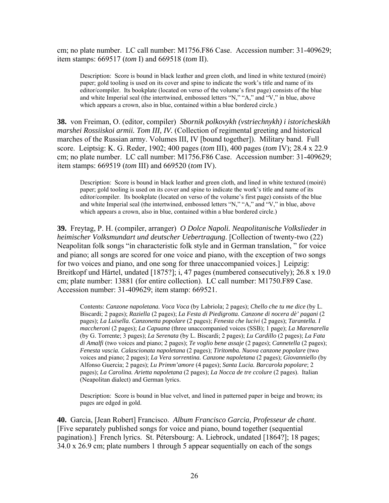cm; no plate number. LC call number: M1756.F86 Case. Accession number: 31-409629; item stamps: 669517 (*tom* I) and 669518 (*tom* II).

Description: Score is bound in black leather and green cloth, and lined in white textured (moiré) paper; gold tooling is used on its cover and spine to indicate the work's title and name of its editor/compiler. Its bookplate (located on verso of the volume's first page) consists of the blue and white Imperial seal (the intertwined, embossed letters "N," "A," and "V," in blue, above which appears a crown, also in blue, contained within a blue bordered circle.)

**38.** von Freiman, O. (editor, compiler) *Sbornik polkovykh (vstriechnykh) i istoricheskikh marshei Rossiiskoi armii. Tom III, IV.* (Collection of regimental greeting and historical marches of the Russian army. Volumes III, IV [bound together]). Military band. Full score. Leiptsig: K. G. Reder, 1902; 400 pages (*tom* III), 400 pages (*tom* IV); 28.4 x 22.9 cm; no plate number. LC call number: M1756.F86 Case. Accession number: 31-409629; item stamps: 669519 (*tom* III) and 669520 (*tom* IV).

Description: Score is bound in black leather and green cloth, and lined in white textured (moiré) paper; gold tooling is used on its cover and spine to indicate the work's title and name of its editor/compiler. Its bookplate (located on verso of the volume's first page) consists of the blue and white Imperial seal (the intertwined, embossed letters "N," "A," and "V," in blue, above which appears a crown, also in blue, contained within a blue bordered circle.)

**39.** Freytag, P. H. (compiler, arranger) *O Dolce Napoli. Neapolitanische Volkslieder in heimischer Volksmundart und deutscher Uebertragung*. [Collection of twenty-two (22) Neapolitan folk songs "in characteristic folk style and in German translation, " for voice and piano; all songs are scored for one voice and piano, with the exception of two songs for two voices and piano, and one song for three unaccompanied voices.] Leipzig: Breitkopf und Härtel, undated [1875?]; i, 47 pages (numbered consecutively); 26.8 x 19.0 cm; plate number: 13881 (for entire collection). LC call number: M1750.F89 Case. Accession number: 31-409629; item stamp: 669521.

Contents: *Canzone napoletana. Voca Voca* (by Labriola; 2 pages); *Chello che tu me dice* (by L. Biscardi; 2 pages); *Raziella* (2 pages); *La Festa di Piedigrotta. Canzone di nocera dè' pagani* (2 pages); *La Luisella. Canzonetta popolare* (2 pages); *Fenesta che lucivi* (2 pages); *Tarantella. I maccheroni* (2 pages); *La Capuana* (three unaccompanied voices (SSB); 1 page); *La Marenarella*  (by G. Torrente; 3 pages); *La Serenata* (by L. Biscardi; 2 pages); *Lu Cardillo* (2 pages); *La Fata di Amalfi* (two voices and piano; 2 pages); *Te voglio bene assaje* (2 pages); *Cannetella* (2 pages); *Fenesta vascia. Calascionata napoletana* (2 pages); *Tiritomba. Nuova canzone popolare* (two voices and piano; 2 pages); *La Vera sorrentina. Canzone napoletana* (2 pages); *Giovanniello* (by Alfonso Guercia; 2 pages); *Lu Primm'amore* (4 pages); *Santa Lucia. Barcarola popolare*; 2 pages); *La Carolina. Arietta napoletana* (2 pages); *La Nocca de tre ccolure* (2 pages). Italian (Neapolitan dialect) and German lyrics.

Description: Score is bound in blue velvet, and lined in patterned paper in beige and brown; its pages are edged in gold.

**40.** Garcia, [Jean Robert] Francisco. *Album Francisco Garcia, Professeur de chant*. [Five separately published songs for voice and piano, bound together (sequential pagination).] French lyrics. St. Pétersbourg: A. Liebrock, undated [1864?]; 18 pages; 34.0 x 26.9 cm; plate numbers 1 through 5 appear sequentially on each of the songs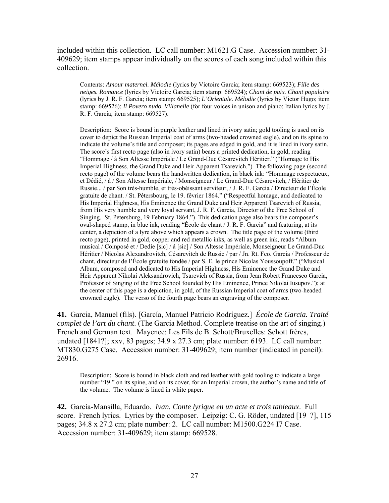included within this collection. LC call number: M1621.G Case. Accession number: 31- 409629; item stamps appear individually on the scores of each song included within this collection.

Contents: *Amour maternel. Mélodie* (lyrics by Victoire Garcia; item stamp: 669523); *Fille des neiges. Romance* (lyrics by Victoire Garcia; item stamp: 669524); *Chant de paix. Chant populaire*  (lyrics by J. R. F. Garcia; item stamp: 669525); *L'Orientale. Mélodie* (lyrics by Victor Hugo; item stamp: 669526); *Il Povero nudo. Villanelle* (for four voices in unison and piano; Italian lyrics by J. R. F. Garcia; item stamp: 669527).

Description: Score is bound in purple leather and lined in ivory satin; gold tooling is used on its cover to depict the Russian Imperial coat of arms (two-headed crowned eagle), and on its spine to indicate the volume's title and composer; its pages are edged in gold, and it is lined in ivory satin. The score's first recto page (also in ivory satin) bears a printed dedication, in gold, reading "Hommage / à Son Altesse Impériale / Le Grand-Duc Césarevitch Héritier." ("Homage to His Imperial Highness, the Grand Duke and Heir Apparent Tsarevich.") The following page (second recto page) of the volume bears the handwritten dedication, in black ink: "Hommage respectueux, et Dédié, / à / Son Altesse Impériale, / Monseigneur / Le Grand-Duc Césarevitch, / Héritier de Russie... / par Son très-humble, et très-obéissant serviteur, / J. R. F. Garcia / Directeur de l'École gratuite de chant. / St. Pétersbourg, le 19. février 1864." ("Respectful homage, and dedicated to His Imperial Highness, His Eminence the Grand Duke and Heir Apparent Tsarevich of Russia, from His very humble and very loyal servant, J. R. F. Garcia, Director of the Free School of Singing. St. Petersburg, 19 February 1864.") This dedication page also bears the composer's oval-shaped stamp, in blue ink, reading "École de chant / J. R. F. Garcia" and featuring, at its center, a depiction of a lyre above which appears a crown. The title page of the volume (third recto page), printed in gold, copper and red metallic inks, as well as green ink, reads "Album musical / Composé et / Dedie [sic] / á [sic] / Son Altesse Impériale, Monseigneur Le Grand-Duc Héritier / Nicolas Alexandrovitch, Césarevitch de Russie / par / Jn. Rt. Fco. Garcia / Professeur de chant, directeur de l'École gratuite fondée / par S. E. le prince Nicolas Youssoupoff." ("Musical Album, composed and dedicated to His Imperial Highness, His Eminence the Grand Duke and Heir Apparent Nikolai Aleksandrovich, Tsarevich of Russia, from Jean Robert Francesco Garcia, Professor of Singing of the Free School founded by His Eminence, Prince Nikolai Iusupov."); at the center of this page is a depiction, in gold, of the Russian Imperial coat of arms (two-headed crowned eagle). The verso of the fourth page bears an engraving of the composer.

**41.** Garcia, Manuel (fils). [García, Manuel Patricio Rodríguez.] *École de Garcia. Traité complet de l'art du chant*. (The Garcia Method. Complete treatise on the art of singing.) French and German text. Mayence: Les Fils de B. Schott/Bruxelles: Schott frères, undated [1841?]; xxv, 83 pages; 34.9 x 27.3 cm; plate number: 6193. LC call number: MT830.G275 Case. Accession number: 31-409629; item number (indicated in pencil): 26916.

Description: Score is bound in black cloth and red leather with gold tooling to indicate a large number "19," on its spine, and on its cover, for an Imperial crown, the author's name and title of the volume. The volume is lined in white paper.

**42.** García-Mansilla, Eduardo. *Ivan. Conte lyrique en un acte et trois tableaux*. Full score. French lyrics. Lyrics by the composer. Leipzig: C. G. Röder, undated [19–?], 115 pages; 34.8 x 27.2 cm; plate number: 2. LC call number: M1500.G224 I7 Case. Accession number: 31-409629; item stamp: 669528.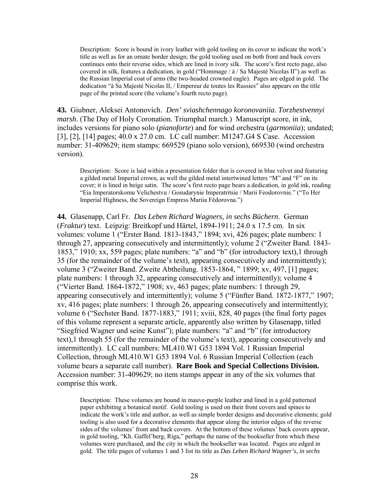Description: Score is bound in ivory leather with gold tooling on its cover to indicate the work's title as well as for an ornate border design; the gold tooling used on both front and back covers continues onto their reverse sides, which are lined in ivory silk. The score's first recto page, also covered in silk, features a dedication, in gold ("Hommage / à / Sa Majesté Nicolas II") as well as the Russian Imperial coat of arms (the two-headed crowned eagle). Pages are edged in gold. The dedication "à Sa Majesté Nicolas II, / Empereur de toutes les Russies" also appears on the title page of the printed score (the volume's fourth recto page).

**43.** Giubner, Aleksei Antonovich. *Den' sviashchennago koronovaniia. Torzhestvennyi marsh*. (The Day of Holy Coronation. Triumphal march.) Manuscript score, in ink, includes versions for piano solo (*pianoforte*) and for wind orchestra (*garmoniia*); undated; [3], [2], [14] pages; 40.0 x 27.0 cm. LC call number: M1247.G4 S Case. Accession number: 31-409629; item stamps: 669529 (piano solo version), 669530 (wind orchestra version).

Description: Score is laid within a presentation folder that is covered in blue velvet and featuring a gilded metal Imperial crown, as well the gilded metal intertwined letters "M" and "F" on its cover; it is lined in beige satin. The score's first recto page bears a dedication, in gold ink, reading "Eia Imperatorskomu Velichestvu / Gosudarynie Imperatritsie / Marii Feodorovnie." ("To Her Imperial Highness, the Sovereign Empress Mariia Fëdorovna.")

**44.** Glasenapp, Carl Fr. *Das Leben Richard Wagners, in sechs Büchern*. German (*Fraktur*) text. Leipzig: Breitkopf und Härtel, 1894-1911; 24.0 x 17.5 cm. In six volumes: volume 1 ("Erster Band. 1813-1843," 1894; xvi, 426 pages; plate numbers: 1 through 27, appearing consecutively and intermittently); volume 2 ("Zweiter Band. 1843- 1853," 1910; xx, 559 pages; plate numbers: "a" and "b" (for introductory text),1 through 35 (for the remainder of the volume's text), appearing consecutively and intermittently); volume 3 ("Zweiter Band. Zweite Abtheilung. 1853-1864, " 1899; xv, 497, [1] pages; plate numbers: 1 through 32, appearing consecutively and intermittently); volume 4 ("Vierter Band. 1864-1872," 1908; xv, 463 pages; plate numbers: 1 through 29, appearing consecutively and intermittently); volume 5 ("Fünfter Band. 1872-1877," 1907; xv, 416 pages; plate numbers: 1 through 26, appearing consecutively and intermittently); volume 6 ("Sechster Band. 1877-1883," 1911; xviii, 828, 40 pages (the final forty pages of this volume represent a separate article, apparently also written by Glasenapp, titled "Siegfried Wagner und seine Kunst"); plate numbers: "a" and "b" (for introductory text),1 through 55 (for the remainder of the volume's text), appearing consecutively and intermittently). LC call numbers: ML410.W1 G53 1894 Vol. 1 Russian Imperial Collection, through ML410.W1 G53 1894 Vol. 6 Russian Imperial Collection (each volume bears a separate call number). **Rare Book and Special Collections Division.**  Accession number: 31-409629; no item stamps appear in any of the six volumes that comprise this work.

Description: These volumes are bound in mauve-purple leather and lined in a gold patterned paper exhibiting a botanical motif. Gold tooling is used on their front covers and spines to indicate the work's title and author, as well as simple border designs and decorative elements; gold tooling is also used for a decorative elements that appear along the interior edges of the reverse sides of the volumes' front and back covers. At the bottom of these volumes' back covers appear, in gold tooling, "Kh. Gaffel'berg, Riga," perhaps the name of the bookseller from which these volumes were purchased, and the city in which the bookseller was located. Pages are edged in gold. The title pages of volumes 1 and 3 list its title as *Das Leben Richard Wagner's, in sechs*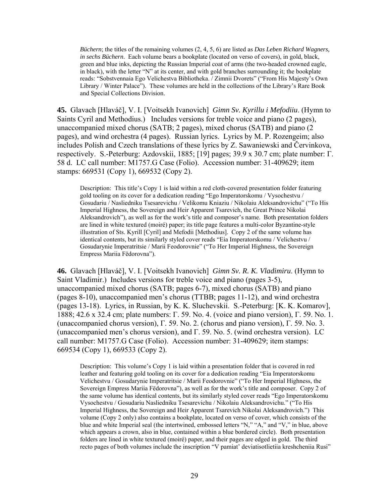*Büchern*; the titles of the remaining volumes (2, 4, 5, 6) are listed as *Das Leben Richard Wagners, in sechs Büchern*. Each volume bears a bookplate (located on verso of covers), in gold, black, green and blue inks, depicting the Russian Imperial coat of arms (the two-headed crowned eagle, in black), with the letter "N" at its center, and with gold branches surrounding it; the bookplate reads: "Sobstvennaia Ego Velichestva Bibliotheka. / Zimnii Dvorets" ("From His Majesty's Own Library / Winter Palace"). These volumes are held in the collections of the Library's Rare Book and Special Collections Division.

**45.** Glavach [Hlaváč], V. I. [Voitsekh Ivanovich] *Gimn Sv. Kyrillu i Mefodiiu*. (Hymn to Saints Cyril and Methodius.) Includes versions for treble voice and piano (2 pages), unaccompanied mixed chorus (SATB; 2 pages), mixed chorus (SATB) and piano (2 pages), and wind orchestra (4 pages). Russian lyrics. Lyrics by M. P. Rozengeim; also includes Polish and Czech translations of these lyrics by Z. Sawaniewski and Červinkova, respectively. S.-Peterburg: Azdovskii, 1885; [19] pages; 39.9 x 30.7 cm; plate number: Г. 58 d. LC call number: M1757.G Case (Folio). Accession number: 31-409629; item stamps: 669531 (Copy 1), 669532 (Copy 2).

Description: This title's Copy 1 is laid within a red cloth-covered presentation folder featuring gold tooling on its cover for a dedication reading "Ego Imperatorskomu / Vysochestvu / Gosudariu / Nasliedniku Tsesarevichu / Velikomu Kniaziu / Nikolaiu Aleksandrovichu" ("To His Imperial Highness, the Sovereign and Heir Apparent Tsarevich, the Great Prince Nikolai Aleksandrovich"), as well as for the work's title and composer's name. Both presentation folders are lined in white textured (moiré) paper; its title page features a multi-color Byzantine-style illustration of Sts. Kyrill [Cyril] and Mefodii [Methodius]. Copy 2 of the same volume has identical contents, but its similarly styled cover reads "Eia Imperatorskomu / Velichestvu / Gosudarynie Imperatritsie / Marii Feodorovnie" ("To Her Imperial Highness, the Sovereign Empress Mariia Fëdorovna").

**46.** Glavach [Hlaváč], V. I. [Voitsekh Ivanovich] *Gimn Sv. R. K. Vladimiru*. (Hymn to Saint Vladimir.) Includes versions for treble voice and piano (pages 3-5), unaccompanied mixed chorus (SATB; pages 6-7), mixed chorus (SATB) and piano (pages 8-10), unaccompanied men's chorus (TTBB; pages 11-12), and wind orchestra (pages 13-18). Lyrics, in Russian, by K. K. Sluchevskii. S.-Peterburg: [K. K. Komarov], 1888; 42.6 x 32.4 cm; plate numbers: Г. 59. No. 4. (voice and piano version), Г. 59. No. 1. (unaccompanied chorus version), Г. 59. No. 2. (chorus and piano version), Г. 59. No. 3. (unaccompanied men's chorus version), and Г. 59. No. 5. (wind orchestra version). LC call number: M1757.G Case (Folio). Accession number: 31-409629; item stamps: 669534 (Copy 1), 669533 (Copy 2).

Description: This volume's Copy 1 is laid within a presentation folder that is covered in red leather and featuring gold tooling on its cover for a dedication reading "Eia Imperatorskomu Velichestvu / Gosudarynie Imperatritsie / Marii Feodorovnie" ("To Her Imperial Highness, the Sovereign Empress Mariia Fëdorovna"), as well as for the work's title and composer. Copy 2 of the same volume has identical contents, but its similarly styled cover reads "Ego Imperatorskomu Vysochestvu / Gosudariu Nasliedniku Tsesarevichu / Nikolaiu Aleksandrovichu." ("To His Imperial Highness, the Sovereign and Heir Apparent Tsarevich Nikolai Aleksandrovich.") This volume (Copy 2 only) also contains a bookplate, located on verso of cover, which consists of the blue and white Imperial seal (the intertwined, embossed letters "N," "A," and "V," in blue, above which appears a crown, also in blue, contained within a blue bordered circle). Both presentation folders are lined in white textured (moiré) paper, and their pages are edged in gold. The third recto pages of both volumes include the inscription "V pamiat' deviatisotlietiia kreshcheniia Rusi"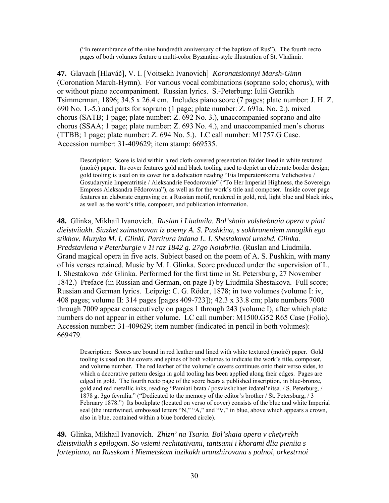("In remembrance of the nine hundredth anniversary of the baptism of Rus"). The fourth recto pages of both volumes feature a multi-color Byzantine-style illustration of St. Vladimir.

**47.** Glavach [Hlaváč], V. I. [Voitsekh Ivanovich] *Koronatsionnyi Marsh-Gimn* (Coronation March-Hymn). For various vocal combinations (soprano solo; chorus), with or without piano accompaniment. Russian lyrics. S.-Peterburg: Iulii Genrikh Tsimmerman, 1896; 34.5 x 26.4 cm. Includes piano score (7 pages; plate number: J. H. Z. 690 No. 1.-5.) and parts for soprano (1 page; plate number: Z. 691a. No. 2.), mixed chorus (SATB; 1 page; plate number: Z. 692 No. 3.), unaccompanied soprano and alto chorus (SSAA; 1 page; plate number: Z. 693 No. 4.), and unaccompanied men's chorus (TTBB; 1 page; plate number: Z. 694 No. 5.). LC call number: M1757.G Case. Accession number: 31-409629; item stamp: 669535.

Description: Score is laid within a red cloth-covered presentation folder lined in white textured (moiré) paper. Its cover features gold and black tooling used to depict an elaborate border design; gold tooling is used on its cover for a dedication reading "Eia Imperatorskomu Velichestvu / Gosudarynie Imperatritsie / Aleksandrie Feodorovnie" ("To Her Imperial Highness, the Sovereign Empress Aleksandra Fëdorovna"), as well as for the work's title and composer. Inside cover page features an elaborate engraving on a Russian motif, rendered in gold, red, light blue and black inks, as well as the work's title, composer, and publication information.

**48.** Glinka, Mikhail Ivanovich. *Ruslan i Liudmila. Bol'shaia volshebnaia opera v piati dieistviiakh. Siuzhet zaimstvovan iz poemy A. S. Pushkina, s sokhraneniem mnogikh ego stikhov. Muzyka M. I. Glinki. Partitura izdana L. I. Shestakovoi urozhd. Glinka. Predstavlena v Peterburgie v 1i raz 1842 g. 27go Noiabriia*. (Ruslan and Liudmila. Grand magical opera in five acts. Subject based on the poem of A. S. Pushkin, with many of his verses retained. Music by M. I. Glinka. Score produced under the supervision of L. I. Shestakova *née* Glinka. Performed for the first time in St. Petersburg, 27 November 1842.) Preface (in Russian and German, on page I) by Liudmila Shestakova. Full score; Russian and German lyrics. Leipzig: C. G. Röder, 1878; in two volumes (volume I: iv, 408 pages; volume II: 314 pages [pages 409-723]); 42.3 x 33.8 cm; plate numbers 7000 through 7009 appear consecutively on pages 1 through 243 (volume I), after which plate numbers do not appear in either volume. LC call number: M1500.G52 R65 Case (Folio). Accession number: 31-409629; item number (indicated in pencil in both volumes): 669479.

Description: Scores are bound in red leather and lined with white textured (moiré) paper. Gold tooling is used on the covers and spines of both volumes to indicate the work's title, composer, and volume number. The red leather of the volume's covers continues onto their verso sides, to which a decorative pattern design in gold tooling has been applied along their edges. Pages are edged in gold. The fourth recto page of the score bears a published inscription, in blue-bronze, gold and red metallic inks, reading "Pamiati brata / posviashchaet izdatel'nitsa. / S. Peterburg, / 1878 g. 3go fevralia." ("Dedicated to the memory of the editor's brother / St. Petersburg, / 3 February 1878.") Its bookplate (located on verso of cover) consists of the blue and white Imperial seal (the intertwined, embossed letters "N," "A," and "V," in blue, above which appears a crown, also in blue, contained within a blue bordered circle).

**49.** Glinka, Mikhail Ivanovich. *Zhizn' na Tsaria. Bol'shaia opera v chetyrekh dieistviiakh s epilogom. So vsiemi rechitativami, tantsami i khorami dlia pieniia s fortepiano, na Russkom i Niemetskom iazikakh aranzhirovana s polnoi, orkestrnoi*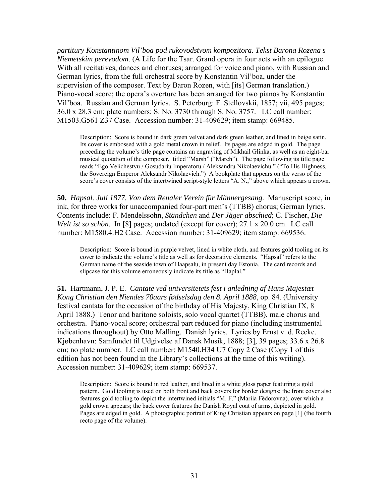*partitury Konstantinom Vil'boa pod rukovodstvom kompozitora. Tekst Barona Rozena s Niemetskim perevodom*. (A Life for the Tsar. Grand opera in four acts with an epilogue. With all recitatives, dances and choruses; arranged for voice and piano, with Russian and German lyrics, from the full orchestral score by Konstantin Vil'boa, under the supervision of the composer. Text by Baron Rozen, with [its] German translation.) Piano-vocal score; the opera's overture has been arranged for two pianos by Konstantin Vil'boa. Russian and German lyrics. S. Peterburg: F. Stellovskii, 1857; vii, 495 pages; 36.0 x 28.3 cm; plate numbers: S. No. 3730 through S. No. 3757. LC call number: M1503.G561 Z37 Case. Accession number: 31-409629; item stamp: 669485.

Description: Score is bound in dark green velvet and dark green leather, and lined in beige satin. Its cover is embossed with a gold metal crown in relief. Its pages are edged in gold. The page preceding the volume's title page contains an engraving of Mikhail Glinka, as well as an eight-bar musical quotation of the composer, titled "Marsh" ("March"). The page following its title page reads "Ego Velichestvu / Gosudariu Imperatoru / Aleksandru Nikolaevichu." ("To His Highness, the Sovereign Emperor Aleksandr Nikolaevich.") A bookplate that appears on the verso of the score's cover consists of the intertwined script-style letters "A. N.," above which appears a crown.

**50.** *Hapsal. Juli 1877. Von dem Renaler Verein für Männergesang*. Manuscript score, in ink, for three works for unaccompanied four-part men's (TTBB) chorus; German lyrics. Contents include: F. Mendelssohn, *Ständchen* and *Der Jäger abschied*; C. Fischer, *Die Welt ist so schön*. In [8] pages; undated (except for cover); 27.1 x 20.0 cm. LC call number: M1580.4.H2 Case. Accession number: 31-409629; item stamp: 669536.

Description: Score is bound in purple velvet, lined in white cloth, and features gold tooling on its cover to indicate the volume's title as well as for decorative elements. "Hapsal" refers to the German name of the seaside town of Haapsalu, in present day Estonia. The card records and slipcase for this volume erroneously indicate its title as "Haplal."

**51.** Hartmann, J. P. E. *Cantate ved universitetets fest i anledning af Hans Majestæt Kong Christian den Niendes 70aars fødselsdag den 8. April 1888*, op. 84. (University festival cantata for the occasion of the birthday of His Majesty, King Christian IX, 8 April 1888.) Tenor and baritone soloists, solo vocal quartet (TTBB), male chorus and orchestra. Piano-vocal score; orchestral part reduced for piano (including instrumental indications throughout) by Otto Malling. Danish lyrics. Lyrics by Ernst v. d. Recke. Kjøbenhavn: Samfundet til Udgivelse af Dansk Musik, 1888; [3], 39 pages; 33.6 x 26.8 cm; no plate number. LC call number: M1540.H34 U7 Copy 2 Case (Copy 1 of this edition has not been found in the Library's collections at the time of this writing). Accession number: 31-409629; item stamp: 669537.

Description: Score is bound in red leather, and lined in a white gloss paper featuring a gold pattern. Gold tooling is used on both front and back covers for border designs; the front cover also features gold tooling to depict the intertwined initials "M. F." (Mariia Fëdorovna), over which a gold crown appears; the back cover features the Danish Royal coat of arms, depicted in gold. Pages are edged in gold. A photographic portrait of King Christian appears on page [1] (the fourth recto page of the volume).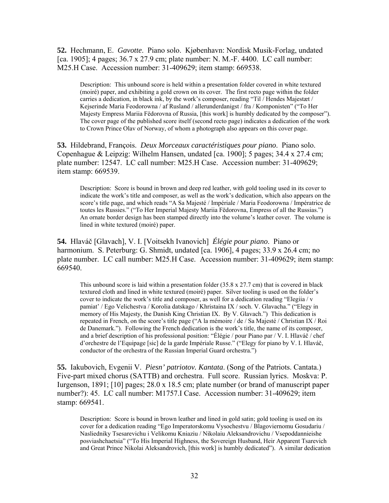**52.** Hechmann, E. *Gavotte*. Piano solo. Kjøbenhavn: Nordisk Musik-Forlag, undated [ca. 1905]; 4 pages; 36.7 x 27.9 cm; plate number: N. M.-F. 4400. LC call number: M25.H Case. Accession number: 31-409629; item stamp: 669538.

Description: This unbound score is held within a presentation folder covered in white textured (moiré) paper, and exhibiting a gold crown on its cover. The first recto page within the folder carries a dedication, in black ink, by the work's composer, reading "Til / Hendes Majestæt / Kejserinde Maria Feodorowna / af Rusland / allerunderdanigst / fra / Komponisten" ("To Her Majesty Empress Mariia Fëdorovna of Russia, [this work] is humbly dedicated by the composer"). The cover page of the published score itself (second recto page) indicates a dedication of the work to Crown Prince Olav of Norway, of whom a photograph also appears on this cover page.

**53.** Hildebrand, François. *Deux Morceaux caractéristiques pour piano*. Piano solo. Copenhague & Leipzig: Wilhelm Hansen, undated [ca. 1900]; 5 pages; 34.4 x 27.4 cm; plate number: 12547. LC call number: M25.H Case. Accession number: 31-409629; item stamp: 669539.

Description: Score is bound in brown and deep red leather, with gold tooling used in its cover to indicate the work's title and composer, as well as the work's dedication, which also appears on the score's title page, and which reads "A Sa Majesté / Impériale / Maria Feodorowna / Impératrice de toutes les Russies." ("To Her Imperial Majesty Mariia Fëdorovna, Empress of all the Russias.") An ornate border design has been stamped directly into the volume's leather cover. The volume is lined in white textured (moiré) paper.

**54.** Hlaváč [Glavach], V. I. [Voitsekh Ivanovich] *Élégie pour piano*. Piano or harmonium. S. Peterburg: G. Shmidt, undated [ca. 1906], 4 pages; 33.9 x 26.4 cm; no plate number. LC call number: M25.H Case. Accession number: 31-409629; item stamp: 669540.

This unbound score is laid within a presentation folder  $(35.8 \times 27.7 \text{ cm})$  that is covered in black textured cloth and lined in white textured (moiré) paper. Silver tooling is used on the folder's cover to indicate the work's title and composer, as well for a dedication reading "Elegiia / v pamiat' / Ego Velichestva / Korolia datskago / Khristaina IX / soch. V. Glavacha." ("Elegy in memory of His Majesty, the Danish King Christian IX. By V. Glavach.") This dedication is repeated in French, on the score's title page ("A la mémoire / de / Sa Majesté / Christian IX / Roi de Danemark."). Following the French dedication is the work's title, the name of its composer, and a brief description of his professional position: "Élégie / pour Piano par / V. I. Hlaváč / chef d'orchestre de l'Equipage [sic] de la garde Impériale Russe." ("Elegy for piano by V. I. Hlaváč, conductor of the orchestra of the Russian Imperial Guard orchestra.")

**55.** Iakubovich, Evgenii V. *Piesn' patriotov. Kantata*. (Song of the Patriots. Cantata.) Five-part mixed chorus (SATTB) and orchestra. Full score. Russian lyrics. Moskva: P. Iurgenson, 1891; [10] pages; 28.0 x 18.5 cm; plate number (or brand of manuscript paper number?): 45. LC call number: M1757.I Case. Accession number: 31-409629; item stamp: 669541.

Description: Score is bound in brown leather and lined in gold satin; gold tooling is used on its cover for a dedication reading "Ego Imperatorskomu Vysochestvu / Blagoviernomu Gosudariu / Nasliedniky Tsesarevichu i Velikomu Kniaziu / Nikolaiu Aleksandrovichu / Vsepoddannieishe posviashchaetsia" ("To His Imperial Highness, the Sovereign Husband, Heir Apparent Tsarevich and Great Prince Nikolai Aleksandrovich, [this work] is humbly dedicated"). A similar dedication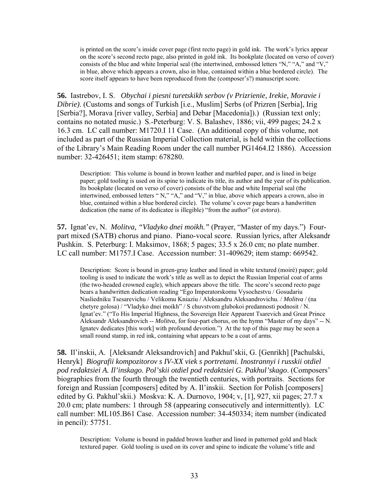is printed on the score's inside cover page (first recto page) in gold ink. The work's lyrics appear on the score's second recto page, also printed in gold ink. Its bookplate (located on verso of cover) consists of the blue and white Imperial seal (the intertwined, embossed letters "N," "A," and "V," in blue, above which appears a crown, also in blue, contained within a blue bordered circle). The score itself appears to have been reproduced from the (composer's?) manuscript score.

**56.** Iastrebov, I. S. *Obychai i piesni turetskikh serbov (v Prizrienie, Irekie, Moravie i Dibrie)*. (Customs and songs of Turkish [i.e., Muslim] Serbs (of Prizren [Serbia], Irig [Serbia?], Morava [river valley, Serbia] and Debar [Macedonia]).) (Russian text only; contains no notated music.) S.-Peterburg: V. S. Balashev, 1886; vii, 499 pages; 24.2 x 16.3 cm. LC call number: M1720.I 11 Case. (An additional copy of this volume, not included as part of the Russian Imperial Collection material, is held within the collections of the Library's Main Reading Room under the call number PG1464.I2 1886). Accession number: 32-426451; item stamp: 678280.

Description: This volume is bound in brown leather and marbled paper, and is lined in beige paper; gold tooling is used on its spine to indicate its title, its author and the year of its publication. Its bookplate (located on verso of cover) consists of the blue and white Imperial seal (the intertwined, embossed letters " N," "A," and "V," in blue, above which appears a crown, also in blue, contained within a blue bordered circle). The volume's cover page bears a handwritten dedication (the name of its dedicatee is illegible) "from the author" (*ot avtora*).

**57.** Ignat'ev, N. *Molitva, "Vladyko dnei moikh."* (Prayer, "Master of my days.") Fourpart mixed (SATB) chorus and piano. Piano-vocal score. Russian lyrics, after Aleksandr Pushkin. S. Peterburg: I. Maksimov, 1868; 5 pages; 33.5 x 26.0 cm; no plate number. LC call number: M1757.I Case. Accession number: 31-409629; item stamp: 669542.

Description: Score is bound in green-gray leather and lined in white textured (moiré) paper; gold tooling is used to indicate the work's title as well as to depict the Russian Imperial coat of arms (the two-headed crowned eagle), which appears above the title. The score's second recto page bears a handwritten dedication reading "Ego Imperatorskomu Vysochestvu / Gosudariu Nasliedniku Tsesarevichu / Velikomu Kniaziu / Aleksandru Aleksandrovichu. / *Molitva* / (na chetyre golosa) / "Vladyko dnei moikh" / S chuvstvom glubokoi predannosti podnosit / N. Ignat'ev." ("To His Imperial Highness, the Sovereign Heir Apparent Tsarevich and Great Prince Aleksandr Aleksandrovich -- *Molitva*, for four-part chorus, on the hymn "Master of my days" -- N. Ignatev dedicates [this work] with profound devotion.") At the top of this page may be seen a small round stamp, in red ink, containing what appears to be a coat of arms.

**58.** Il'inskii, A. [Aleksandr Aleksandrovich] and Pakhul'skii, G. [Genrikh] [Pachulski, Henryk] *Biografii kompozitorov s IV-XX viek s portretami. Inostrannyi i russkii otdiel pod redaktsiei A. Il'inskago. Pol'skii otdiel pod redaktsiei G. Pakhul'skago*. (Composers' biographies from the fourth through the twentieth centuries, with portraits. Sections for foreign and Russian [composers] edited by A. Il'inskii. Section for Polish [composers] edited by G. Pakhul'skii.) Moskva: K. A. Durnovo, 1904; v, [1], 927, xii pages; 27.7 x 20.0 cm; plate numbers: 1 through 58 (appearing consecutively and intermittently). LC call number: ML105.B61 Case. Accession number: 34-450334; item number (indicated in pencil): 57751.

Description: Volume is bound in padded brown leather and lined in patterned gold and black textured paper. Gold tooling is used on its cover and spine to indicate the volume's title and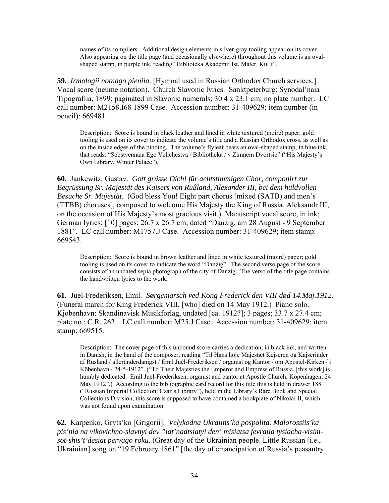names of its compilers. Additional design elements in silver-gray tooling appear on its cover. Also appearing on the title page (and occasionally elsewhere) throughout this volume is an ovalshaped stamp, in purple ink, reading "Biblioteka Akademii Ist. Mater. Kul't".

**59.** *Irmologii notnago pieniia*. [Hymnal used in Russian Orthodox Church services.] Vocal score (neume notation). Church Slavonic lyrics. Sanktpeterburg: Synodal'naia Tipografiia, 1899; paginated in Slavonic numerals; 30.4 x 23.1 cm; no plate number. LC call number: M2158.I68 1899 Case. Accession number: 31-409629; item number (in pencil): 669481.

Description: Score is bound in black leather and lined in white textured (moiré) paper; gold tooling is used on its cover to indicate the volume's title and a Russian Orthodox cross, as well as on the inside edges of the binding. The volume's flyleaf bears an oval-shaped stamp, in blue ink, that reads: "Sobstvennaia Ego Velichestva / Bibliotheka / v Zimnem Dvortsie" ("His Majesty's Own Library, Winter Palace").

**60.** Jankewitz, Gustav. *Gott grüsse Dich! für achtstimmigen Chor, componirt zur Begrüssung Sr. Majestät des Kaisers von Rußland, Alexander III, bei dem hüldvollen Besuche Sr. Majestät*. (God bless You! Eight part chorus [mixed (SATB) and men's (TTBB) choruses], composed to welcome His Majesty the King of Russia, Aleksandr III, on the occasion of His Majesty's most gracious visit.) Manuscript vocal score, in ink; German lyrics; [10] pages; 26.7 x 26.7 cm; dated "Danzig, am 28 August - 9 September 1881". LC call number: M1757.J Case. Accession number: 31-409629; item stamp: 669543.

Description: Score is bound in brown leather and lined in white textured (moiré) paper; gold tooling is used on its cover to indicate the word "Danzig". The second verso page of the score consists of an undated sepia photograph of the city of Danzig. The verso of the title page contains the handwritten lyrics to the work.

**61.** Juel-Frederiksen, Emil. *Sørgemarsch ved Kong Frederick den VIII død 14.Maj.1912.*  (Funeral march for King Frederick VIII, [who] died on 14 May 1912.) Piano solo. Kjøbenhavn: Skandinavisk Musikforlag, undated [ca. 1912?]; 3 pages; 33.7 x 27.4 cm; plate no.: C.R. 262. LC call number: M25.J Case. Accession number: 31-409629; item stamp: 669515.

Description: The cover page of this unbound score carries a dedication, in black ink, and written in Danish, in the hand of the composer, reading "Til Hans hoje Majestæt Kejseren og Kajserinder af Rüsland / alleründerdanigst / Emil Juèl-Frederiksen / organist og Kantor / om Apostel-Kirken / i Köbenhavn / 24-5-1912". ("To Their Majesties the Emperor and Empress of Russia, [this work] is humbly dedicated. Emil Juèl-Frederiksen, organist and cantor at Apostle Church, Kopenhagen, 24 May 1912".) According to the bibliographic card record for this title this is held in drawer 188 ("Russian Imperial Collection: Czar's Library"), held in the Library's Rare Book and Special Collections Division, this score is supposed to have contained a bookplate of Nikolai II, which was not found upon examination.

**62.** Karpenko, Gryts'ko [Grigorii]. *Velykodna Ukraiins'ka pospolita. Malorossiis'ka pis'nia na vikovichno-slavnyi dev "iat'nadtsiatyi den' misiatsa fevralia tysiacha-visimsot-shis't'desiat pervago roku*. (Great day of the Ukrainian people. Little Russian [i.e., Ukrainian] song on "19 February 1861" [the day of emancipation of Russia's peasantry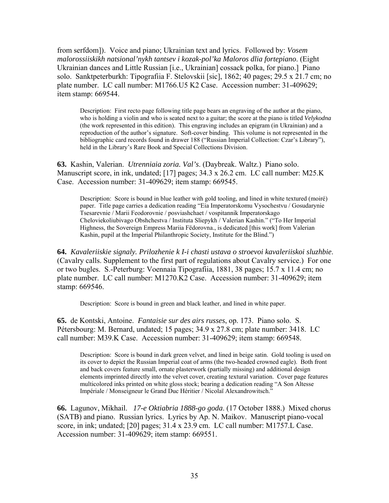from serfdom]). Voice and piano; Ukrainian text and lyrics. Followed by: *Vosem malorossiiskikh natsional'nykh tantsev i kozak-pol'ka Maloros dlia fortepiano*. (Eight Ukrainian dances and Little Russian [i.e., Ukrainian] cossack polka, for piano.] Piano solo. Sanktpeterburkh: Tipografiia F. Stelovskii [sic], 1862; 40 pages; 29.5 x 21.7 cm; no plate number. LC call number: M1766.U5 K2 Case. Accession number: 31-409629; item stamp: 669544.

Description: First recto page following title page bears an engraving of the author at the piano, who is holding a violin and who is seated next to a guitar; the score at the piano is titled *Velykodna* (the work represented in this edition). This engraving includes an epigram (in Ukrainian) and a reproduction of the author's signature. Soft-cover binding. This volume is not represented in the bibliographic card records found in drawer 188 ("Russian Imperial Collection: Czar's Library"), held in the Library's Rare Book and Special Collections Division.

**63.** Kashin, Valerian. *Utrenniaia zoria. Val's*. (Daybreak. Waltz.) Piano solo. Manuscript score, in ink, undated; [17] pages; 34.3 x 26.2 cm. LC call number: M25.K Case. Accession number: 31-409629; item stamp: 669545.

Description: Score is bound in blue leather with gold tooling, and lined in white textured (moiré) paper. Title page carries a dedication reading "Eia Imperatorskomu Vysochestvu / Gosudarynie Tsesarevnie / Marii Feodorovnie / posviashchaet / vospitannik Imperatorskago Cheloviekoliubivago Obshchestva / Instituta Sliepykh / Valerian Kashin." ("To Her Imperial Highness, the Sovereign Empress Mariia Fëdorovna., is dedicated [this work] from Valerian Kashin, pupil at the Imperial Philanthropic Society, Institute for the Blind.")

**64.** *Kavaleriiskie signaly. Prilozhenie k I-i chasti ustava o stroevoi kavaleriiskoi sluzhbie*. (Cavalry calls. Supplement to the first part of regulations about Cavalry service.) For one or two bugles. S.-Peterburg: Voennaia Tipografiia, 1881, 38 pages; 15.7 x 11.4 cm; no plate number. LC call number: M1270.K2 Case. Accession number: 31-409629; item stamp: 669546.

Description: Score is bound in green and black leather, and lined in white paper.

**65.** de Kontski, Antoine. *Fantaisie sur des airs russes*, op. 173. Piano solo. S. Pétersbourg: M. Bernard, undated; 15 pages; 34.9 x 27.8 cm; plate number: 3418. LC call number: M39.K Case. Accession number: 31-409629; item stamp: 669548.

Description: Score is bound in dark green velvet, and lined in beige satin. Gold tooling is used on its cover to depict the Russian Imperial coat of arms (the two-headed crowned eagle). Both front and back covers feature small, ornate plasterwork (partially missing) and additional design elements imprinted directly into the velvet cover, creating textural variation. Cover page features multicolored inks printed on white gloss stock; bearing a dedication reading "A Son Altesse Impériale / Monseigneur le Grand Duc Héritier / Nicolaï Alexandrowitsch."

**66.** Lagunov, Mikhail. *17-e Oktiabria 1888-go goda*. (17 October 1888.) Mixed chorus (SATB) and piano. Russian lyrics. Lyrics by Ap. N. Maikov. Manuscript piano-vocal score, in ink; undated; [20] pages; 31.4 x 23.9 cm. LC call number: M1757.L Case. Accession number: 31-409629; item stamp: 669551.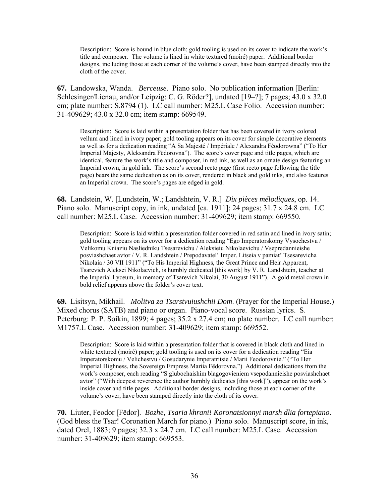Description: Score is bound in blue cloth; gold tooling is used on its cover to indicate the work's title and composer. The volume is lined in white textured (moiré) paper. Additional border designs, inc luding those at each corner of the volume's cover, have been stamped directly into the cloth of the cover.

**67.** Landowska, Wanda. *Berceuse*. Piano solo. No publication information [Berlin: Schlesinger/Lienau, and/or Leipzig: C. G. Röder?], undated [19–?]; 7 pages; 43.0 x 32.0 cm; plate number: S.8794 (1). LC call number: M25.L Case Folio. Accession number: 31-409629; 43.0 x 32.0 cm; item stamp: 669549.

Description: Score is laid within a presentation folder that has been covered in ivory colored vellum and lined in ivory paper; gold tooling appears on its cover for simple decorative elements as well as for a dedication reading "A Sa Majesté / Impériale / Alexandra Féodorowna" ("To Her Imperial Majesty, Aleksandra Fëdorovna"). The score's cover page and title pages, which are identical, feature the work's title and composer, in red ink, as well as an ornate design featuring an Imperial crown, in gold ink. The score's second recto page (first recto page following the title page) bears the same dedication as on its cover, rendered in black and gold inks, and also features an Imperial crown. The score's pages are edged in gold.

**68.** Landstein, W. [Lundstein, W.; Landshtein, V. R.] *Dix pièces mélodiques*, op. 14. Piano solo. Manuscript copy, in ink, undated [ca. 1911]; 24 pages; 31.7 x 24.8 cm. LC call number: M25.L Case. Accession number: 31-409629; item stamp: 669550.

Description: Score is laid within a presentation folder covered in red satin and lined in ivory satin; gold tooling appears on its cover for a dedication reading "Ego Imperatorskomy Vysochestvu / Velikomu Kniaziu Nasliedniku Tsesarevichu / Aleksieiu Nikolaevichu / Vsepredannieishe posviashchaet avtor / V. R. Landshtein / Prepodavatel' Imper. Litseia v pamiat' Tsesarevicha Nikolaia / 30 VII 1911" ("To His Imperial Highness, the Great Prince and Heir Apparent, Tsarevich Aleksei Nikolaevich, is humbly dedicated [this work] by V. R. Landshtein, teacher at the Imperial Lyceum, in memory of Tsarevich Nikolai, 30 August 1911"). A gold metal crown in bold relief appears above the folder's cover text.

**69.** Lisitsyn, Mikhail. *Molitva za Tsarstvuiushchii Dom*. (Prayer for the Imperial House.) Mixed chorus (SATB) and piano or organ. Piano-vocal score. Russian lyrics. S. Peterburg: P. P. Soikin, 1899; 4 pages; 35.2 x 27.4 cm; no plate number. LC call number: M1757.L Case. Accession number: 31-409629; item stamp: 669552.

Description: Score is laid within a presentation folder that is covered in black cloth and lined in white textured (moiré) paper; gold tooling is used on its cover for a dedication reading "Eia Imperatorskomu / Velichestvu / Gosudarynie Imperatritsie / Marii Feodorovnie." ("To Her Imperial Highness, the Sovereign Empress Mariia Fëdorovna.") Additional dedications from the work's composer, each reading "S glubochaishim blagogovieniem vsepodannieishe posviashchaet avtor" ("With deepest reverence the author humbly dedicates [this work]"), appear on the work's inside cover and title pages. Additional border designs, including those at each corner of the volume's cover, have been stamped directly into the cloth of its cover.

**70.** Liuter, Feodor [Fëdor]. *Bozhe, Tsaria khrani! Koronatsionnyi marsh dlia fortepiano*. (God bless the Tsar! Coronation March for piano.) Piano solo. Manuscript score, in ink, dated Orel, 1883; 9 pages; 32.3 x 24.7 cm. LC call number: M25.L Case. Accession number: 31-409629; item stamp: 669553.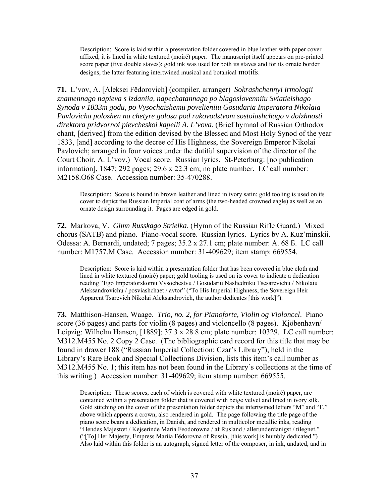Description: Score is laid within a presentation folder covered in blue leather with paper cover affixed; it is lined in white textured (moiré) paper. The manuscript itself appears on pre-printed score paper (five double staves); gold ink was used for both its staves and for its ornate border designs, the latter featuring intertwined musical and botanical motifs.

**71.** L'vov, A. [Aleksei Fëdorovich] (compiler, arranger) *Sokrashchennyi irmologii znamennago napieva s izdaniia, napechatannago po blagoslovenniiu Sviatieishago Synoda v 1833m godu, po Vysochaishemu povelieniiu Gosudaria Imperatora Nikolaia Pavlovicha polozhen na chetyre golosa pod rukovodstvom sostoiashchago v dolzhnosti direktora pridvornoi pievcheskoi kapelli A. L'vova*. (Brief hymnal of Russian Orthodox chant, [derived] from the edition devised by the Blessed and Most Holy Synod of the year 1833, [and] according to the decree of His Highness, the Sovereign Emperor Nikolai Pavlovich; arranged in four voices under the dutiful supervision of the director of the Court Choir, A. L'vov.) Vocal score. Russian lyrics. St-Peterburg: [no publication information], 1847; 292 pages; 29.6 x 22.3 cm; no plate number. LC call number: M2158.O68 Case. Accession number: 35-470288.

Description: Score is bound in brown leather and lined in ivory satin; gold tooling is used on its cover to depict the Russian Imperial coat of arms (the two-headed crowned eagle) as well as an ornate design surrounding it. Pages are edged in gold.

**72.** Markova, V. *Gimn Russkago Strielka*. (Hymn of the Russian Rifle Guard.) Mixed chorus (SATB) and piano. Piano-vocal score. Russian lyrics. Lyrics by A. Kuz'minskii. Odessa: A. Bernardi, undated; 7 pages; 35.2 x 27.1 cm; plate number: A. 68 Б. LC call number: M1757.M Case. Accession number: 31-409629; item stamp: 669554.

Description: Score is laid within a presentation folder that has been covered in blue cloth and lined in white textured (moiré) paper; gold tooling is used on its cover to indicate a dedication reading "Ego Imperatorskomu Vysochestvu / Gosudariu Nasliedniku Tsesarevichu / Nikolaiu Aleksandrovichu / posviashchaet / avtor" ("To His Imperial Highness, the Sovereign Heir Apparent Tsarevich Nikolai Aleksandrovich, the author dedicates [this work]").

**73.** Matthison-Hansen, Waage. *Trio, no. 2, for Pianoforte, Violin og Violoncel*. Piano score (36 pages) and parts for violin (8 pages) and violoncello (8 pages). Kjöbenhavn/ Leipzig: Wilhelm Hansen, [1889]; 37.3 x 28.8 cm; plate number: 10329. LC call number: M312.M455 No. 2 Copy 2 Case. (The bibliographic card record for this title that may be found in drawer 188 ("Russian Imperial Collection: Czar's Library"), held in the Library's Rare Book and Special Collections Division, lists this item's call number as M312.M455 No. 1; this item has not been found in the Library's collections at the time of this writing.) Accession number: 31-409629; item stamp number: 669555.

Description: These scores, each of which is covered with white textured (moiré) paper, are contained within a presentation folder that is covered with beige velvet and lined in ivory silk. Gold stitching on the cover of the presentation folder depicts the intertwined letters "M" and "F," above which appears a crown, also rendered in gold. The page following the title page of the piano score bears a dedication, in Danish, and rendered in multicolor metallic inks, reading "Hendes Majestœt / Kejserinde Maria Feodorowna / af Rusland / allerunderdanigst / tilegnet." ("[To] Her Majesty, Empress Mariia Fëdorovna of Russia, [this work] is humbly dedicated.") Also laid within this folder is an autograph, signed letter of the composer, in ink, undated, and in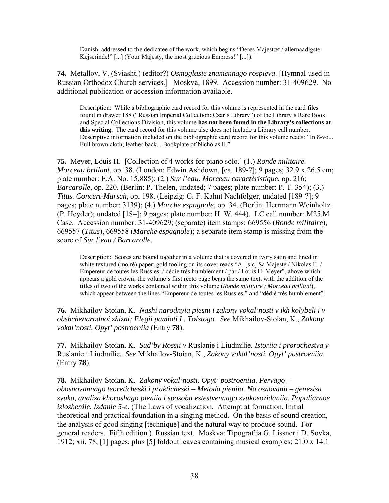Danish, addressed to the dedicatee of the work, which begins "Deres Majestœt / allernaadigste Kejserinde!" [...] (Your Majesty, the most gracious Empress!" [...]).

**74.** Metallov, V. (Sviasht.) (editor?) *Osmoglasie znamennago rospieva*. [Hymnal used in Russian Orthodox Church services.] Moskva, 1899. Accession number: 31-409629. No additional publication or accession information available.

Description: While a bibliographic card record for this volume is represented in the card files found in drawer 188 ("Russian Imperial Collection: Czar's Library") of the Library's Rare Book and Special Collections Division, this volume **has not been found in the Library's collections at this writing.** The card record for this volume also does not include a Library call number. Descriptive information included on the bibliographic card record for this volume reads: "In 8-vo... Full brown cloth; leather back... Bookplate of Nicholas II."

**75.** Meyer, Louis H. [Collection of 4 works for piano solo.] (1.) *Ronde militaire. Morceau brillant*, op. 38. (London: Edwin Ashdown, [ca. 189-?]; 9 pages; 32.9 x 26.5 cm; plate number: E.A. No. 15,885); (2.) *Sur l'eau. Morceau caractéristique*, op. 216; *Barcarolle*, op. 220. (Berlin: P. Thelen, undated; 7 pages; plate number: P. T. 354); (3.) *Titus. Concert-Marsch*, op. 198. (Leipzig: C. F. Kahnt Nachfolger, undated [189-?]; 9 pages; plate number: 3139); (4.) *Marche espagnole*, op. 34. (Berlin: Herrmann Weinholtz (P. Heyder); undated [18–]; 9 pages; plate number: H. W. 444). LC call number: M25.M Case. Accession number: 31-409629; (separate) item stamps: 669556 (*Ronde militaire*), 669557 (*Titus*), 669558 (*Marche espagnole*); a separate item stamp is missing from the score of *Sur l'eau / Barcarolle*.

Description: Scores are bound together in a volume that is covered in ivory satin and lined in white textured (moiré) paper; gold tooling on its cover reads "A. [sic] Sa Majesté / Nikolas II. / Empereur de toutes les Russies, / dédié très humblement / par / Louis H. Meyer", above which appears a gold crown; the volume's first recto page bears the same text, with the addition of the titles of two of the works contained within this volume (*Ronde militaire / Morceau brillant*), which appear between the lines "Empereur de toutes les Russies," and "dédié très humblement".

**76.** Mikhailov-Stoian, K. *Nashi narodnyia piesni i zakony vokal'nosti v ikh kolybeli i v obshchenarodnoi zhizni; Elegii pamiati L. Tolstogo. See* Mikhailov-Stoian, K., *Zakony vokal'nosti. Opyt' postroeniia* (Entry **78**).

**77.** Mikhailov-Stoian, K. *Sud'by Rossii v* Ruslanie i Liudmilie*. Istoriia i prorochestva v*  Ruslanie i Liudmilie*. See* Mikhailov-Stoian, K., *Zakony vokal'nosti. Opyt' postroeniia*  (Entry **78**).

**78.** Mikhailov-Stoian, K. *Zakony vokal'nosti. Opyt' postroeniia. Pervago – obosnovannago teoreticheski i prakticheski – Metoda pieniia. Na osnovanii – genezisa zvuka, analiza khoroshago pieniia i sposoba estestvennago zvukosozidaniia. Populiarnoe izlozheniie. Izdanie 5-e.* (The Laws of vocalization. Attempt at formation. Initial theoretical and practical foundation in a singing method. On the basis of sound creation, the analysis of good singing [technique] and the natural way to produce sound. For general readers. Fifth edition.) Russian text. Moskva: Tipografiia G. Lissner i D. Sovka, 1912; xii, 78, [1] pages, plus [5] foldout leaves containing musical examples; 21.0 x 14.1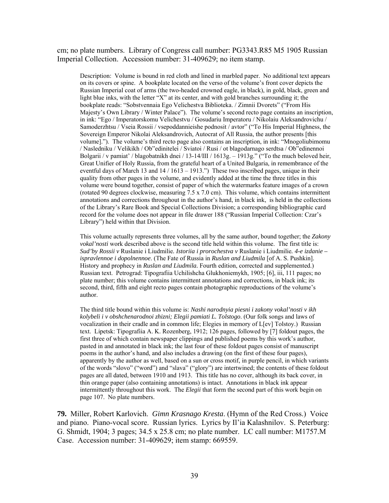cm; no plate numbers. Library of Congress call number: PG3343.R85 M5 1905 Russian Imperial Collection. Accession number: 31-409629; no item stamp.

Description: Volume is bound in red cloth and lined in marbled paper. No additional text appears on its covers or spine. A bookplate located on the verso of the volume's front cover depicts the Russian Imperial coat of arms (the two-headed crowned eagle, in black), in gold, black, green and light blue inks, with the letter "X" at its center, and with gold branches surrounding it; the bookplate reads: "Sobstvennaia Ego Velichestva Biblioteka. / Zimnii Dvorets" ("From His Majesty's Own Library / Winter Palace"). The volume's second recto page contains an inscription, in ink: "Ego / Imperatorskomu Velichestvu / Gosudariu Imperatoru / Nikolaiu Aleksandrovichu / Samoderzhtsu / Vseia Rossii / vsepoddannieishe podnosit / avtor" ("To His Imperial Highness, the Sovereign Emperor Nikolai Aleksandrovich, Autocrat of All Russia, the author presents [this volume]."). The volume's third recto page also contains an inscription, in ink: "Mnogoliubimomu / Nasledniku / Velikikh / Ob"edinitelei / Sviatoi / Rusi / ot blagodarnago serdtsa / Ob"edinennoi Bolgarii / v pamiat' / blagobatnikh dnei / 13-14/III / 1613g. – 1913g." ("To the much beloved heir, Great Unifier of Holy Russia, from the grateful heart of a United Bulgaria, in remembrance of the eventful days of March 13 and  $14 / 1613 - 1913$ .") These two inscribed pages, unique in their quality from other pages in the volume, and evidently added at the time the three titles in this volume were bound together, consist of paper of which the watermarks feature images of a crown (rotated 90 degrees clockwise, measuring 7.5 x 7.0 cm). This volume, which contains intermittent annotations and corrections throughout in the author's hand, in black ink, is held in the collections of the Library's Rare Book and Special Collections Division; a corresponding bibliographic card record for the volume does not appear in file drawer 188 ("Russian Imperial Collection: Czar's Library") held within that Division.

This volume actually represents three volumes, all by the same author, bound together; the *Zakony vokal'nosti* work described above is the second title held within this volume. The first title is: *Sud'by Rossii v* Ruslanie i Liudmilie*. Istoriia i prorochestva v* Ruslanie i Liudmilie*. 4-e izdanie – ispravlennoe i dopolnennoe*. (The Fate of Russia in *Ruslan and Liudmila* [of A. S. Pushkin]. History and prophecy in *Ruslan and Liudmila.* Fourth edition, corrected and supplemented.) Russian text. Petrograd: Tipografiia Uchilishcha Glukhoniemykh, 1905; [6], iii, 111 pages; no plate number; this volume contains intermittent annotations and corrections, in black ink; its second, third, fifth and eight recto pages contain photographic reproductions of the volume's author.

The third title bound within this volume is: *Nashi narodnyia piesni i zakony vokal'nosti v ikh kolybeli i v obshchenarodnoi zhizni; Elegii pamiati L. Tolstogo*. (Our folk songs and laws of vocalization in their cradle and in common life; Elegies in memory of L[ev] Tolstoy.) Russian text. Lipetsk: Tipografiia A. K. Rozenberg, 1912; 126 pages, followed by [7] foldout pages, the first three of which contain newspaper clippings and published poems by this work's author, pasted in and annotated in black ink; the last four of these foldout pages consist of manuscript poems in the author's hand, and also includes a drawing (on the first of these four pages), apparently by the author as well, based on a sun or cross motif, in purple pencil, in which variants of the words "slovo" ("word") and "slava" ("glory") are intertwined; the contents of these foldout pages are all dated, between 1910 and 1913. This title has no cover, although its back cover, in thin orange paper (also containing annotations) is intact. Annotations in black ink appear intermittently throughout this work. The *Elegii* that form the second part of this work begin on page 107. No plate numbers.

**79.** Miller, Robert Karlovich. *Gimn Krasnago Kresta*. (Hymn of the Red Cross.) Voice and piano. Piano-vocal score. Russian lyrics. Lyrics by Il'ia Kalashnilov. S. Peterburg: G. Shmidt, 1904; 3 pages; 34.5 x 25.8 cm; no plate number. LC call number: M1757.M Case. Accession number: 31-409629; item stamp: 669559.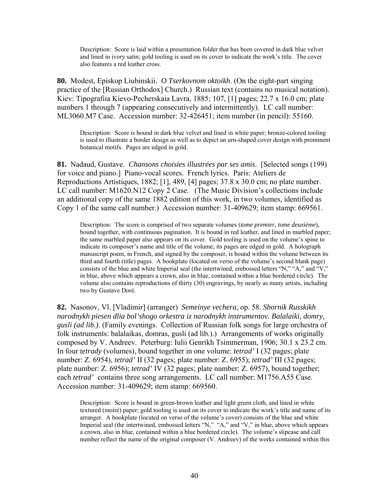Description: Score is laid within a presentation folder that has been covered in dark blue velvet and lined in ivory satin; gold tooling is used on its cover to indicate the work's title. The cover also features a red leather cross.

**80.** Modest, Episkop Liubinskii. *O Tserkovnom oktoikh*. (On the eight-part singing practice of the [Russian Orthodox] Church.) Russian text (contains no musical notation). Kiev: Tipografiia Kievo-Pecherskaia Lavra, 1885; 107, [1] pages; 22.7 x 16.0 cm; plate numbers 1 through 7 (appearing consecutively and intermittently). LC call number: ML3060.M7 Case. Accession number: 32-426451; item number (in pencil): 55160.

Description: Score is bound in dark blue velvet and lined in white paper; bronze-colored tooling is used to illustrate a border design as well as to depict an urn-shaped cover design with prominent botanical motifs. Pages are edged in gold.

**81.** Nadaud, Gustave. *Chansons choisies illustrées par ses amis*. [Selected songs (199) for voice and piano.] Piano-vocal scores. French lyrics. Paris: Ateliers de Reproductions Artistiques, 1882; [1], 489, [4] pages; 37.8 x 30.0 cm; no plate number. LC call number: M1620.N12 Copy 2 Case. (The Music Division's collections include an additional copy of the same 1882 edition of this work, in two volumes, identified as Copy 1 of the same call number.) Accession number: 31-409629; item stamp: 669561.

Description: The score is comprised of two separate volumes (*tome premier, tome deuxième*), bound together, with continuous pagination. It is bound in red leather, and lined in marbled paper; the same marbled paper also appears on its cover. Gold tooling is used on the volume's spine to indicate its composer's name and title of the volume; its pages are edged in gold. A holograph manuscript poem, in French, and signed by the composer, is bound within the volume between its third and fourth (title) pages. A bookplate (located on verso of the volume's second blank page) consists of the blue and white Imperial seal (the intertwined, embossed letters "N," "A," and "V," in blue, above which appears a crown, also in blue, contained within a blue bordered circle). The volume also contains reproductions of thirty (30) engravings, by nearly as many artists, including two by Gustave Doré.

**82.** Nasonov, Vl. [Vladimir] (arranger) *Semeinye vechera*, op. 58. *Sbornik Russkikh narodnykh piesen dlia bol'shogo orkestra iz narodnykh instrumentov. Balalaiki, domry, gusli (ad lib.)*. (Family evenings. Collection of Russian folk songs for large orchestra of folk instruments: balalaikas, domras, gusli (ad lib.).) Arrangements of works originally composed by V. Andreev. Peterburg: Iulii Genrikh Tsimmerman, 1906; 30.1 x 23.2 cm. In four *tetrady* (volumes), bound together in one volume: *tetrad'* I (32 pages; plate number: Z. 6954), *tetrad'* II (32 pages; plate number: Z. 6955); *tetrad'* III (32 pages; plate number: Z. 6956); *tetrad'* IV (32 pages; plate number: Z. 6957), bound together; each *tetrad'* contains three song arrangements. LC call number: M1756.A55 Case. Accession number: 31-409629; item stamp: 669560.

Description: Score is bound in green-brown leather and light green cloth, and lined in white textured (moiré) paper; gold tooling is used on its cover to indicate the work's title and name of its arranger. A bookplate (located on verso of the volume's cover) consists of the blue and white Imperial seal (the intertwined, embossed letters "N," "A," and "V," in blue, above which appears a crown, also in blue, contained within a blue bordered circle). The volume's slipcase and call number reflect the name of the original composer (V. Andreev) of the works contained within this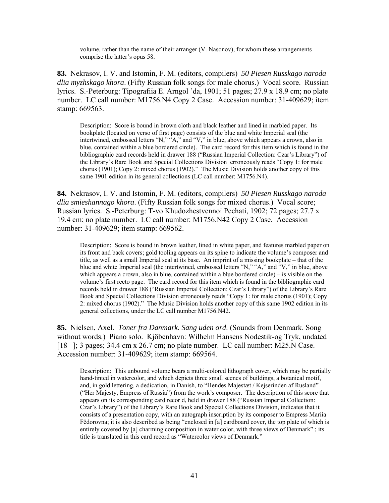volume, rather than the name of their arranger (V. Nasonov), for whom these arrangements comprise the latter's opus 58.

**83.** Nekrasov, I. V. and Istomin, F. M. (editors, compilers) *50 Piesen Russkago naroda dlia myzhskago khora*. (Fifty Russian folk songs for male chorus.) Vocal score. Russian lyrics. S.-Peterburg: Tipografiia E. Arngol 'da, 1901; 51 pages; 27.9 x 18.9 cm; no plate number. LC call number: M1756.N4 Copy 2 Case. Accession number: 31-409629; item stamp: 669563.

Description: Score is bound in brown cloth and black leather and lined in marbled paper. Its bookplate (located on verso of first page) consists of the blue and white Imperial seal (the intertwined, embossed letters "N," "A," and "V," in blue, above which appears a crown, also in blue, contained within a blue bordered circle). The card record for this item which is found in the bibliographic card records held in drawer 188 ("Russian Imperial Collection: Czar's Library") of the Library's Rare Book and Special Collections Division erroneously reads "Copy 1: for male chorus (1901); Copy 2: mixed chorus (1902)." The Music Division holds another copy of this same 1901 edition in its general collections (LC call number: M1756.N4).

**84.** Nekrasov, I. V. and Istomin, F. M. (editors, compilers) *50 Piesen Russkago naroda dlia smieshannago khora*. (Fifty Russian folk songs for mixed chorus.) Vocal score; Russian lyrics. S.-Peterburg: T-vo Khudozhestvennoi Pechati, 1902; 72 pages; 27.7 x 19.4 cm; no plate number. LC call number: M1756.N42 Copy 2 Case. Accession number: 31-409629; item stamp: 669562.

Description: Score is bound in brown leather, lined in white paper, and features marbled paper on its front and back covers; gold tooling appears on its spine to indicate the volume's composer and title, as well as a small Imperial seal at its base. An imprint of a missing bookplate – that of the blue and white Imperial seal (the intertwined, embossed letters "N," "A," and "V," in blue, above which appears a crown, also in blue, contained within a blue bordered circle) – is visible on the volume's first recto page. The card record for this item which is found in the bibliographic card records held in drawer 188 ("Russian Imperial Collection: Czar's Library") of the Library's Rare Book and Special Collections Division erroneously reads "Copy 1: for male chorus (1901); Copy 2: mixed chorus (1902)." The Music Division holds another copy of this same 1902 edition in its general collections, under the LC call number M1756.N42.

**85.** Nielsen, Axel. *Toner fra Danmark. Sang uden ord*. (Sounds from Denmark. Song without words.) Piano solo. Kjöbenhavn: Wilhelm Hansens Nodestik-og Tryk, undated [18 –]; 3 pages; 34.4 cm x 26.7 cm; no plate number. LC call number: M25.N Case. Accession number: 31-409629; item stamp: 669564.

Description: This unbound volume bears a multi-colored lithograph cover, which may be partially hand-tinted in watercolor, and which depicts three small scenes of buildings, a botanical motif, and, in gold lettering, a dedication, in Danish, to "Hendes Majestæt / Kejserinden af Rusland" ("Her Majesty, Empress of Russia") from the work's composer. The description of this score that appears on its corresponding card recor d, held in drawer 188 ("Russian Imperial Collection: Czar's Library") of the Library's Rare Book and Special Collections Division, indicates that it consists of a presentation copy, with an autograph inscription by its composer to Empress Mariia Fëdorovna; it is also described as being "enclosed in [a] cardboard cover, the top plate of which is entirely covered by [a] charming composition in water color, with three views of Denmark" ; its title is translated in this card record as "Watercolor views of Denmark."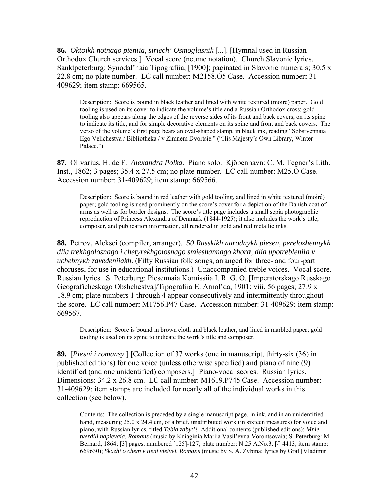**86.** *Oktoikh notnago pieniia, siriech' Osmoglasnik* [...]. [Hymnal used in Russian Orthodox Church services.] Vocal score (neume notation). Church Slavonic lyrics. Sanktpeterburg: Synodal'naia Tipografiia, [1900]; paginated in Slavonic numerals; 30.5 x 22.8 cm; no plate number. LC call number: M2158.O5 Case. Accession number: 31- 409629; item stamp: 669565.

Description: Score is bound in black leather and lined with white textured (moiré) paper. Gold tooling is used on its cover to indicate the volume's title and a Russian Orthodox cross; gold tooling also appears along the edges of the reverse sides of its front and back covers, on its spine to indicate its title, and for simple decorative elements on its spine and front and back covers. The verso of the volume's first page bears an oval-shaped stamp, in black ink, reading "Sobstvennaia Ego Velichestva / Bibliotheka / v Zimnem Dvortsie." ("His Majesty's Own Library, Winter Palace.")

**87.** Olivarius, H. de F. *Alexandra Polka*. Piano solo. Kjöbenhavn: C. M. Tegner's Lith. Inst., 1862; 3 pages; 35.4 x 27.5 cm; no plate number. LC call number: M25.O Case. Accession number: 31-409629; item stamp: 669566.

Description: Score is bound in red leather with gold tooling, and lined in white textured (moiré) paper; gold tooling is used prominently on the score's cover for a depiction of the Danish coat of arms as well as for border designs. The score's title page includes a small sepia photographic reproduction of Princess Alexandra of Denmark (1844-1925); it also includes the work's title, composer, and publication information, all rendered in gold and red metallic inks.

**88.** Petrov, Aleksei (compiler, arranger). *50 Russkikh narodnykh piesen, perelozhennykh dlia trekhgolosnago i chetyrekhgolosnago smieshannago khora, dlia upotrebleniia v uchebnykh zavedeniiakh*. (Fifty Russian folk songs, arranged for three- and four-part choruses, for use in educational institutions.) Unaccompanied treble voices. Vocal score. Russian lyrics. S. Peterburg: Piesennaia Komissiia I. R. G. O. [Imperatorskago Russkago Geograficheskago Obshchestva]/Tipografiia E. Arnol'da, 1901; viii, 56 pages; 27.9 x 18.9 cm; plate numbers 1 through 4 appear consecutively and intermittently throughout the score. LC call number: M1756.P47 Case. Accession number: 31-409629; item stamp: 669567.

Description: Score is bound in brown cloth and black leather, and lined in marbled paper; gold tooling is used on its spine to indicate the work's title and composer.

**89.** [*Piesni i romansy*.] [Collection of 37 works (one in manuscript, thirty-six (36) in published editions) for one voice (unless otherwise specified) and piano of nine (9) identified (and one unidentified) composers.] Piano-vocal scores. Russian lyrics. Dimensions: 34.2 x 26.8 cm. LC call number: M1619.P745 Case. Accession number: 31-409629; item stamps are included for nearly all of the individual works in this collection (see below).

Contents: The collection is preceded by a single manuscript page, in ink, and in an unidentified hand, measuring 25.0 x 24.4 cm, of a brief, unattributed work (in sixteen measures) for voice and piano, with Russian lyrics, titled *Tebia zabyt'!* Additional contents (published editions): *Mnie tverdili napievaia. Romans* (music by Kniaginia Mariia Vasil'evna Vorontsovaia; S. Peterburg: M. Bernard, 1864; [3] pages, numbered [125]-127; plate number: N.25 A.No.3. [/] 4413; item stamp: 669630); *Skazhi o chem v tieni vietvei. Romans* (music by S. A. Zybina; lyrics by Graf [Vladimir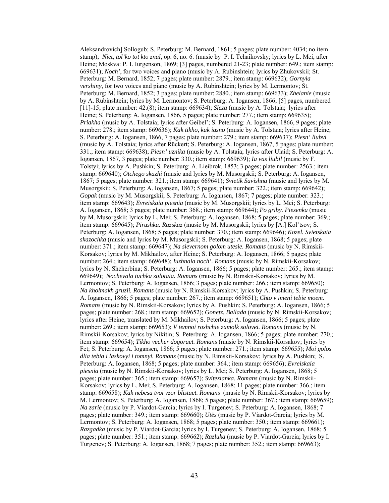Aleksandrovich] Sollogub; S. Peterburg: M. Bernard, 1861; 5 pages; plate number: 4034; no item stamp); *Niet, tol'ko tot kto znal*, op. 6, no. 6. (music by P. I. Tchaikovsky; lyrics by L. Mei, after Heine; Moskva: P. I. Iurgenson, 1869; [3] pages, numbered 21-23; plate number: 649.; item stamp: 669631); *Noch'*, for two voices and piano (music by A. Rubinshtein; lyrics by Zhukovskii; St. Peterburg: M. Bernard, 1852; 7 pages; plate number: 2879.; item stamp: 669632); *Gornyia vershiny*, for two voices and piano (music by A. Rubinshtein; lyrics by M. Lermontov; St. Peterburg: M. Bernard, 1852; 3 pages; plate number: 2880.; item stamp: 669633); *Zhelanie* (music by A. Rubinshtein; lyrics by M. Lermontov; S. Peterburg: A. Iogansen, 1866; [5] pages, numbered [11]-15; plate number: 42.(8); item stamp: 669634); *Sleza* (music by A. Tolstaia; lyrics after Heine; S. Peterburg: A. Iogansen, 1866, 5 pages; plate number: 277.; item stamp: 669635); *Priakha* (music by A. Tolstaia; lyrics after Geibel'; S. Peterburg: A. Iogansen, 1866, 9 pages; plate number: 278.; item stamp: 669636); *Kak tikho, kak iasno* (music by A. Tolstaia; lyrics after Heine; S. Peterburg: A. Iogansen, 1866, 7 pages; plate number: 279.; item stamp: 669637); *Piesn' liubvi*  (music by A. Tolstaia; lyrics after Rückert; S. Peterburg: A. Iogansen, 1867, 5 pages; plate number: 331.; item stamp: 669638); *Piesn' uznika* (music by A. Tolstaia; lyrics after Ulaid; S. Peterburg: A. Iogansen, 1867, 3 pages; plate number: 330.; item stamp: 669639); *Ia vas liubil* (music by F. Tolstyi; lyrics by A. Pushkin; S. Peterburg: A. Lieibrok, 1853; 3 pages; plate number: 2563.; item stamp: 669640); *Otchego skazhi* (music and lyrics by M. Musorgskii; S. Peterburg: A. Iogansen, 1867; 5 pages; plate number: 321.; item stamp: 669641); *Svietik Savishna* (music and lyrics by M. Musorgskii; S. Peterburg: A. Iogansen, 1867; 5 pages; plate number: 322.; item stamp: 669642); *Gopak* (music by M. Musorgskii; S. Peterburg: A. Iogansen, 1867; 7 pages; plate number: 323.; item stamp: 669643); *Evreiskaia piesnia* (music by M. Musorgskii; lyrics by L. Mei; S. Peterburg: A. Iogansen, 1868; 3 pages; plate number: 368.; item stamp: 669644); *Po griby. Piesenka* (music by M. Musorgskii; lyrics by L. Mei; S. Peterburg: A. Iogansen, 1868; 5 pages; plate number: 369.; item stamp: 669645); *Pirushka. Razskaz* (music by M. Musorgskii; lyrics by [A.] Kol'tsov; S. Peterburg: A. Iogansen, 1868; 5 pages; plate number: 370.; item stamp: 669646); *Kozel. Svietskaia skazochka* (music and lyrics by M. Musorgskii; S. Peterburg: A. Iogansen, 1868; 5 pages; plate number: 371.; item stamp: 669647); *Na sievernom golom utesie. Romans* (music by N. Rimskii-Korsakov; lyrics by M. Mikhailov, after Heine; S. Peterburg: A. Iogansen, 1866; 5 pages; plate number: 264.; item stamp: 669648); *Iuzhnaia noch'. Romans* (music by N. Rimskii-Korsakov; lyrics by N. Shcherbina; S. Peterburg: A. Iogansen, 1866; 5 pages; plate number: 265.; item stamp: 669649); *Nochevala tuchka zolotaia. Romans* (music by N. Rimskii-Korsakov; lyrics by M. Lermontov; S. Peterburg: A. Iogansen, 1866; 3 pages; plate number: 266.; item stamp: 669650); *Na kholmakh gruzii. Romans* (music by N. Rimskii-Korsakov; lyrics by A. Pushkin; S. Peterburg: A. Iogansen, 1866; 5 pages; plate number: 267.; item stamp: 669651); *Chto v imeni tebie moem. Romans* (music by N. Rimskii-Korsakov; lyrics by A. Pushkin; S. Peterburg: A. Iogansen, 1866; 5 pages; plate number: 268.; item stamp: 669652); *Gonetz. Ballada* (music by N. Rimskii-Korsakov; lyrics after Heine, translated by M. Mikhailov; S. Peterburg: A. Iogansen, 1866; 5 pages; plate number: 269.; item stamp: 669653); *V temnoi roshchie zamolk solovei. Romans* (music by N. Rimskii-Korsakov; lyrics by Nikitin; S. Peterburg: A. Iogansen, 1866; 5 pages; plate number: 270.; item stamp: 669654); *Tikho vecher dogoraet. Romans* (music by N. Rimskii-Korsakov; lyrics by Fet; S. Peterburg: A. Iogansen, 1866; 5 pages; plate number: 271.; item stamp: 669655); *Moi golos dlia tebia i laskovyi i tomnyi. Romans* (music by N. Rimskii-Korsakov; lyrics by A. Pushkin; S. Peterburg: A. Iogansen, 1868; 5 pages; plate number: 364.; item stamp: 669656); *Evreiskaia piesnia* (music by N. Rimskii-Korsakov; lyrics by L. Mei; S. Peterburg: A. Iogansen, 1868; 5 pages; plate number: 365.; item stamp: 669657); *Svitezianka. Romans* (music by N. Rimskii-Korsakov; lyrics by L. Mei; S. Peterburg: A. Iogansen, 1868; 11 pages; plate number: 366.; item stamp: 669658); *Kak nebesa tvoi vzor blistaet. Romans* (music by N. Rimskii-Korsakov; lyrics by M. Lermontov; S. Peterburg: A. Iogansen, 1868; 5 pages; plate number: 367.; item stamp: 669659); *Na zarie* (music by P. Viardot-Garcia; lyrics by I. Turgenev; S. Peterburg: A. Iogansen, 1868; 7 pages; plate number: 349.; item stamp: 669660); *Utës* (music by P. Viardot-Garcia; lyrics by M. Lermontov; S. Peterburg: A. Iogansen, 1868; 5 pages; plate number: 350.; item stamp: 669661); *Razgadka* (music by P. Viardot-Garcia; lyrics by I. Turgenev; S. Peterburg: A. Iogansen, 1868; 5 pages; plate number: 351.; item stamp: 669662); *Razluka* (music by P. Viardot-Garcia; lyrics by I. Turgenev; S. Peterburg: A. Iogansen, 1868; 7 pages; plate number: 352.; item stamp: 669663);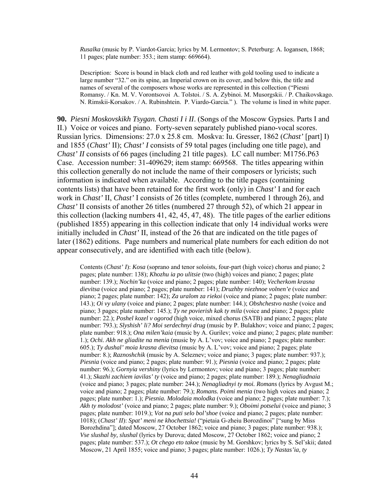*Rusalka* (music by P. Viardot-Garcia; lyrics by M. Lermontov; S. Peterburg: A. Iogansen, 1868; 11 pages; plate number: 353.; item stamp: 669664).

Description: Score is bound in black cloth and red leather with gold tooling used to indicate a large number "32." on its spine, an Imperial crown on its cover, and below this, the title and names of several of the composers whose works are represented in this collection ("Piesni Romansy. / Kn. M. V. Vorontsovoi A. Tolstoi. / S. A. Zybinoi. M. Musorgskii. / P. Chaikovskago. N. Rimskii-Korsakov. / A. Rubinshtein. P. Viardo-Garcia." ). The volume is lined in white paper.

**90.** *Piesni Moskovskikh Tsygan. Chasti I i II*. (Songs of the Moscow Gypsies. Parts I and II.) Voice or voices and piano. Forty-seven separately published piano-vocal scores. Russian lyrics. Dimensions: 27.0 x 25.8 cm. Moskva: Iu. Gresser, 1862 (*Chast'* [part] I) and 1855 (*Chast'* II); *Chast' I* consists of 59 total pages (including one title page), and *Chast' II* consists of 66 pages (including 21 title pages). LC call number: M1756.P63 Case. Accession number: 31-409629; item stamp: 669568. The titles appearing within this collection generally do not include the name of their composers or lyricists; such information is indicated when available. According to the title pages (containing contents lists) that have been retained for the first work (only) in *Chast'* I and for each work in *Chast'* II, *Chast'* I consists of 26 titles (complete, numbered 1 through 26), and *Chast'* II consists of another 26 titles (numbered 27 through 52), of which 21 appear in this collection (lacking numbers 41, 42, 45, 47, 48). The title pages of the earlier editions (published 1855) appearing in this collection indicate that only 14 individual works were initially included in *Chast'* II, instead of the 26 that are indicated on the title pages of later (1862) editions. Page numbers and numerical plate numbers for each edition do not appear consecutively, and are identified with each title (below).

Contents (*Chast' I*): *Kosa* (soprano and tenor soloists, four-part (high voice) chorus and piano; 2 pages; plate number: 138); *Khozhu ia po ulitsie* (two (high) voices and piano; 2 pages; plate number: 139.); *Nochin'ka* (voice and piano; 2 pages; plate number: 140); *Vecherkom krasna dievitsa* (voice and piano; 2 pages; plate number: 141); *Druzhby niezhnoe volnen'e* (voice and piano; 2 pages; plate number: 142); *Za uralom za riekoi* (voice and piano; 2 pages; plate number: 143.); *Oi vy ulany* (voice and piano; 2 pages; plate number: 144.); *Obshchestvo nashe* (voice and piano; 3 pages; plate number: 145.); *Ty ne povierish kak ty mila* (voice and piano; 2 pages; plate number: 22.); *Poshel kozel v ogorod* (high voice, mixed chorus (SATB) and piano; 2 pages; plate number: 793.); *Slyshish' li? Moi serdechnyi drug* (music by P. Bulakhov; voice and piano; 2 pages; plate number: 918.); *Ona milen'kaia* (music by A. Gurilev; voice and piano; 2 pages; plate number: 1.); *Ochi. Akh ne gliadite na menia* (music by A. L'vov; voice and piano; 2 pages; plate number: 605.); *Ty dushal' moia krasna dievitsa* (music by A. L'vov; voice and piano; 2 pages; plate number: 8.); *Raznoshchik* (music by A. Seleznev; voice and piano; 3 pages; plate number: 937.); *Piesnia* (voice and piano; 2 pages; plate number: 91.); *Piesnia* (voice and piano; 2 pages; plate number: 96.); *Gornyia vershiny* (lyrics by Lermontov; voice and piano; 3 pages; plate number: 41.); *Skazhi zachiem iavilas' ty* (voice and piano; 2 pages; plate number: 189.); *Nenagliadnaia* (voice and piano; 3 pages; plate number: 244.); *Nenagliadnyi ty moi. Romans* (lyrics by Avgust M.; voice and piano; 2 pages; plate number: 79.); *Romans. Poimi menia* (two high voices and piano; 2 pages; plate number: 1.); *Piesnia. Molodaia molodka* (voice and piano; 2 pages; plate number: 7.); *Akh ty molodost'* (voice and piano; 2 pages; plate number: 9.); *Oboimi potselui* (voice and piano; 3 pages; plate number: 1019.); *Vot na puti selo bol'shoe* (voice and piano; 2 pages; plate number: 1018); (*Chast' II*): *Spat' meni ne khochettsia!* ("pietaia G-zheiu Borozdinoi" ["sung by Miss Borozhdina"]; dated Moscow, 27 October 1862; voice and piano; 3 pages; plate number: 938.); *Vse slushal by, slushal* (lyrics by Durova; dated Moscow, 27 October 1862; voice and piano; 2 pages; plate number: 537.); *Ot chego eto takoe* (music by M. Gorshkov; lyrics by S. Sel'skii; dated Moscow, 21 April 1855; voice and piano; 3 pages; plate number: 1026.); *Ty Nastas'ia, ty*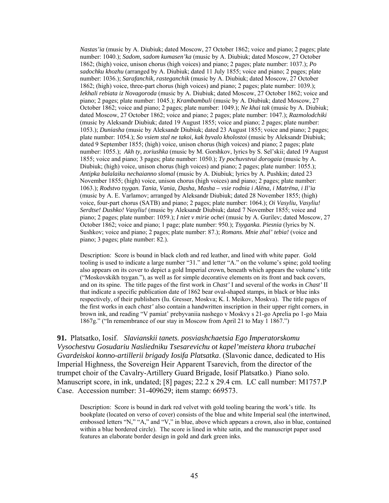*Nastas'ia* (music by A. Diubiuk; dated Moscow, 27 October 1862; voice and piano; 2 pages; plate number: 1040.); *Sadom, sadom kumasen'ka* (music by A. Diubiuk; dated Moscow, 27 October 1862; (high) voice, unison chorus (high voices) and piano; 2 pages; plate number: 1037.); *Po sadochku khozhu* (arranged by A. Diubiuk; dated 11 July 1855; voice and piano; 2 pages; plate number: 1036.); *Sarafanchik, rasteganchik* (music by A. Diubiuk; dated Moscow, 27 October 1862; (high) voice, three-part chorus (high voices) and piano; 2 pages; plate number: 1039.); *Iekhali rebiata iz Novagoroda* (music by A. Diubiuk; dated Moscow, 27 October 1862; voice and piano; 2 pages; plate number: 1045.); *Krambambuli* (music by A. Diubiuk; dated Moscow, 27 October 1862; voice and piano; 2 pages; plate number: 1049.); *Ne khai tak* (music by A. Diubiuk; dated Moscow, 27 October 1862; voice and piano; 2 pages; plate number: 1047.); *Razmolodchiki* (music by Aleksandr Diubiuk; dated 19 August 1855; voice and piano; 2 pages; plate number: 1053.); *Duniasha* (music by Aleksandr Diubiuk; dated 23 August 1855; voice and piano; 2 pages; plate number: 1054.); *So vsiem stal ne takoi, kak byvalo kholostoi* (music by Aleksandr Diubiuk; dated 9 September 1855; (high) voice, unison chorus (high voices) and piano; 2 pages; plate number: 1055.); *Akh ty, zoriushka* (music by M. Gorshkov, lyrics by S. Sel'skii; dated 19 August 1855; voice and piano; 3 pages; plate number: 1050.); *Ty pochuvstvui dorogaia* (music by A. Diubiuk; (high) voice, unison chorus (high voices) and piano; 2 pages; plate number: 1055.); *Antipka balalaiku nechaianno slomal* (music by A. Diubiuk; lyrics by A. Pushkin; dated 23 November 1855; (high) voice, unison chorus (high voices) and piano; 2 pages; plate number: 1063.); *Rodstvo tsygan. Tania, Vania, Dasha, Masha – vsie rodnia i Alëna, i Matrëna, i Il'ia*  (music by A. E. Varlamov; arranged by Aleksandr Diubiuk; dated 28 November 1855; (high) voice, four-part chorus (SATB) and piano; 2 pages; plate number: 1064.); *Oi Vasyliu, Vasyliu! Serdtse! Dushko! Vasyliu!* (music by Aleksandr Diubiuk; dated 7 November 1855; voice and piano; 2 pages; plate number: 1059.); *I niet v mirie ochei* (music by A. Gurilev; dated Moscow, 27 October 1862; voice and piano; 1 page; plate number: 950.); *Tsyganka. Piesnia* (lyrics by N. Sushkov; voice and piano; 2 pages; plate number: 87.); *Romans. Mnie zhal' tebia!* (voice and piano; 3 pages; plate number: 82.).

Description: Score is bound in black cloth and red leather, and lined with white paper. Gold tooling is used to indicate a large number "31." and letter "A." on the volume's spine; gold tooling also appears on its cover to depict a gold Imperial crown, beneath which appears the volume's title ("Moskovskikh tsygan."), as well as for simple decorative elements on its front and back covers, and on its spine. The title pages of the first work in *Chast'* I and several of the works in *Chast'* II that indicate a specific publication date of 1862 bear oval-shaped stamps, in black or blue inks respectively, of their publishers (Iu. Gresser, Moskva; K. I. Meikov, Moskva). The title pages of the first works in each *chast'* also contain a handwritten inscription in their upper right corners, in brown ink, and reading "V pamiat' prebyvaniia nashego v Moskvy s 21-go Aprelia po 1-go Maia 1867g." ("In remembrance of our stay in Moscow from April 21 to May 1 1867.")

**91.** Platsatko, Iosif. *Slavianskii tanets. posviashchaetsia Ego Imperatorskomu Vysochestvu Gosudariu Nasliedniku Tsesarevichu ot kapel'meistera khora trubachei Gvardeiskoi konno-artillerii brigady Iosifa Platsatka*. (Slavonic dance, dedicated to His Imperial Highness, the Sovereign Heir Apparent Tsarevich, from the director of the trumpet choir of the Cavalry-Artillery Guard Brigade, Iosif Platsatko.) Piano solo. Manuscript score, in ink, undated; [8] pages; 22.2 x 29.4 cm. LC call number: M1757.P Case. Accession number: 31-409629; item stamp: 669573.

Description: Score is bound in dark red velvet with gold tooling bearing the work's title. Its bookplate (located on verso of cover) consists of the blue and white Imperial seal (the intertwined, embossed letters "N," "A," and "V," in blue, above which appears a crown, also in blue, contained within a blue bordered circle). The score is lined in white satin, and the manuscript paper used features an elaborate border design in gold and dark green inks.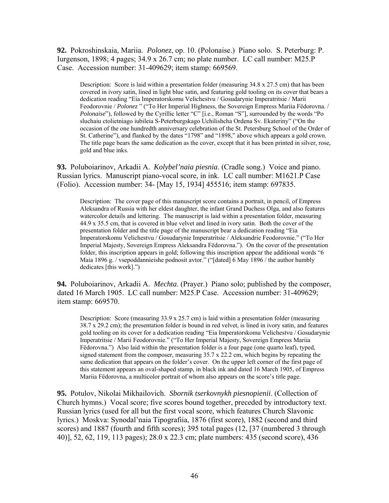**92.** Pokroshinskaia, Mariia. *Polonez*, op. 10. (Polonaise.) Piano solo. S. Peterburg: P. Iurgenson, 1898; 4 pages; 34.9 x 26.7 cm; no plate number. LC call number: M25.P Case. Accession number: 31-409629; item stamp: 669569.

Description: Score is laid within a presentation folder (measuring 34.8 x 27.5 cm) that has been covered in ivory satin, lined in light blue satin, and featuring gold tooling on its cover that bears a dedication reading "Eia Imperatorskomu Velichestvu / Gosudarynie Imperatritsie / Marii Feodorovnie / *Polonez* " ("To Her Imperial Highness, the Sovereign Empress Mariia Fëdorovna. / *Polonaise*"), followed by the Cyrillic letter "C" [i.e., Roman "S"], surrounded by the words "Po sluchaiu ctolietniago iubileia S-Peterburgskago Uchilishcha Ordena Sv. Ekateriny" ("On the occasion of the one hundredth anniversary celebration of the St. Petersburg School of the Order of St. Catherine"), and flanked by the dates "1798" and "1898," above which appears a gold crown. The title page bears the same dedication as the cover, except that it has been printed in silver, rose, gold and blue inks.

**93.** Poluboiarinov, Arkadii A. *Kolybel'naia piesnia*. (Cradle song.) Voice and piano. Russian lyrics. Manuscript piano-vocal score, in ink. LC call number: M1621.P Case (Folio). Accession number: 34- [May 15, 1934] 455516; item stamp: 697835.

Description: The cover page of this manuscript score contains a portrait, in pencil, of Empress Aleksandra of Russia with her eldest daughter, the infant Grand Duchess Olga, and also features watercolor details and lettering. The manuscript is laid within a presentation folder, measuring 44.9 x 35.5 cm, that is covered in blue velvet and lined in ivory satin. Both the cover of the presentation folder and the title page of the manuscript bear a dedication reading "Eia Imperatorskomu Velichestvu / Gosudarynie Imperatritsie / Aleksandrie Feodorovnie." ("To Her Imperial Majesty, Sovereign Empress Aleksandra Fëdorovna."). On the cover of the presentation folder, this inscription appears in gold; following this inscription appear the additional words "6 Maia 1896 g. / vsepoddannieishe podnosit avtor." ("[dated] 6 May 1896 / the author humbly dedicates [this work].")

**94.** Poluboiarinov, Arkadii A. *Mechta*. (Prayer.) Piano solo; published by the composer, dated 16 March 1905. LC call number: M25.P Case. Accession number: 31-409629; item stamp: 669570.

Description: Score (measuring  $33.9 \times 25.7 \text{ cm}$ ) is laid within a presentation folder (measuring 38.7 x 29.2 cm); the presentation folder is bound in red velvet, is lined in ivory satin, and features gold tooling on its cover for a dedication reading "Eia Imperatorskomu Velichestvu / Gosudarynie Imperatritsie / Marii Feodorovnie." ("To Her Imperial Majesty, Sovereign Empress Mariia Fëdorovna.") Also laid within the presentation folder is a four page (one quarto leaf), typed, signed statement from the composer, measuring  $35.7 \times 22.2$  cm, which begins by repeating the same dedication that appears on the folder's cover. On the upper left corner of the first page of this statement appears an oval-shaped stamp, in black ink and dated 16 March 1905, of Empress Mariia Fëdorovna, a multicolor portrait of whom also appears on the score's title page.

**95.** Potulov, Nikolai Mikhailovich. *Sbornik tserkovnykh piesnopienii*. (Collection of Church hymns.) Vocal score; five scores bound together, preceded by introductory text. Russian lyrics (used for all but the first vocal score, which features Church Slavonic lyrics.) Moskva: Synodal'naia Tipografiia, 1876 (first score), 1882 (second and third scores) and 1887 (fourth and fifth scores); 395 total pages (12, [37 (numbered 3 through 40)], 52, 62, 119, 113 pages); 28.0 x 22.3 cm; plate numbers: 435 (second score), 436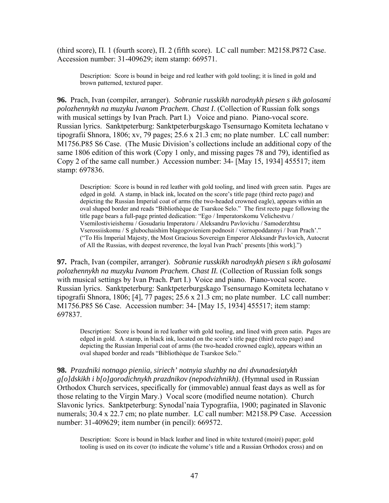(third score),  $\Pi$ . 1 (fourth score),  $\Pi$ . 2 (fifth score). LC call number: M2158.P872 Case. Accession number: 31-409629; item stamp: 669571.

Description: Score is bound in beige and red leather with gold tooling; it is lined in gold and brown patterned, textured paper.

**96.** Prach, Ivan (compiler, arranger). *Sobranie russkikh narodnykh piesen s ikh golosami polozhennykh na muzyku Ivanom Prachem. Chast I*. (Collection of Russian folk songs with musical settings by Ivan Prach. Part I.) Voice and piano. Piano-vocal score. Russian lyrics. Sanktpeterburg: Sanktpeterburgskago Tsensurnago Komiteta lechatano v tipografii Shnora, 1806; xv, 79 pages; 25.6 x 21.3 cm; no plate number. LC call number: M1756.P85 S6 Case. (The Music Division's collections include an additional copy of the same 1806 edition of this work (Copy 1 only, and missing pages 78 and 79), identified as Copy 2 of the same call number.) Accession number: 34- [May 15, 1934] 455517; item stamp: 697836.

Description: Score is bound in red leather with gold tooling, and lined with green satin. Pages are edged in gold. A stamp, in black ink, located on the score's title page (third recto page) and depicting the Russian Imperial coat of arms (the two-headed crowned eagle), appears within an oval shaped border and reads "Bibliothèque de Tsarskoe Selo." The first recto page following the title page bears a full-page printed dedication: "Ego / Imperatorskomu Velichestvu / Vsemilostivieishemu / Gosudariu Imperatoru / Aleksandru Pavlovichu / Samoderzhtsu Vserossiiskomu / S glubochaishim blagogovieniem podnosit / viernopoddannyi / Ivan Prach'." ("To His Imperial Majesty, the Most Gracious Sovereign Emperor Aleksandr Pavlovich, Autocrat of All the Russias, with deepest reverence, the loyal Ivan Prach' presents [this work].")

**97.** Prach, Ivan (compiler, arranger). *Sobranie russkikh narodnykh piesen s ikh golosami*  polozhennykh na muzyku Ivanom Prachem. Chast II. (Collection of Russian folk songs with musical settings by Ivan Prach. Part I.) Voice and piano. Piano-vocal score. Russian lyrics. Sanktpeterburg: Sanktpeterburgskago Tsensurnago Komiteta lechatano v tipografii Shnora, 1806; [4], 77 pages; 25.6 x 21.3 cm; no plate number. LC call number: M1756.P85 S6 Case. Accession number: 34- [May 15, 1934] 455517; item stamp: 697837.

Description: Score is bound in red leather with gold tooling, and lined with green satin. Pages are edged in gold. A stamp, in black ink, located on the score's title page (third recto page) and depicting the Russian Imperial coat of arms (the two-headed crowned eagle), appears within an oval shaped border and reads "Bibliothèque de Tsarskoe Selo."

**98.** *Prazdniki notnago pieniia, siriech' notnyia sluzhby na dni dvunadesiatykh g[o]dskikh i b[o]gorodichnykh prazdnikov (nepodvizhnikh)*. (Hymnal used in Russian Orthodox Church services, specifically for (immovable) annual feast days as well as for those relating to the Virgin Mary.) Vocal score (modified neume notation). Church Slavonic lyrics. Sanktpeterburg: Synodal'naia Typografiia, 1900; paginated in Slavonic numerals; 30.4 x 22.7 cm; no plate number. LC call number: M2158.P9 Case. Accession number: 31-409629; item number (in pencil): 669572.

Description: Score is bound in black leather and lined in white textured (moiré) paper; gold tooling is used on its cover (to indicate the volume's title and a Russian Orthodox cross) and on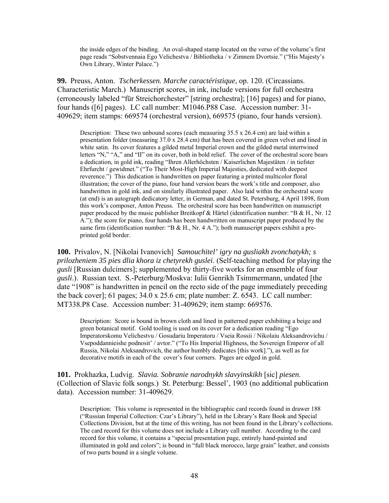the inside edges of the binding. An oval-shaped stamp located on the verso of the volume's first page reads "Sobstvennaia Ego Velichestva / Bibliotheka / v Zimnem Dvortsie." ("His Majesty's Own Library, Winter Palace.")

**99.** Preuss, Anton. *Tscherkessen. Marche caractéristique*, op. 120. (Circassians. Characteristic March.) Manuscript scores, in ink, include versions for full orchestra (erroneously labeled "für Streichorchester" [string orchestra]; [16] pages) and for piano, four hands ([6] pages). LC call number: M1046.P88 Case. Accession number: 31- 409629; item stamps: 669574 (orchestral version), 669575 (piano, four hands version).

Description: These two unbound scores (each measuring 35.5 x 26.4 cm) are laid within a presentation folder (measuring 37.0 x 28.4 cm) that has been covered in green velvet and lined in white satin. Its cover features a gilded metal Imperial crown and the gilded metal intertwined letters "N," "A," and "II" on its cover, both in bold relief. The cover of the orchestral score bears a dedication, in gold ink, reading "Ihren Allerhöchsten / Kaiserlichen Majestäten / in tiefster Ehrfurcht / gewidmet." ("To Their Most-High Imperial Majesties, dedicated with deepest reverence.") This dedication is handwritten on paper featuring a printed multicolor floral illustration; the cover of the piano, four hand version bears the work's title and composer, also handwritten in gold ink, and on similarly illustrated paper. Also laid within the orchestral score (at end) is an autograph dedicatory letter, in German, and dated St. Petersburg, 4 April 1898, from this work's composer, Anton Preuss. The orchestral score has been handwritten on manuscript paper produced by the music publisher Breitkopf & Härtel (identification number: "B & H., Nr. 12") A."); the score for piano, four hands has been handwritten on manuscript paper produced by the same firm (identification number: "B & H., Nr. 4 A."); both manuscript papers exhibit a preprinted gold border.

**100.** Privalov, N. [Nikolai Ivanovich] *Samouchitel' igry na gusliakh zvonchatykh; s prilozheniem 35 pies dlia khora iz chetyrekh guslei*. (Self-teaching method for playing the *gusli* [Russian dulcimers]; supplemented by thirty-five works for an ensemble of four *gusli*.). Russian text. S.-Peterburg/Moskva: Iulii Genrikh Tsimmermann, undated [the date "1908" is handwritten in pencil on the recto side of the page immediately preceding the back cover]; 61 pages; 34.0 x 25.6 cm; plate number: Z. 6543. LC call number: MT338.P8 Case. Accession number: 31-409629; item stamp: 669576.

Description: Score is bound in brown cloth and lined in patterned paper exhibiting a beige and green botanical motif. Gold tooling is used on its cover for a dedication reading "Ego Imperatorskomu Velichestvu / Gosudariu Imperatoru / Vseia Rossii / Nikolaiu Aleksandrovichu / Vsepoddannieishe podnosit' / avtor." ("To His Imperial Highness, the Sovereign Emperor of all Russia, Nikolai Aleksandrovich, the author humbly dedicates [this work]."), as well as for decorative motifs in each of the cover's four corners. Pages are edged in gold.

**101.** Prokhazka, Ludvig. *Slavia. Sobranie narodnykh slavyinskikh* [sic] *piesen*. (Collection of Slavic folk songs.) St. Peterburg: Bessel', 1903 (no additional publication data). Accession number: 31-409629.

Description: This volume is represented in the bibliographic card records found in drawer 188 ("Russian Imperial Collection: Czar's Library"), held in the Library's Rare Book and Special Collections Division, but at the time of this writing, has not been found in the Library's collections. The card record for this volume does not include a Library call number. According to the card record for this volume, it contains a "special presentation page, entirely hand-painted and illuminated in gold and colors"; is bound in "full black morocco, large grain" leather, and consists of two parts bound in a single volume.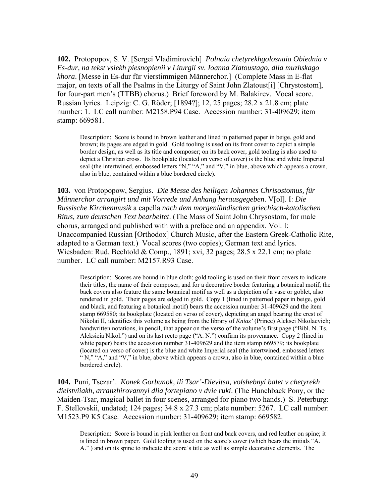**102.** Protopopov, S. V. [Sergei Vladimirovich] *Polnaia chetyrekhgolosnaia Obiednia v Es-dur, na tekst vsiekh piesnopienii v Liturgii sv. Ioanna Zlatoustago, dlia muzhskago khora*. [Messe in Es-dur für vierstimmigen Männerchor.] (Complete Mass in E-flat major, on texts of all the Psalms in the Liturgy of Saint John Zlatoust[i] [Chrystostom], for four-part men's (TTBB) chorus.) Brief foreword by M. Balakirev. Vocal score. Russian lyrics. Leipzig: C. G. Röder; [1894?]; 12, 25 pages; 28.2 x 21.8 cm; plate number: 1. LC call number: M2158.P94 Case. Accession number: 31-409629; item stamp: 669581.

Description: Score is bound in brown leather and lined in patterned paper in beige, gold and brown; its pages are edged in gold. Gold tooling is used on its front cover to depict a simple border design, as well as its title and composer; on its back cover, gold tooling is also used to depict a Christian cross. Its bookplate (located on verso of cover) is the blue and white Imperial seal (the intertwined, embossed letters "N," "A," and "V," in blue, above which appears a crown, also in blue, contained within a blue bordered circle).

**103.** von Protopopow, Sergius. *Die Messe des heiligen Johannes Chrisostomus, für Männerchor arrangirt und mit Vorrede und Anhang herausgegeben*. V[ol]. I: *Die Russische Kirchenmusik* a capella *nach dem morgenländischen griechisch-katolischen Ritus, zum deutschen Text bearbeitet*. (The Mass of Saint John Chrysostom, for male chorus, arranged and published with with a preface and an appendix. Vol. I: Unaccompanied Russian [Orthodox] Church Music, after the Eastern Greek-Catholic Rite, adapted to a German text.) Vocal scores (two copies); German text and lyrics. Wiesbaden: Rud. Bechtold & Comp., 1891; xvi, 32 pages; 28.5 x 22.1 cm; no plate number. LC call number: M2157.R93 Case.

Description: Scores are bound in blue cloth; gold tooling is used on their front covers to indicate their titles, the name of their composer, and for a decorative border featuring a botanical motif; the back covers also feature the same botanical motif as well as a depiction of a vase or goblet, also rendered in gold. Their pages are edged in gold. Copy 1 (lined in patterned paper in beige, gold and black, and featuring a botanical motif) bears the accession number 31-409629 and the item stamp 669580; its bookplate (located on verso of cover), depicting an angel bearing the crest of Nikolai II, identifies this volume as being from the library of *Kniaz'* (Prince) Aleksei Nikolaevich; handwritten notations, in pencil, that appear on the verso of the volume's first page ("Bibl. N. Ts. Aleksieia Nikol.") and on its last recto page ("A. N.") confirm its provenance. Copy 2 (lined in white paper) bears the accession number  $31-409629$  and the item stamp 669579; its bookplate (located on verso of cover) is the blue and white Imperial seal (the intertwined, embossed letters " N," "A," and "V," in blue, above which appears a crown, also in blue, contained within a blue bordered circle).

**104.** Puni, Tsezar'. *Konek Gorbunok, ili Tsar'-Dievitsa, volshebnyi balet v chetyrekh dieistviiakh, arranzhirovannyi dlia fortepiano v dvie ruki*. (The Hunchback Pony, or the Maiden-Tsar, magical ballet in four scenes, arranged for piano two hands.) S. Peterburg: F. Stellovskii, undated; 124 pages; 34.8 x 27.3 cm; plate number: 5267. LC call number: M1523.P9 K5 Case. Accession number: 31-409629; item stamp: 669582.

Description: Score is bound in pink leather on front and back covers, and red leather on spine; it is lined in brown paper. Gold tooling is used on the score's cover (which bears the initials "A. A." ) and on its spine to indicate the score's title as well as simple decorative elements. The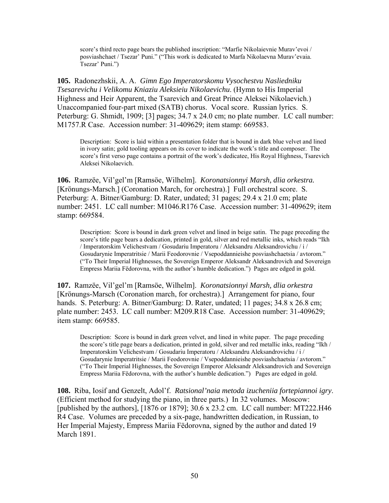score's third recto page bears the published inscription: "Marfie Nikolaievnie Murav'evoi / posviashchaet / Tsezar' Puni." ("This work is dedicated to Marfa Nikolaevna Murav'evaia. Tsezar' Puni.")

**105.** Radonezhskii, A. A. *Gimn Ego Imperatorskomu Vysochestvu Nasliedniku Tsesarevichu i Velikomu Kniaziu Aleksieiu Nikolaevichu*. (Hymn to His Imperial Highness and Heir Apparent, the Tsarevich and Great Prince Aleksei Nikolaevich.) Unaccompanied four-part mixed (SATB) chorus. Vocal score. Russian lyrics. S. Peterburg: G. Shmidt, 1909; [3] pages; 34.7 x 24.0 cm; no plate number. LC call number: M1757.R Case. Accession number: 31-409629; item stamp: 669583.

Description: Score is laid within a presentation folder that is bound in dark blue velvet and lined in ivory satin; gold tooling appears on its cover to indicate the work's title and composer. The score's first verso page contains a portrait of the work's dedicatee, His Royal Highness, Tsarevich Aleksei Nikolaevich.

**106.** Ramzëe, Vil'gel'm [Ramsöe, Wilhelm]. *Koronatsionnyi Marsh, dlia orkestra.*  [Krönungs-Marsch.] (Coronation March, for orchestra).] Full orchestral score. S. Peterburg: A. Bitner/Gamburg: D. Rater, undated; 31 pages; 29.4 x 21.0 cm; plate number: 2451. LC call number: M1046.R176 Case. Accession number: 31-409629; item stamp: 669584.

Description: Score is bound in dark green velvet and lined in beige satin. The page preceding the score's title page bears a dedication, printed in gold, silver and red metallic inks, which reads "Ikh / Imperatorskim Velichestvam / Gosudariu Imperatoru / Aleksandru Aleksandrovichu / i / Gosudarynie Imperatritsie / Marii Feodorovnie / Vsepoddannieishe posviashchaetsia / avtorom." ("To Their Imperial Highnesses, the Sovereign Emperor Aleksandr Aleksandrovich and Sovereign Empress Mariia Fëdorovna, with the author's humble dedication.") Pages are edged in gold.

**107.** Ramzëe, Vil'gel'm [Ramsöe, Wilhelm]. *Koronatsionnyi Marsh, dlia orkestra*  [Krönungs-Marsch (Coronation march, for orchestra).] Arrangement for piano, four hands. S. Peterburg: A. Bitner/Gamburg: D. Rater, undated; 11 pages; 34.8 x 26.8 cm; plate number: 2453. LC call number: M209.R18 Case. Accession number: 31-409629; item stamp: 669585.

Description: Score is bound in dark green velvet, and lined in white paper. The page preceding the score's title page bears a dedication, printed in gold, silver and red metallic inks, reading "Ikh / Imperatorskim Velichestvam / Gosudariu Imperatoru / Aleksandru Aleksandrovichu / i / Gosudarynie Imperatritsie / Marii Feodorovnie / Vsepoddannieishe posviashchaetsia / avtorom." ("To Their Imperial Highnesses, the Sovereign Emperor Aleksandr Aleksandrovich and Sovereign Empress Mariia Fëdorovna, with the author's humble dedication.") Pages are edged in gold.

**108.** Riba, Iosif and Genzelt, Adol'f. *Ratsional'naia metoda izucheniia fortepiannoi igry*. (Efficient method for studying the piano, in three parts.) In 32 volumes. Moscow: [published by the authors], [1876 or 1879]; 30.6 x 23.2 cm. LC call number: MT222.H46 R4 Case. Volumes are preceded by a six-page, handwritten dedication, in Russian, to Her Imperial Majesty, Empress Mariia Fëdorovna, signed by the author and dated 19 March 1891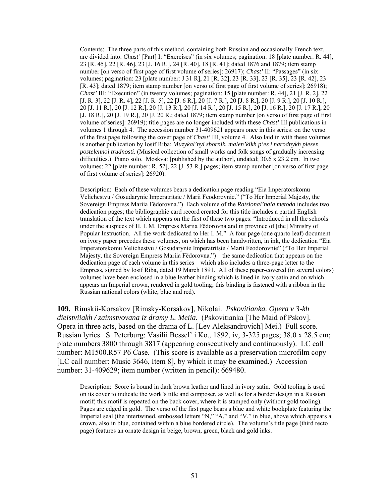Contents: The three parts of this method, containing both Russian and occasionally French text, are divided into: *Chast'* [Part] I: "Exercises" (in six volumes; pagination: 18 [plate number: R. 44], 23 [R. 45], 22 [R. 46], 23 [J. 16 R.], 24 [R. 40], 18 [R. 41]; dated 1876 and 1879; item stamp number [on verso of first page of first volume of series]: 26917); *Chast'* II: "Passages" (in six volumes; pagination: 23 [plate number: J 31 R], 21 [R. 32], 23 [R. 33], 23 [R. 35], 23 [R. 42], 23 [R. 43]; dated 1879; item stamp number [on verso of first page of first volume of series]: 26918); *Chast'* III: "Execution" (in twenty volumes; pagination: 15 [plate number: R. 44], 21 [J. R. 2], 22 [J. R. 3], 22 [J. R. 4], 22 [J. R. 5], 22 [J. 6 R.], 20 [J. 7 R.], 20 [J. 8 R.], 20 [J. 9 R.], 20 [J. 10 R.], 20 [J. 11 R.], 20 [J. 12 R.], 20 [J. 13 R.], 20 [J. 14 R.], 20 [J. 15 R.], 20 [J. 16 R.], 20 [J. 17 R.], 20 [J. 18 R.], 20 [J. 19 R.], 20 [J. 20 R.; dated 1879; item stamp number [on verso of first page of first volume of series]: 26919); title pages are no longer included with these *Chast'* III publications in volumes 1 through 4. The accession number 31-409621 appears once in this series: on the verso of the first page following the cover page of *Chast'* III, volume 4. Also laid in with these volumes is another publication by Iosif Riba: *Muzykal'nyi sbornik. malen'kikh p'es i narodnykh piesen postelennoi trudnosti*. (Musical collection of small works and folk songs of gradually increasing difficulties.) Piano solo. Moskva: [published by the author], undated; 30.6 x 23.2 cm. In two volumes: 22 [plate number: R. 52], 22 [J. 53 R.] pages; item stamp number [on verso of first page of first volume of series]: 26920).

Description: Each of these volumes bears a dedication page reading "Eia Imperatorskomu Velichestvu / Gosudarynie Imperatritsie / Marii Feodorovnie." ("To Her Imperial Majesty, the Sovereign Empress Mariia Fëdorovna.") Each volume of the *Ratsional'naia metoda* includes two dedication pages; the bibliographic card record created for this title includes a partial English translation of the text which appears on the first of these two pages: "Introduced in all the schools under the auspices of H. I. M. Empress Mariia Fëdorovna and in province of [the] Ministry of Popular Instruction. All the work dedicated to Her I. M." A four page (one quarto leaf) document on ivory paper precedes these volumes, on which has been handwritten, in ink, the dedication "Eia Imperatorskomu Velichestvu / Gosudarynie Imperatritsie / Marii Feodorovnie" ("To Her Imperial Majesty, the Sovereign Empress Mariia Fëdorovna.") – the same dedication that appears on the dedication page of each volume in this series – which also includes a three-page letter to the Empress, signed by Iosif Riba, dated 19 March 1891. All of these paper-covered (in several colors) volumes have been enclosed in a blue leather binding which is lined in ivory satin and on which appears an Imperial crown, rendered in gold tooling; this binding is fastened with a ribbon in the Russian national colors (white, blue and red).

**109.** Rimskii-Korsakov [Rimsky-Korsakov], Nikolai. *Pskovitianka. Opera v 3-kh dieistviiakh / zaimstvovana iz dramy L. Meiia.* (Pskovitianka [The Maid of Pskov]. Opera in three acts, based on the drama of L. [Lev Aleksandrovich] Mei.) Full score. Russian lyrics. S. Peterburg: Vasilii Bessel' i Ko., 1892, iv, 3-325 pages; 38.0 x 28.5 cm; plate numbers 3800 through 3817 (appearing consecutively and continuously). LC call number: M1500.R57 P6 Case. (This score is available as a preservation microfilm copy [LC call number: Music 3646, Item 8], by which it may be examined.) Accession number: 31-409629; item number (written in pencil): 669480.

Description: Score is bound in dark brown leather and lined in ivory satin. Gold tooling is used on its cover to indicate the work's title and composer, as well as for a border design in a Russian motif; this motif is repeated on the back cover, where it is stamped only (without gold tooling). Pages are edged in gold. The verso of the first page bears a blue and white bookplate featuring the Imperial seal (the intertwined, embossed letters "N," "A," and "V," in blue, above which appears a crown, also in blue, contained within a blue bordered circle). The volume's title page (third recto page) features an ornate design in beige, brown, green, black and gold inks.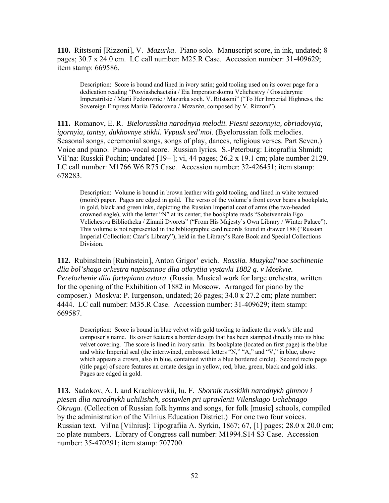**110.** Ritstsoni [Rizzoni], V. *Mazurka*. Piano solo. Manuscript score, in ink, undated; 8 pages; 30.7 x 24.0 cm. LC call number: M25.R Case. Accession number: 31-409629; item stamp: 669586.

Description: Score is bound and lined in ivory satin; gold tooling used on its cover page for a dedication reading "Posviashchaetsiia / Eia Imperatorskomu Velichestvy / Gosudarynie Imperatritsie / Marii Fedorovnie / Mazurka soch. V. Ritstsoni" ("To Her Imperial Highness, the Sovereign Empress Mariia Fëdorovna / *Mazurka*, composed by V. Rizzoni").

**111.** Romanov, E. R. *Bielorusskiia narodnyia melodii. Piesni sezonnyia, obriadovyia, igornyia, tantsy, dukhovnye stikhi. Vypusk sed'moi*. (Byelorussian folk melodies. Seasonal songs, ceremonial songs, songs of play, dances, religious verses. Part Seven.) Voice and piano. Piano-vocal score. Russian lyrics. S.-Peterburg: Litografiia Shmidt; Vil'na: Russkii Pochin; undated [19– ]; vi, 44 pages; 26.2 x 19.1 cm; plate number 2129. LC call number: M1766.W6 R75 Case. Accession number: 32-426451; item stamp: 678283.

Description: Volume is bound in brown leather with gold tooling, and lined in white textured (moiré) paper. Pages are edged in gold. The verso of the volume's front cover bears a bookplate, in gold, black and green inks, depicting the Russian Imperial coat of arms (the two-headed crowned eagle), with the letter "N" at its center; the bookplate reads "Sobstvennaia Ego Velichestva Bibliotheka / Zimnii Dvorets" ("From His Majesty's Own Library / Winter Palace"). This volume is not represented in the bibliographic card records found in drawer 188 ("Russian Imperial Collection: Czar's Library"), held in the Library's Rare Book and Special Collections Division.

**112.** Rubinshtein [Rubinstein], Anton Grigor' evich. *Rossiia. Muzykal'noe sochinenie dlia bol'shago orkestra napisannoe dlia otkrytiia vystavki 1882 g. v Moskvie. Perelozhenie dlia fortepiano avtora*. (Russia. Musical work for large orchestra, written for the opening of the Exhibition of 1882 in Moscow. Arranged for piano by the composer.) Moskva: P. Iurgenson, undated; 26 pages; 34.0 x 27.2 cm; plate number: 4444. LC call number: M35.R Case. Accession number: 31-409629; item stamp: 669587.

Description: Score is bound in blue velvet with gold tooling to indicate the work's title and composer's name. Its cover features a border design that has been stamped directly into its blue velvet covering. The score is lined in ivory satin. Its bookplate (located on first page) is the blue and white Imperial seal (the intertwined, embossed letters "N," "A," and "V," in blue, above which appears a crown, also in blue, contained within a blue bordered circle). Second recto page (title page) of score features an ornate design in yellow, red, blue, green, black and gold inks. Pages are edged in gold.

**113.** Sadokov, A. I. and Krachkovskii, Iu. F. *Sbornik russkikh narodnykh gimnov i piesen dlia narodnykh uchilishch, sostavlen pri upravlenii Vilenskago Uchebnago Okruga.* (Collection of Russian folk hymns and songs, for folk [music] schools, compiled by the administration of the Vilnius Education District.) For one two four voices. Russian text. Vil'na [Vilnius]: Tipografiia A. Syrkin, 1867; 67, [1] pages; 28.0 x 20.0 cm; no plate numbers. Library of Congress call number: M1994.S14 S3 Case. Accession number: 35-470291; item stamp: 707700.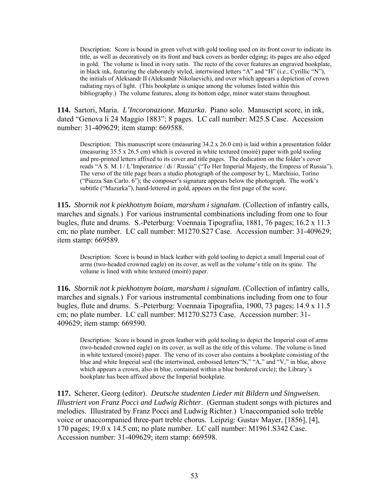Description: Score is bound in green velvet with gold tooling used on its front cover to indicate its title, as well as decoratively on its front and back covers as border edging; its pages are also edged in gold. The volume is lined in ivory satin. The recto of the cover features an engraved bookplate, in black ink, featuring the elaborately styled, intertwined letters "A" and "H" (i.e., Cyrillic "N"), the initials of Aleksandr II (Aleksandr Nikolaevich), and over which appears a depiction of crown radiating rays of light. (This bookplate is unique among the volumes listed within this bibliography.) The volume features, along its bottom edge, minor water stains throughout.

**114.** Sartori, Maria. *L'Incoronazione. Mazurka*. Piano solo. Manuscript score, in ink, dated "Genova li 24 Maggio 1883"; 8 pages. LC call number: M25.S Case. Accession number: 31-409629; item stamp: 669588.

Description: This manuscript score (measuring  $34.2 \times 26.0 \text{ cm}$ ) is laid within a presentation folder (measuring  $35.5 \times 26.5$  cm) which is covered in white textured (moiré) paper with gold tooling and pre-printed letters affixed to its cover and title pages. The dedication on the folder's cover reads "A S. M. I / L'Imperatrice / di / Russia" ("To Her Imperial Majesty, the Empress of Russia"). The verso of the title page bears a studio photograph of the composer by L. Marchisio, Torino ("Piazza San Carlo. 6"); the composer's signature appears below the photograph. The work's subtitle ("Mazurka"), hand-lettered in gold, appears on the first page of the score.

**115.** *Sbornik not k piekhotnym boiam, marsham i signalam*. (Collection of infantry calls, marches and signals.) For various instrumental combinations including from one to four bugles, flute and drums. S.-Peterburg: Voennaia Tipografiia, 1881, 76 pages; 16.2 x 11.3 cm; no plate number. LC call number: M1270.S27 Case. Accession number: 31-409629; item stamp: 669589.

Description: Score is bound in black leather with gold tooling to depict a small Imperial coat of arms (two-headed crowned eagle) on its cover, as well as the volume's title on its spine. The volume is lined with white textured (moiré) paper.

**116.** *Sbornik not k piekhotnym boiam, marsham i signalam*. (Collection of infantry calls, marches and signals.) For various instrumental combinations including from one to four bugles, flute and drums. S.-Peterburg: Voennaia Tipografiia, 1900, 73 pages; 14.9 x 11.5 cm; no plate number. LC call number: M1270.S273 Case. Accession number: 31- 409629; item stamp: 669590.

Description: Score is bound in green leather with gold tooling to depict the Imperial coat of arms (two-headed crowned eagle) on its cover, as well as the title of this volume. The volume is lined in white textured (moiré) paper. The verso of its cover also contains a bookplate consisting of the blue and white Imperial seal (the intertwined, embossed letters"N," "A," and "V," in blue, above which appears a crown, also in blue, contained within a blue bordered circle); the Library's bookplate has been affixed above the Imperial bookplate.

**117.** Scherer, Georg (editor). *Deutsche studenten Lieder mit Bildern und Singweisen. Illustriert von Franz Pocci and Ludwig Richter*. (German student songs with pictures and melodies. Illustrated by Franz Pocci and Ludwig Richter.) Unaccompanied solo treble voice or unaccompanied three-part treble chorus. Leipzig: Gustav Mayer, [1856], [4], 170 pages; 19.0 x 14.5 cm; no plate number. LC call number: M1961.S342 Case. Accession number: 31-409629; item stamp: 669598.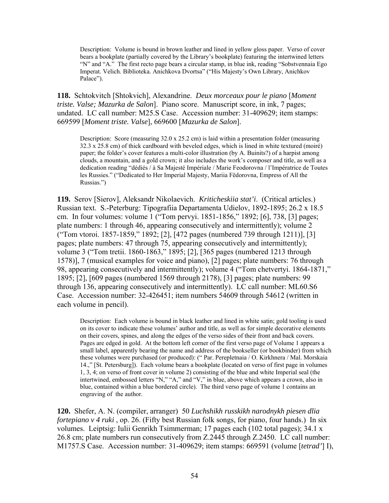Description: Volume is bound in brown leather and lined in yellow gloss paper. Verso of cover bears a bookplate (partially covered by the Library's bookplate) featuring the intertwined letters "N" and "A." The first recto page bears a circular stamp, in blue ink, reading "Sobstvennaia Ego Imperat. Velich. Biblioteka. Anichkova Dvortsa" ("His Majesty's Own Library, Anichkov Palace").

**118.** Schtokvitch [Shtokvich], Alexandrine. *Deux morceaux pour le piano* [*Moment triste. Valse; Mazurka de Salon*]. Piano score. Manuscript score, in ink, 7 pages; undated. LC call number: M25.S Case. Accession number: 31-409629; item stamps: 669599 [*Moment triste. Valse*], 669600 [*Mazurka de Salon*].

Description: Score (measuring  $32.0 \times 25.2$  cm) is laid within a presentation folder (measuring 32.3 x 25.8 cm) of thick cardboard with beveled edges, which is lined in white textured (moiré) paper; the folder's cover features a multi-color illustration (by A. Buinits?) of a harpist among clouds, a mountain, and a gold crown; it also includes the work's composer and title, as well as a dedication reading "dédiés / à Sa Majesté Impériale / Marie Feodorovna / l'Impératrice de Toutes les Russies." ("Dedicated to Her Imperial Majesty, Mariia Fëdorovna, Empress of All the Russias.")

**119.** Serov [Sierov], Aleksandr Nikolaevich. *Kriticheskiia stat'i*. (Critical articles.) Russian text. S.-Peterburg: Tipografiia Departamenta Udielov, 1892-1895; 26.2 x 18.5 cm. In four volumes: volume 1 ("Tom pervyi. 1851-1856," 1892; [6], 738, [3] pages; plate numbers: 1 through 46, appearing consecutively and intermittently); volume 2 ("Tom vtoroi. 1857-1859," 1892; [2], [472 pages (numbered 739 through 1211)], [3] pages; plate numbers: 47 through 75, appearing consecutively and intermittently); volume 3 ("Tom tretii. 1860-1863," 1895; [2], [365 pages (numbered 1213 through 1578)], 7 (musical examples for voice and piano), [2] pages; plate numbers: 76 through 98, appearing consecutively and intermittently); volume 4 ("Tom chetvertyi. 1864-1871," 1895; [2], [609 pages (numbered 1569 through 2178), [3] pages; plate numbers: 99 through 136, appearing consecutively and intermittently). LC call number: ML60.S6 Case. Accession number: 32-426451; item numbers 54609 through 54612 (written in each volume in pencil).

Description: Each volume is bound in black leather and lined in white satin; gold tooling is used on its cover to indicate these volumes' author and title, as well as for simple decorative elements on their covers, spines, and along the edges of the verso sides of their front and back covers. Pages are edged in gold. At the bottom left corner of the first verso page of Volume 1 appears a small label, apparently bearing the name and address of the bookseller (or bookbinder) from which these volumes were purchased (or produced): (" Par. Perepletnaia / O. Kirkhnera / Mal. Morskaia 14.," [St. Petersburg]). Each volume bears a bookplate (located on verso of first page in volumes 1, 3, 4; on verso of front cover in volume 2) consisting of the blue and white Imperial seal (the intertwined, embossed letters "N," "A," and "V," in blue, above which appears a crown, also in blue, contained within a blue bordered circle). The third verso page of volume 1 contains an engraving of the author.

**120.** Shefer, A. N. (compiler, arranger) 50 *Luchshikh russkikh narodnykh piesen dlia fortepiano v 4 ruki* , op. 26. (Fifty best Russian folk songs, for piano, four hands.) In six volumes. Leiptsig: Iulii Genrikh Tsimmerman; 17 pages each (102 total pages); 34.1 x 26.8 cm; plate numbers run consecutively from Z.2445 through Z.2450. LC call number: M1757.S Case. Accession number: 31-409629; item stamps: 669591 (volume [*tetrad'*] I),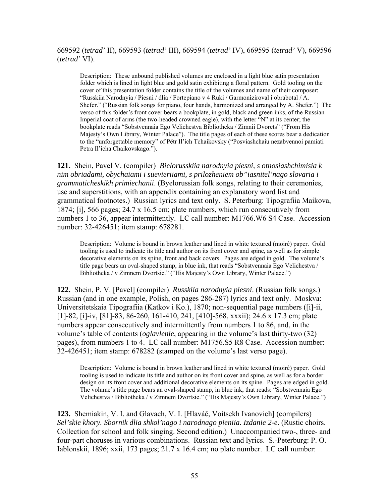### 669592 (*tetrad'* II), 669593 (*tetrad'* III), 669594 (*tetrad'* IV), 669595 (*tetrad'* V), 669596 (*tetrad'* VI).

Description: These unbound published volumes are enclosed in a light blue satin presentation folder which is lined in light blue and gold satin exhibiting a floral pattern. Gold tooling on the cover of this presentation folder contains the title of the volumes and name of their composer: "Russkiia Narodnyia / Piesni / dlia / Fortepiano v 4 Ruki / Garmoniziroval i obrabotal / A. Shefer." ("Russian folk songs for piano, four hands, harmonized and arranged by A. Shefer.") The verso of this folder's front cover bears a bookplate, in gold, black and green inks, of the Russian Imperial coat of arms (the two-headed crowned eagle), with the letter "N" at its center; the bookplate reads "Sobstvennaia Ego Velichestva Bibliotheka / Zimnii Dvorets" ("From His Majesty's Own Library, Winter Palace"). The title pages of each of these scores bear a dedication to the "unforgettable memory" of Pëtr Il'ich Tchaikovsky ("Posviashchaiu nezabvennoi pamiati Petra Il'icha Chaikovskago.").

**121.** Shein, Pavel V. (compiler) *Bielorusskiia narodnyia piesni, s otnosiashchimisia k nim obriadami, obychaiami i suevieriiami, s prilozheniem ob"iasnitel'nago slovaria i grammaticheskikh primiechanii*. (Byelorussian folk songs, relating to their ceremonies, use and superstitions, with an appendix containing an explanatory word list and grammatical footnotes.) Russian lyrics and text only. S. Peterburg: Tipografiia Maikova, 1874; [i], 566 pages; 24.7 x 16.5 cm; plate numbers, which run consecutively from numbers 1 to 36, appear intermittently. LC call number: M1766.W6 S4 Case. Accession number: 32-426451; item stamp: 678281.

Description: Volume is bound in brown leather and lined in white textured (moiré) paper. Gold tooling is used to indicate its title and author on its front cover and spine, as well as for simple decorative elements on its spine, front and back covers. Pages are edged in gold. The volume's title page bears an oval-shaped stamp, in blue ink, that reads "Sobstvennaia Ego Velichestva / Bibliotheka / v Zimnem Dvortsie." ("His Majesty's Own Library, Winter Palace.")

**122.** Shein, P. V. [Pavel] (compiler) *Russkiia narodnyia piesni*. (Russian folk songs.) Russian (and in one example, Polish, on pages 286-287) lyrics and text only. Moskva: Universitetskaia Tipografiia (Katkov i Ko.), 1870; non-sequential page numbers ([i]-ii, [1]-82, [i]-iv, [81]-83, 86-260, 161-410, 241, [410]-568, xxxii); 24.6 x 17.3 cm; plate numbers appear consecutively and intermittently from numbers 1 to 86, and, in the volume's table of contents (*oglavlenie*, appearing in the volume's last thirty-two (32) pages), from numbers 1 to 4. LC call number: M1756.S5 R8 Case. Accession number: 32-426451; item stamp: 678282 (stamped on the volume's last verso page).

Description: Volume is bound in brown leather and lined in white textured (moiré) paper. Gold tooling is used to indicate its title and author on its front cover and spine, as well as for a border design on its front cover and additional decorative elements on its spine. Pages are edged in gold. The volume's title page bears an oval-shaped stamp, in blue ink, that reads: "Sobstvennaia Ego Velichestva / Bibliotheka / v Zimnem Dvortsie." ("His Majesty's Own Library, Winter Palace.")

**123.** Shemiakin, V. I. and Glavach, V. I. [Hlaváč, Voitsekh Ivanovich] (compilers) *Sel'skie khory. Sbornik dlia shkol'nago i narodnago pieniia. Izdanie 2-e*. (Rustic choirs. Collection for school and folk singing. Second edition.) Unaccompanied two-, three- and four-part choruses in various combinations. Russian text and lyrics. S.-Peterburg: P. O. Iablonskii, 1896; xxii, 173 pages; 21.7 x 16.4 cm; no plate number. LC call number: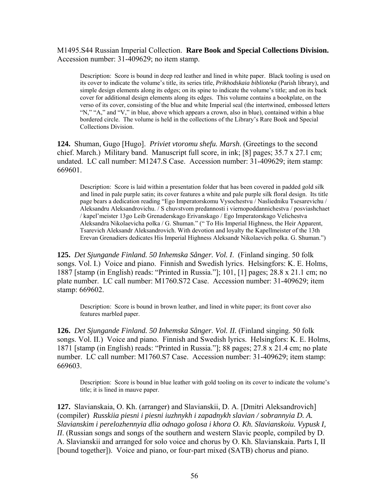#### M1495.S44 Russian Imperial Collection. **Rare Book and Special Collections Division.**  Accession number: 31-409629; no item stamp.

Description: Score is bound in deep red leather and lined in white paper. Black tooling is used on its cover to indicate the volume's title, its series title, *Prikhodskaia biblioteka* (Parish library), and simple design elements along its edges; on its spine to indicate the volume's title; and on its back cover for additional design elements along its edges. This volume contains a bookplate, on the verso of its cover, consisting of the blue and white Imperial seal (the intertwined, embossed letters "N," "A," and "V," in blue, above which appears a crown, also in blue), contained within a blue bordered circle. The volume is held in the collections of the Library's Rare Book and Special Collections Division.

**124.** Shuman, Gugo [Hugo]. *Priviet vtoromu shefu. Marsh*. (Greetings to the second chief. March.) Military band. Manuscript full score, in ink; [8] pages; 35.7 x 27.1 cm; undated. LC call number: M1247.S Case. Accession number: 31-409629; item stamp: 669601.

Description: Score is laid within a presentation folder that has been covered in padded gold silk and lined in pale purple satin; its cover features a white and pale purple silk floral design. Its title page bears a dedication reading "Ego Imperatorskomu Vysochestvu / Nasliedniku Tsesarevichu / Aleksandru Aleksandrovichu. / S chuvstvom predannosti i viernopoddannichestva / posviashchaet / kapel'meister 13go Leib Grenaderskago Erivanskago / Ego Imperatorskago Velichestva Aleksandra Nikolaevicha polka / G. Shuman." (" To His Imperial Highness, the Heir Apparent, Tsarevich Aleksandr Aleksandrovich. With devotion and loyalty the Kapellmeister of the 13th Erevan Grenadiers dedicates His Imperial Highness Aleksandr Nikolaevich polka. G. Shuman.")

**125.** *Det Sjungande Finland. 50 Inhemska Sånger. Vol. I*. (Finland singing. 50 folk songs. Vol. I.) Voice and piano. Finnish and Swedish lyrics. Helsingfors: K. E. Holms, 1887 [stamp (in English) reads: "Printed in Russia."]; 101, [1] pages; 28.8 x 21.1 cm; no plate number. LC call number: M1760.S72 Case. Accession number: 31-409629; item stamp: 669602.

Description: Score is bound in brown leather, and lined in white paper; its front cover also features marbled paper.

**126.** *Det Sjungande Finland. 50 Inhemska Sånger. Vol. II.* (Finland singing. 50 folk songs. Vol. II.) Voice and piano. Finnish and Swedish lyrics. Helsingfors: K. E. Holms, 1871 [stamp (in English) reads: "Printed in Russia."]; 88 pages; 27.8 x 21.4 cm; no plate number. LC call number: M1760.S7 Case. Accession number: 31-409629; item stamp: 669603.

Description: Score is bound in blue leather with gold tooling on its cover to indicate the volume's title; it is lined in mauve paper.

**127.** Slavianskaia, O. Kh. (arranger) and Slavianskii, D. A. [Dmitri Aleksandrovich] (compiler) *Russkiia piesni i piesni iuzhnykh i zapadnykh slavian / sobrannyia D. A. Slavianskim i perelozhennyia dlia odnago golosa i khora O. Kh. Slavianskoiu. Vypusk I, II*. (Russian songs and songs of the southern and western Slavic people, compiled by D. A. Slavianskii and arranged for solo voice and chorus by O. Kh. Slavianskaia. Parts I, II [bound together]). Voice and piano, or four-part mixed (SATB) chorus and piano.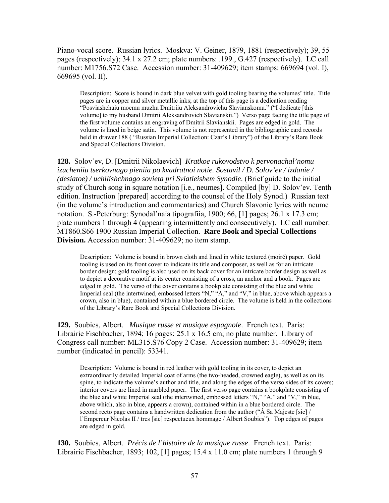Piano-vocal score. Russian lyrics. Moskva: V. Geiner, 1879, 1881 (respectively); 39, 55 pages (respectively); 34.1 x 27.2 cm; plate numbers: .199., G.427 (respectively). LC call number: M1756.S72 Case. Accession number: 31-409629; item stamps: 669694 (vol. I), 669695 (vol. II).

Description: Score is bound in dark blue velvet with gold tooling bearing the volumes' title. Title pages are in copper and silver metallic inks; at the top of this page is a dedication reading "Posviashchaiu moemu muzhu Dmitriiu Aleksandrovichu Slavianskomu." ("I dedicate [this volume] to my husband Dmitrii Aleksandrovich Slavianskii.") Verso page facing the title page of the first volume contains an engraving of Dmitrii Slavianskii. Pages are edged in gold. The volume is lined in beige satin. This volume is not represented in the bibliographic card records held in drawer 188 ( "Russian Imperial Collection: Czar's Library") of the Library's Rare Book and Special Collections Division.

**128.** Solov'ev, D. [Dmitrii Nikolaevich] *Kratkoe rukovodstvo k pervonachal'nomu izucheniiu tserkovnago pieniia po kvadratnoi notie. Sostavil / D. Solov'ev / izdanie / (desiatoe) / uchilishchnago sovieta pri Sviatieishem Synodie*. (Brief guide to the initial study of Church song in square notation [i.e., neumes]. Compiled [by] D. Solov'ev. Tenth edition. Instruction [prepared] according to the counsel of the Holy Synod.) Russian text (in the volume's introduction and commentaries) and Church Slavonic lyrics with neume notation. S.-Peterburg: Synodal'naia tipografiia, 1900; 66, [1] pages; 26.1 x 17.3 cm; plate numbers 1 through 4 (appearing intermittently and consecutively). LC call number: MT860.S66 1900 Russian Imperial Collection. **Rare Book and Special Collections Division.** Accession number: 31-409629; no item stamp.

Description: Volume is bound in brown cloth and lined in white textured (moiré) paper. Gold tooling is used on its front cover to indicate its title and composer, as well as for an intricate border design; gold tooling is also used on its back cover for an intricate border design as well as to depict a decorative motif at its center consisting of a cross, an anchor and a book. Pages are edged in gold. The verso of the cover contains a bookplate consisting of the blue and white Imperial seal (the intertwined, embossed letters "N," "A," and "V," in blue, above which appears a crown, also in blue), contained within a blue bordered circle. The volume is held in the collections of the Library's Rare Book and Special Collections Division.

**129.** Soubies, Albert. *Musique russe et musique espagnole*. French text. Paris: Librairie Fischbacher, 1894; 16 pages; 25.1 x 16.5 cm; no plate number. Library of Congress call number: ML315.S76 Copy 2 Case. Accession number: 31-409629; item number (indicated in pencil): 53341.

Description: Volume is bound in red leather with gold tooling in its cover, to depict an extraordinarily detailed Imperial coat of arms (the two-headed, crowned eagle), as well as on its spine, to indicate the volume's author and title, and along the edges of the verso sides of its covers; interior covers are lined in marbled paper. The first verso page contains a bookplate consisting of the blue and white Imperial seal (the intertwined, embossed letters "N," "A," and "V," in blue, above which, also in blue, appears a crown), contained within in a blue bordered circle. The second recto page contains a handwritten dedication from the author (" $\hat{A}$  Sa Majeste [sic] / l'Empereur Nicolas II / tres [sic] respectueux hommage / Albert Soubies"). Top edges of pages are edged in gold.

**130.** Soubies, Albert. *Précis de l'histoire de la musique russe*. French text. Paris: Librairie Fischbacher, 1893; 102, [1] pages; 15.4 x 11.0 cm; plate numbers 1 through 9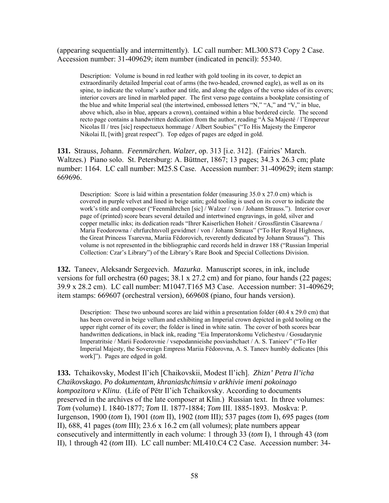(appearing sequentially and intermittently). LC call number: ML300.S73 Copy 2 Case. Accession number: 31-409629; item number (indicated in pencil): 55340.

Description: Volume is bound in red leather with gold tooling in its cover, to depict an extraordinarily detailed Imperial coat of arms (the two-headed, crowned eagle), as well as on its spine, to indicate the volume's author and title, and along the edges of the verso sides of its covers; interior covers are lined in marbled paper. The first verso page contains a bookplate consisting of the blue and white Imperial seal (the intertwined, embossed letters "N," "A," and "V," in blue, above which, also in blue, appears a crown), contained within a blue bordered circle. The second recto page contains a handwritten dedication from the author, reading "À Sa Majesté / l'Empereur Nicolas II / tres [sic] respectueux hommage / Albert Soubies" ("To His Majesty the Emperor Nikolai II, [with] great respect"). Top edges of pages are edged in gold.

**131.** Strauss, Johann. *Feenmärchen. Walzer*, op. 313 [i.e. 312]. (Fairies' March. Waltzes.) Piano solo. St. Petersburg: A. Büttner, 1867; 13 pages; 34.3 x 26.3 cm; plate number: 1164. LC call number: M25.S Case. Accession number: 31-409629; item stamp: 669696.

Description: Score is laid within a presentation folder (measuring  $35.0 \times 27.0$  cm) which is covered in purple velvet and lined in beige satin; gold tooling is used on its cover to indicate the work's title and composer ("Feenmährchen [sic] / Walzer / von / Johann Strauss."). Interior cover page of (printed) score bears several detailed and intertwined engravings, in gold, silver and copper metallic inks; its dedication reads "Ihrer Kaiserlichen Hoheit / Grossfürstin Cäsarewna / Maria Feodorowna / ehrfurchtsvoll gewidmet / von / Johann Strauss" ("To Her Royal Highness, the Great Princess Tsarevna, Mariia Fëdorovich, reverently dedicated by Johann Strauss"). This volume is not represented in the bibliographic card records held in drawer 188 ("Russian Imperial Collection: Czar's Library") of the Library's Rare Book and Special Collections Division.

**132.** Taneev, Aleksandr Sergeevich. *Mazurka*. Manuscript scores, in ink, include versions for full orchestra (60 pages; 38.1 x 27.2 cm) and for piano, four hands (22 pages; 39.9 x 28.2 cm). LC call number: M1047.T165 M3 Case. Accession number: 31-409629; item stamps: 669607 (orchestral version), 669608 (piano, four hands version).

Description: These two unbound scores are laid within a presentation folder (40.4 x 29.0 cm) that has been covered in beige vellum and exhibiting an Imperial crown depicted in gold tooling on the upper right corner of its cover; the folder is lined in white satin. The cover of both scores bear handwritten dedications, in black ink, reading "Eia Imperatorskomu Velichestvu / Gosudarynie Imperatritsie / Marii Feodorovnie / vsepodannieishe posviashchaet / A. S. Tanieev" ("To Her Imperial Majesty, the Sovereign Empress Mariia Fëdorovna, A. S. Taneev humbly dedicates [this work]"). Pages are edged in gold.

**133.** Tchaikovsky, Modest Il'ich [Chaikovskii, Modest Il'ich]. *Zhizn' Petra Il'icha Chaikovskago. Po dokumentam, khraniashchimsia v arkhivie imeni pokoinago kompozitora v Klinu*. (Life of Pëtr Il'ich Tchaikovsky. According to documents preserved in the archives of the late composer at Klin.) Russian text. In three volumes: *Tom* (volume) I. 1840-1877; *Tom* II. 1877-1884; *Tom* III. 1885-1893. Moskva: P. Iurgenson, 1900 (*tom* I), 1901 (*tom* II), 1902 (*tom* III); 537 pages (*tom* I), 695 pages (*tom* II), 688, 41 pages (*tom* III); 23.6 x 16.2 cm (all volumes); plate numbers appear consecutively and intermittently in each volume: 1 through 33 (*tom* I), 1 through 43 (*tom* II), 1 through 42 (*tom* III). LC call number: ML410.C4 C2 Case. Accession number: 34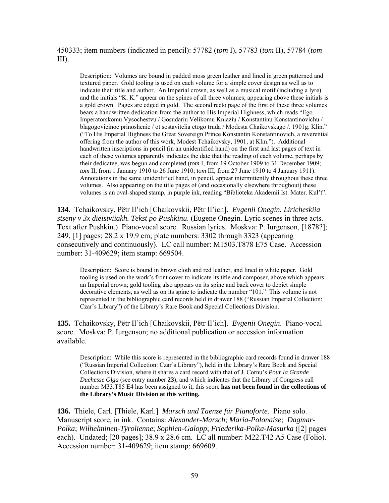450333; item numbers (indicated in pencil): 57782 (*tom* I), 57783 (*tom* II), 57784 (*tom* III).

Description: Volumes are bound in padded moss green leather and lined in green patterned and textured paper. Gold tooling is used on each volume for a simple cover design as well as to indicate their title and author. An Imperial crown, as well as a musical motif (including a lyre) and the initials "K. K." appear on the spines of all three volumes; appearing above these initials is a gold crown. Pages are edged in gold. The second recto page of the first of these three volumes bears a handwritten dedication from the author to His Imperial Highness, which reads "Ego Imperatorskomu Vysochestvu / Gosudariu Velikomu Kniaziu / Konstantinu Konstantinovichu / blagogovieinoe prinoshenie / ot sostavitelia etogo truda / Modesta Chaikovskago /. 1901g. Klin." ("To His Imperial Highness the Great Sovereign Prince Konstantin Konstantinovich, a reverential offering from the author of this work, Modest Tchaikovsky, 1901, at Klin."). Additional handwritten inscriptions in pencil (in an unidentified hand) on the first and last pages of text in each of these volumes apparently indicates the date that the reading of each volume, perhaps by their dedicatee, was begun and completed (*tom* I, from 19 October 1909 to 31 December 1909; *tom* II, from 1 January 1910 to 26 June 1910; *tom* III, from 27 June 1910 to 4 January 1911). Annotations in the same unidentified hand, in pencil, appear intermittently throughout these three volumes. Also appearing on the title pages of (and occasionally elsewhere throughout) these volumes is an oval-shaped stamp, in purple ink, reading "Biblioteka Akademii Ist. Mater. Kul't".

**134.** Tchaikovsky, Pëtr Il'ich [Chaikovskii, Pëtr Il'ich]. *Evgenii Onegin. Liricheskiia stseny v 3x dieistviiakh. Tekst po Pushkinu*. (Eugene Onegin. Lyric scenes in three acts. Text after Pushkin.) Piano-vocal score. Russian lyrics. Moskva: P. Iurgenson, [1878?]; 249, [1] pages; 28.2 x 19.9 cm; plate numbers: 3302 through 3323 (appearing consecutively and continuously). LC call number: M1503.T878 E75 Case. Accession number: 31-409629; item stamp: 669504.

Description: Score is bound in brown cloth and red leather, and lined in white paper. Gold tooling is used on the work's front cover to indicate its title and composer, above which appears an Imperial crown; gold tooling also appears on its spine and back cover to depict simple decorative elements, as well as on its spine to indicate the number "101." This volume is not represented in the bibliographic card records held in drawer 188 ("Russian Imperial Collection: Czar's Library") of the Library's Rare Book and Special Collections Division.

**135.** Tchaikovsky, Pëtr Il'ich [Chaikovskii, Pëtr Il'ich]. *Evgenii Onegin*. Piano-vocal score. Moskva: P. Iurgenson; no additional publication or accession information available.

Description: While this score is represented in the bibliographic card records found in drawer 188 ("Russian Imperial Collection: Czar's Library"), held in the Library's Rare Book and Special Collections Division, where it shares a card record with that of J. Cornu's *Pour la Grande Duchesse Olga* (see entry number **23**), and which indicates that the Library of Congress call number M33.T85 E4 has been assigned to it, this score **has not been found in the collections of the Library's Music Division at this writing.** 

**136.** Thiele, Carl. [Thiele, Karl.] *Marsch und Taenze für Pianoforte*. Piano solo. Manuscript score, in ink. Contains: *Alexander-Marsch*; *Maria-Polonaise*; *Dagmar-Polka*; *Wilhelminen-Tÿrolienne*; *Sophien-Galopp*; *Friederika-Polka-Masurka* ([2] pages each). Undated; [20 pages]; 38.9 x 28.6 cm. LC all number: M22.T42 A5 Case (Folio). Accession number: 31-409629; item stamp: 669609.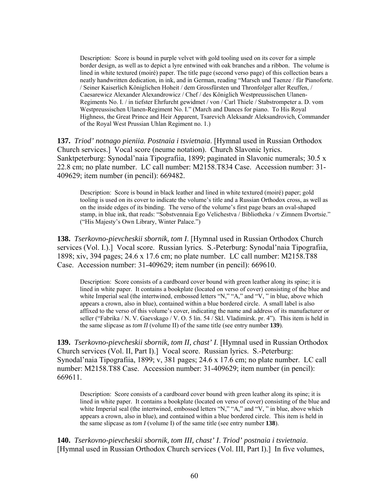Description: Score is bound in purple velvet with gold tooling used on its cover for a simple border design, as well as to depict a lyre entwined with oak branches and a ribbon. The volume is lined in white textured (moiré) paper. The title page (second verso page) of this collection bears a neatly handwritten dedication, in ink, and in German, reading "Marsch und Taenze / für Pianoforte. / Seiner Kaiserlich Königlichen Hoheit / dem Grossfürsten und Thronfolger aller Reuffen, / Caesarewicz Alexander Alexandrowicz / Chef / des Königlich Westpreussischen Ulanen-Regiments No. I. / in tiefster Ehrfurcht gewidmet / von / Carl Thiele / Stabstrompeter a. D. vom Westpreussischen Ulanen-Regiment No. I." (March and Dances for piano. To His Royal Highness, the Great Prince and Heir Apparent, Tsarevich Aleksandr Aleksandrovich, Commander of the Royal West Prussian Uhlan Regiment no. 1.)

**137.** *Triod' notnago pieniia. Postnaia i tsvietnaia*. [Hymnal used in Russian Orthodox Church services.] Vocal score (neume notation). Church Slavonic lyrics. Sanktpeterburg: Synodal'naia Tipografiia, 1899; paginated in Slavonic numerals; 30.5 x 22.8 cm; no plate number. LC call number: M2158.T834 Case. Accession number: 31- 409629; item number (in pencil): 669482.

Description: Score is bound in black leather and lined in white textured (moiré) paper; gold tooling is used on its cover to indicate the volume's title and a Russian Orthodox cross, as well as on the inside edges of its binding. The verso of the volume's first page bears an oval-shaped stamp, in blue ink, that reads: "Sobstvennaia Ego Velichestva / Bibliotheka / v Zimnem Dvortsie." ("His Majesty's Own Library, Winter Palace.")

**138.** *Tserkovno-pievcheskii sbornik, tom I*. [Hymnal used in Russian Orthodox Church services (Vol. I.).] Vocal score. Russian lyrics. S.-Peterburg: Synodal'naia Tipografiia, 1898; xiv, 394 pages; 24.6 x 17.6 cm; no plate number. LC call number: M2158.T88 Case. Accession number: 31-409629; item number (in pencil): 669610.

Description: Score consists of a cardboard cover bound with green leather along its spine; it is lined in white paper. It contains a bookplate (located on verso of cover) consisting of the blue and white Imperial seal (the intertwined, embossed letters "N," "A," and "V, " in blue, above which appears a crown, also in blue), contained within a blue bordered circle. A small label is also affixed to the verso of this volume's cover, indicating the name and address of its manufacturer or seller ("Fabrika / N. V. Gaevskago / V. O. 5 lin. 54 / Skl. Vladimirsk. pr. 4"). This item is held in the same slipcase as *tom II* (volume II) of the same title (see entry number **139**).

**139.** *Tserkovno-pievcheskii sbornik, tom II, chast' I*. [Hymnal used in Russian Orthodox Church services (Vol. II, Part I).] Vocal score. Russian lyrics. S.-Peterburg: Synodal'naia Tipografiia, 1899; v, 381 pages; 24.6 x 17.6 cm; no plate number. LC call number: M2158.T88 Case. Accession number: 31-409629; item number (in pencil): 669611.

Description: Score consists of a cardboard cover bound with green leather along its spine; it is lined in white paper. It contains a bookplate (located on verso of cover) consisting of the blue and white Imperial seal (the intertwined, embossed letters "N," "A," and "V, " in blue, above which appears a crown, also in blue), and contained within a blue bordered circle. This item is held in the same slipcase as *tom I* (volume I) of the same title (see entry number **138**).

**140.** *Tserkovno-pievcheskii sbornik, tom III, chast' I*. *Triod' postnaia i tsvietnaia*. [Hymnal used in Russian Orthodox Church services (Vol. III, Part I).] In five volumes,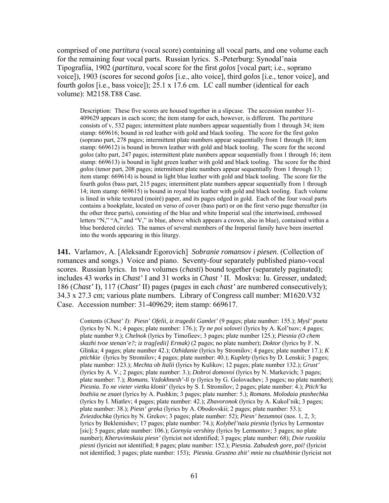comprised of one *partitura* (vocal score) containing all vocal parts, and one volume each for the remaining four vocal parts. Russian lyrics. S.-Peterburg: Synodal'naia Tipografiia, 1902 (*partitura*, vocal score for the first *golos* [vocal part; i.e., soprano voice]), 1903 (scores for second *golos* [i.e., alto voice], third *golos* [i.e., tenor voice], and fourth *golos* [i.e., bass voice]); 25.1 x 17.6 cm. LC call number (identical for each volume): M2158.T88 Case.

Description: These five scores are housed together in a slipcase. The accession number 31- 409629 appears in each score; the item stamp for each, however, is different. The *partitura* consists of v, 532 pages; intermittent plate numbers appear sequentially from 1 through  $34$ ; item stamp: 669616; bound in red leather with gold and black tooling. The score for the first *golos* (soprano part, 278 pages; intermittent plate numbers appear sequentially from 1 through 18; item stamp: 669612) is bound in brown leather with gold and black tooling. The score for the second *golos* (alto part, 247 pages; intermittent plate numbers appear sequentially from 1 through 16; item stamp: 669613) is bound in light green leather with gold and black tooling. The score for the third *golos* (tenor part, 208 pages; intermittent plate numbers appear sequentially from 1 through 13; item stamp: 669614) is bound in light blue leather with gold and black tooling. The score for the fourth *golos* (bass part, 215 pages; intermittent plate numbers appear sequentially from 1 through 14; item stamp: 669615) is bound in royal blue leather with gold and black tooling. Each volume is lined in white textured (moiré) paper, and its pages edged in gold. Each of the four vocal parts contains a bookplate, located on verso of cover (bass part) or on the first verso page thereafter (in the other three parts), consisting of the blue and white Imperial seal (the intertwined, embossed letters "N," "A," and "V," in blue, above which appears a crown, also in blue), contained within a blue bordered circle). The names of several members of the Imperial family have been inserted into the words appearing in this liturgy.

**141.** Varlamov, A. [Aleksandr Egorovich] *Sobranie romansov i piesen*. (Collection of romances and songs.) Voice and piano. Seventy-four separately published piano-vocal scores. Russian lyrics. In two volumes (*chasti*) bound together (separately paginated); includes 43 works in *Chast'* I and 31 works in *Chast '* II. Moskva: Iu. Gresser, undated; 186 (*Chast'* I), 117 (*Chast'* II) pages (pages in each *chast'* are numbered consecutively); 34.3 x 27.3 cm; various plate numbers. Library of Congress call number: M1620.V32 Case. Accession number: 31-409629; item stamp: 669617.

Contents (*Chast' I*): *Piesn' Ofelii, iz tragedii Gamlet'* (9 pages; plate number: 155.); *Mysl' poeta*  (lyrics by N. N.; 4 pages; plate number: 176.); *Ty ne poi solovei* (lyrics by A. Kol'tsov; 4 pages; plate number 9.); *Chelnok* (lyrics by Timofieev; 3 pages; plate number 125.); *Piesnia (O chem skazhi tvoe stenan'e?; iz trag[edii] Ermak)* (2 pages; no plate number); *Doktor* (lyrics by F. N. Glinka; 4 pages; plate number 42.); *Ozhidanie* (lyrics by Stromilov; 4 pages; plate number 17.); *K ptichkie* (lyrics by Stromilov; 4 pages; plate number: 40.); *Kuplety* (lyrics by D. Lenskii; 3 pages; plate number: 123.); *Mechta ob Italii* (lyrics by Kulikov; 12 pages; plate number 132.); *Grust'*  (lyrics by A. V.; 2 pages; plate number: 3.); *Dobroi domovoi* (lyrics by N. Markevich; 3 pages; plate number: 7.); *Romans. Vzdokhnesh'-li ty* (lyrics by G. Golovachev; 3 pages; no plate number); *Piesnia. To ne vieter vietku klonit'* (lyrics by S. I. Stromilov; 2 pages; plate number: 4.); *Ptich'ka bozhiia ne znaet* (lyrics by A. Pushkin; 3 pages; plate number: 5.); *Romans. Molodaia ptashechka*  (lyrics by I. Miatlev; 4 pages; plate number: 42.); *Zhavoronok* (lyrics by A. Kukol'nik; 3 pages; plate number: 38.); *Piesn' greka* (lyrics by A. Obodovskii; 2 pages; plate number: 53.); *Zviezdochka* (lyrics by N. Grekov; 3 pages; plate number: 52); *Piesn' bezumnoi* (nos. 1, 2, 3; lyrics by Beklemishev; 17 pages; plate number: 74.); *Kolybel'naia piesnia* (lyrics by Lermontav [sic]; 5 pages; plate number: 106.); *Gornyia vershiny* (lyrics by Lermontov; 3 pages; no plate number); *Kheruvimskaia piesn'* (lyricist not identified; 3 pages; plate number: 68); *Dvie russkiia piesni* (lyricist not identified; 8 pages; plate number: 152.); *Piesnia. Zabudesh gore, poi!* (lyricist not identified; 3 pages; plate number: 153); *Piesnia. Grustno zhit' mnie na chuzhbinie* (lyricist not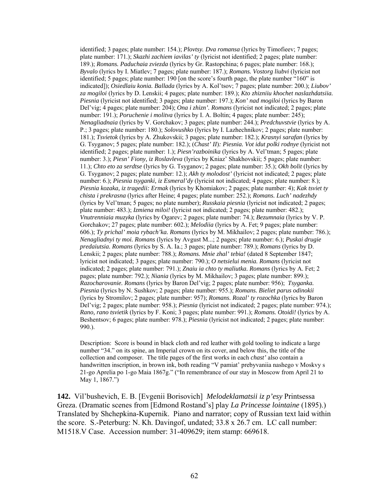identified; 3 pages; plate number: 154.); *Plovtsy. Dva romansa* (lyrics by Timofieev; 7 pages; plate number: 171.); *Skazhi zachiem iavilas' ty* (lyricist not identified; 2 pages; plate number: 189.); *Romans. Paduchaia zviezda* (lyrics by Gr. Rastopchina; 6 pages; plate number: 168.); *Byvalo* (lyrics by I. Miatlev; 7 pages; plate number: 187.); *Romans. Vostorg liubvi* (lyricist not identified; 5 pages; plate number: 190 [on the score's fourth page, the plate number "160" is indicated]); *Osiedlaiu konia. Ballada* (lyrics by A. Kol'tsov; 7 pages; plate number: 200.); *Liubov' za mogiloi* (lyrics by D. Lenskii; 4 pages; plate number: 189.); *Kto zhizniiu khochet naslazhdatsiia. Piesnia* (lyricist not identified; 3 pages; plate number: 197.); *Kon' nad mogiloi* (lyrics by Baron Del'vig; 4 pages; plate number: 204); *Ona i zhizn'. Romans* (lyricist not indicated; 2 pages; plate number: 191.); *Poruchenie i molitva* (lyrics by I. A. Boltin; 4 pages; plate number: 245); *Nenagliadnaia* (lyrics by V. Gorchakov; 3 pages; plate number: 244.); *Predchuvstvie* (lyrics by A. P.; 3 pages; plate number: 180.); *Solovushko* (lyrics by I. Lazhechnikov; 2 pages; plate number: 181.); *Tsvietok* (lyrics by A. Zhukovskii; 3 pages; plate number: 182.); *Krasnyi sarafan* (lyrics by G. Tsyganov; 5 pages; plate number: 182.); (*Chast' II*)*: Piesnia. Vot idut polki rodnye* (lyricist not identified; 2 pages; plate number: 1.); *Piesn'razboinika* (lyrics by A. Vel'tman; 5 pages; plate number: 3.); *Piesn' Fiony, iz Roslavleva* (lyrics by Kniaz' Shakhovskii; 5 pages; plate number: 11.); *Chto eto za serdtse* (lyrics by G. Tsyganov; 2 pages; plate number: 35.); *Okh bolit* (lyrics by G. Tsyganov; 2 pages; plate number: 12.); *Akh ty molodost'* (lyricist not indicated; 2 pages; plate number: 6.); *Piesnia tsyganki, iz Esmeral'dy* (lyricist not indicated; 4 pages; plate number: 8.); *Piesnia kozaka, iz tragedii: Ermak* (lyrics by Khomiakov; 2 pages; plate number: 4); *Kak tsviet ty chista i prekrasna* (lyrics after Heine; 4 pages; plate number: 252.); *Romans. Luch' nadezhdy*  (lyrics by Vel'tman; 5 pages; no plate number); *Russkaia piesnia* (lyricist not indicated; 2 pages; plate number: 483.); *Izmiena miloi!* (lyricist not indicated; 2 pages; plate number: 482.); *Vnutrenniaia muzyka* (lyrics by Ogarev; 2 pages; plate number: 74.); *Bezumnaia* (lyrics by V. P. Gorchakov; 27 pages; plate number: 602.); *Melodiia* (lyrics by A. Fet; 9 pages; plate number: 606.); *Ty prichal' moia rybach'ka. Romans* (lyrics by M. Mikhailov; 2 pages; plate number: 786.); *Nenagliadnyi ty moi. Romans* (lyrics by Avgust M...; 2 pages; plate number: 6.); *Puskai drugie predaiutsia. Romans* (lyrics by S. A. Ia.; 3 pages; plate number: 789.); *Romans* (lyrics by D. Lenskii; 2 pages; plate number: 788.); *Romans. Mnie zhal' tebia!* (dated 8 September 1847; lyricist not indicated; 3 pages; plate number: 790.); *O netsielui menia. Romans* (lyricist not indicated; 2 pages; plate number: 791.); *Znaiu ia chto ty maliutka. Romans* (lyrics by A. Fet; 2 pages; plate number: 792.); *Niania* (lyrics by M. Mikhailov; 3 pages; plate number: 899.); *Razocharovanie. Romans* (lyrics by Baron Del'vig; 2 pages; plate number: 956); *Tsyganka. Piesnia* (lyrics by N. Sushkov; 2 pages; plate number: 955.); *Romans. Bieliet parus odinokii*  (lyrics by Stromilov; 2 pages; plate number: 957); *Romans. Rozal' ty rozochka* (lyrics by Baron Del'vig; 2 pages; plate number: 958.); *Piesnia* (lyricist not indicated; 2 pages; plate number: 974.); *Rano, rano tsvietik* (lyrics by F. Koni; 3 pages; plate number: 991.); *Romans. Otoidi!* (lyrics by A. Beshentsov; 6 pages; plate number: 978.); *Piesnia* (lyricist not indicated; 2 pages; plate number: 990.).

Description: Score is bound in black cloth and red leather with gold tooling to indicate a large number "34." on its spine, an Imperial crown on its cover, and below this, the title of the collection and composer. The title pages of the first works in each *chast'* also contain a handwritten inscription, in brown ink, both reading "V pamiat' prebyvaniia nashego v Moskvy s 21-go Aprelia po 1-go Maia 1867g." ("In remembrance of our stay in Moscow from April 21 to May 1, 1867.")

**142.** Vil'bushevich, E. B. [Evgenii Borisovich] *Melodeklamatsii iz p'esy* Printsessa Greza. (Dramatic scenes from [Edmond Rostand's] play *La Princesse lointaine* (1895).) Translated by Shchepkina-Kupernik. Piano and narrator; copy of Russian text laid within the score. S.-Peterburg: N. Kh. Davingof, undated; 33.8 x 26.7 cm. LC call number: M1518.V Case. Accession number: 31-409629; item stamp: 669618.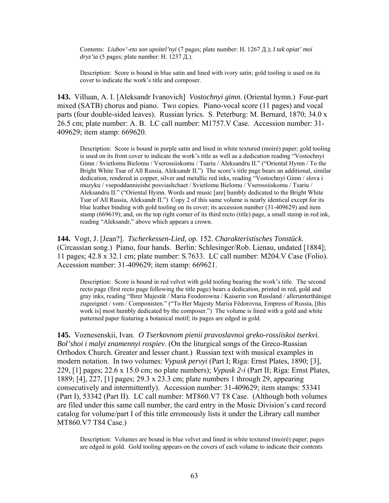Contents: *Liubov'-eto son upoitel'nyi* (7 pages; plate number: H. 1267 Д.); *I tak opiat' moi dryz'ia* (5 pages; plate number: H. 1237 Д.).

Description: Score is bound in blue satin and lined with ivory satin; gold tooling is used on its cover to indicate the work's title and composer.

**143.** Villuan, A. I. [Aleksandr Ivanovich] *Vostochnyi gimn*. (Oriental hymn.) Four-part mixed (SATB) chorus and piano. Two copies. Piano-vocal score (11 pages) and vocal parts (four double-sided leaves). Russian lyrics. S. Peterburg: M. Bernard, 1870; 34.0 x 26.5 cm; plate number: A. B. LC call number: M1757.V Case. Accession number: 31- 409629; item stamp: 669620.

Description: Score is bound in purple satin and lined in white textured (moiré) paper; gold tooling is used on its front cover to indicate the work's title as well as a dedication reading "Vostochnyi Gimn / Svietlomu Bielomu / Vserossiiskomu / Tsariu / Aleksandru II." ("Oriental Hymn / To the Bright White Tsar of All Russia, Aleksandr II.") The score's title page bears an additional, similar dedication, rendered in copper, silver and metallic red inks, reading "Vostochnyi Gimn / slova i muzyku / vsepoddannieishe posviashchaet / Svietlomu Bielomu / Vserossiiskomu / Tsariu / Aleksandru II." ("Oriental Hymn. Words and music [are] humbly dedicated to the Bright White Tsar of All Russia, Aleksandr II.") Copy 2 of this same volume is nearly identical except for its blue leather binding with gold tooling on its cover; its accession number (31-409629) and item stamp (669619); and, on the top right corner of its third recto (title) page, a small stamp in red ink, reading "Aleksandr," above which appears a crown.

**144.** Vogt, J. [Jean?]. *Tscherkessen-Lied,* op. 152. *Charakteristisches Tonstück*. (Circassian song.) Piano, four hands. Berlin: Schlesinger/Rob. Lienau, undated [1884]; 11 pages; 42.8 x 32.1 cm; plate number: S.7633. LC call number: M204.V Case (Folio). Accession number: 31-409629; item stamp: 669621.

Description: Score is bound in red velvet with gold tooling bearing the work's title. The second recto page (first recto page following the title page) bears a dedication, printed in red, gold and gray inks, reading "Ihrer Majestät / Maria Feodorowna / Kaiserin von Russland / allerunterthänigst zugeeignet / vom / Componisten." ("To Her Majesty Mariia Fëdorovna, Empress of Russia, [this work is] most humbly dedicated by the composer.") The volume is lined with a gold and white patterned paper featuring a botanical motif; its pages are edged in gold.

**145.** Voznesenskii, Ivan. *O Tserkovnom pienii pravoslavnoi greko-rossiiskoi tserkvi. Bol'shoi i malyi znamennyi rospiev*. (On the liturgical songs of the Greco-Russian Orthodox Church. Greater and lesser chant.) Russian text with musical examples in modern notation. In two volumes: *Vypusk pervyi* (Part I; Riga: Ernst Plates, 1890; [3], 229, [1] pages; 22.6 x 15.0 cm; no plate numbers); *Vypusk 2-i* (Part II; Riga: Ernst Plates, 1889; [4], 227, [1] pages; 29.3 x 23.3 cm; plate numbers 1 through 29, appearing consecutively and intermittently). Accession number: 31-409629; item stamps: 53341 (Part I), 53342 (Part II). LC call number: MT860.V7 T8 Case. (Although both volumes are filed under this same call number, the card entry in the Music Division's card record catalog for volume/part I of this title erroneously lists it under the Library call number MT860.V7 T84 Case.)

Description: Volumes are bound in blue velvet and lined in white textured (moiré) paper; pages are edged in gold. Gold tooling appears on the covers of each volume to indicate their contents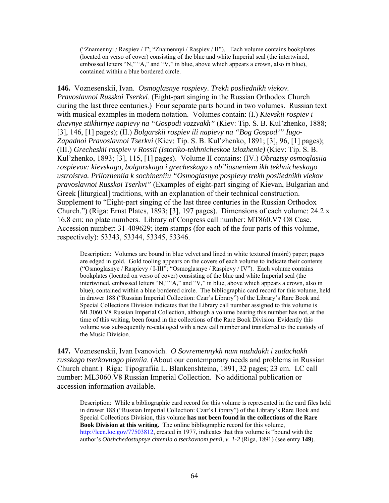("Znamennyi / Raspiev / I"; "Znamennyi / Raspiev / II"). Each volume contains bookplates (located on verso of cover) consisting of the blue and white Imperial seal (the intertwined, embossed letters "N," "A," and "V," in blue, above which appears a crown, also in blue), contained within a blue bordered circle.

**146.** Voznesenskii, Ivan. *Osmoglasnye rospievy. Trekh posliednikh viekov. Pravoslavnoi Russkoi Tserkvi*. (Eight-part singing in the Russian Orthodox Church during the last three centuries.) Four separate parts bound in two volumes. Russian text with musical examples in modern notation. Volumes contain: (I.) *Kievskii rospiev i dnevnye stikhirnye napievy na "Gospodi vozzvakh"* (Kiev: Tip. S. B. Kul'zhenko, 1888; [3], 146, [1] pages); (II.) *Bolgarskii rospiev ili napievy na "Bog Gospod'" Iugo-Zapadnoi Pravoslavnoi Tserkvi* (Kiev: Tip. S. B. Kul'zhenko, 1891; [3], 96, [1] pages); (III.) *Grecheskii rospiev v Rossii (Istoriko-tekhnicheskoe izlozhenie)* (Kiev: Tip. S. B. Kul'zhenko, 1893; [3], 115, [1] pages). Volume II contains: (IV.) *Obraztsy osmoglasiia rospievov: kievskago, bolgarskago i grecheskago s ob"iasneniem ikh tekhnicheskago ustroistva. Prilozheniia k sochineniiu "Osmoglasnye pospievy trekh posliednikh viekov pravoslavnoi Russkoi Tserkvi"* (Examples of eight-part singing of Kievan, Bulgarian and Greek [liturgical] traditions, with an explanation of their technical construction. Supplement to "Eight-part singing of the last three centuries in the Russian Orthodox Church.") (Riga: Ernst Plates, 1893; [3], 197 pages). Dimensions of each volume: 24.2 x 16.8 cm; no plate numbers. Library of Congress call number: MT860.V7 O8 Case. Accession number: 31-409629; item stamps (for each of the four parts of this volume, respectively): 53343, 53344, 53345, 53346.

Description: Volumes are bound in blue velvet and lined in white textured (moiré) paper; pages are edged in gold. Gold tooling appears on the covers of each volume to indicate their contents ("Osmoglasnye / Raspievy / I-III"; "Osmoglasnye / Raspievy / IV"). Each volume contains bookplates (located on verso of cover) consisting of the blue and white Imperial seal (the intertwined, embossed letters "N," "A," and "V," in blue, above which appears a crown, also in blue), contained within a blue bordered circle. The bibliographic card record for this volume, held in drawer 188 ("Russian Imperial Collection: Czar's Library") of the Library's Rare Book and Special Collections Division indicates that the Library call number assigned to this volume is ML3060.V8 Russian Imperial Collection, although a volume bearing this number has not, at the time of this writing, been found in the collections of the Rare Book Division. Evidently this volume was subsequently re-cataloged with a new call number and transferred to the custody of the Music Division.

**147.** Voznesenskii, Ivan Ivanovich. *O Sovremennykh nam nuzhdakh i zadachakh russkago tserkovnago pieniia*. (About our contemporary needs and problems in Russian Church chant.) Riga: Tipografiia L. Blankenshteina, 1891, 32 pages; 23 cm. LC call number: ML3060.V8 Russian Imperial Collection. No additional publication or accession information available.

Description: While a bibliographic card record for this volume is represented in the card files held in drawer 188 ("Russian Imperial Collection: Czar's Library") of the Library's Rare Book and Special Collections Division, this volume **has not been found in the collections of the Rare Book Division at this writing.** The online bibliographic record for this volume, [http://lccn.loc.gov/77503812,](http://lccn.loc.gov/77503812) created in 1977, indicates that this volume is "bound with the author's *Obshchedostupnye chteniia o tserkovnom penii, v. 1-2* (Riga, 1891) (see entry **149**).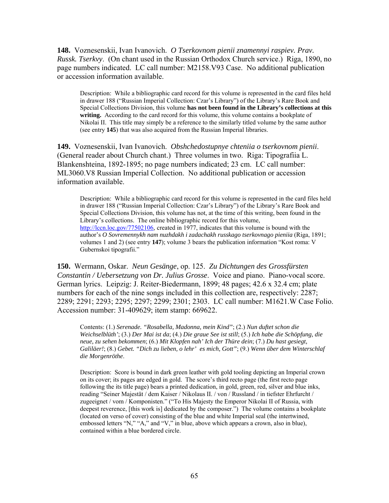**148.** Voznesenskii, Ivan Ivanovich. *O Tserkovnom pienii znamennyi raspiev. Prav. Russk. Tserkvy*. (On chant used in the Russian Orthodox Church service.) Riga, 1890, no page numbers indicated. LC call number: M2158.V93 Case. No additional publication or accession information available.

Description: While a bibliographic card record for this volume is represented in the card files held in drawer 188 ("Russian Imperial Collection: Czar's Library") of the Library's Rare Book and Special Collections Division, this volume **has not been found in the Library's collections at this**  writing. According to the card record for this volume, this volume contains a bookplate of Nikolai II. This title may simply be a reference to the similarly titled volume by the same author (see entry **145**) that was also acquired from the Russian Imperial libraries.

**149.** Voznesenskii, Ivan Ivanovich. *Obshchedostupnye chteniia o tserkovnom pienii*. (General reader about Church chant.) Three volumes in two. Riga: Tipografiia L. Blankenshteina, 1892-1895; no page numbers indicated; 23 cm. LC call number: ML3060.V8 Russian Imperial Collection. No additional publication or accession information available.

Description: While a bibliographic card record for this volume is represented in the card files held in drawer 188 ("Russian Imperial Collection: Czar's Library") of the Library's Rare Book and Special Collections Division, this volume has not, at the time of this writing, been found in the Library's collections. The online bibliographic record for this volume, [http://lccn.loc.gov/77502106,](http://lccn.loc.gov/77502106) created in 1977, indicates that this volume is bound with the author's *O Sovremennykh nam nuzhdakh i zadachakh russkago tserkovnago pieniia* (Riga, 1891; volumes 1 and 2) (see entry **147**); volume 3 bears the publication information "Kost roma: V Gubernskoi tipografii."

**150.** Wermann, Oskar. *Neun Gesänge*, op. 125. *Zu Dichtungen des Grossfürsten Constantin / Uebersetzung von Dr. Julius Grosse*. Voice and piano. Piano-vocal score. German lyrics. Leipzig: J. Reiter-Biedermann, 1899; 48 pages; 42.6 x 32.4 cm; plate numbers for each of the nine songs included in this collection are, respectively: 2287; 2289; 2291; 2293; 2295; 2297; 2299; 2301; 2303. LC call number: M1621.W Case Folio. Accession number: 31-409629; item stamp: 669622.

Contents: (1.) *Serenade. "Rosabella, Madonna, mein Kind"*; (2.) *Nun duftet schon die Weichselblüth'*; (3.) *Der Mai ist da*; (4.) *Die graue See ist still*; (5.) *Ich habe die Schöpfung, die neue, zu sehen bekommen*; (6.) *Mit Klopfen nah' Ich der Thüre dein*; (7.) *Du hast gesiegt, Galiläer!*; (8.) *Gebet. "Dich zu lieben, o lehr' es mich, Gott"*; (9.) *Wenn über dem Winterschlaf die Morgenröthe*.

Description: Score is bound in dark green leather with gold tooling depicting an Imperial crown on its cover; its pages are edged in gold. The score's third recto page (the first recto page following the its title page) bears a printed dedication, in gold, green, red, silver and blue inks, reading "Seiner Majestät / dem Kaiser / Nikolaus II. / von / Russland / in tiefster Ehrfurcht / zugeeignet / vom / Komponisten." ("To His Majesty the Emperor Nikolai II of Russia, with deepest reverence, [this work is] dedicated by the composer.") The volume contains a bookplate (located on verso of cover) consisting of the blue and white Imperial seal (the intertwined, embossed letters "N," "A," and "V," in blue, above which appears a crown, also in blue), contained within a blue bordered circle.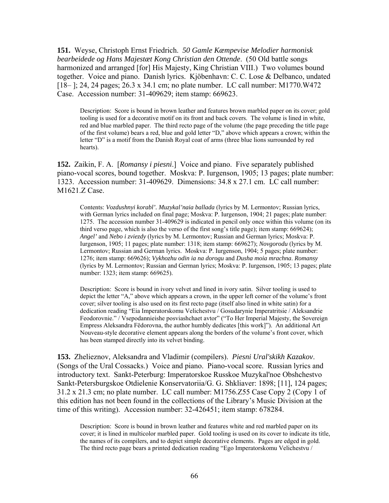**151.** Weyse, Christoph Ernst Friedrich. *50 Gamle Kæmpevise Melodier harmonisk bearbeidede og Hans Majestæt Kong Christian den Ottende*. (50 Old battle songs harmonized and arranged [for] His Majesty, King Christian VIII.) Two volumes bound together. Voice and piano. Danish lyrics. Kjöbenhavn: C. C. Lose & Delbanco, undated [18– ]; 24, 24 pages; 26.3 x 34.1 cm; no plate number. LC call number: M1770.W472 Case. Accession number: 31-409629; item stamp: 669623.

Description: Score is bound in brown leather and features brown marbled paper on its cover; gold tooling is used for a decorative motif on its front and back covers. The volume is lined in white, red and blue marbled paper. The third recto page of the volume (the page preceding the title page of the first volume) bears a red, blue and gold letter "D," above which appears a crown; within the letter "D" is a motif from the Danish Royal coat of arms (three blue lions surrounded by red hearts).

**152.** Zaikin, F. A. [*Romansy i piesni*.] Voice and piano. Five separately published piano-vocal scores, bound together. Moskva: P. Iurgenson, 1905; 13 pages; plate number: 1323. Accession number: 31-409629. Dimensions: 34.8 x 27.1 cm. LC call number: M1621.Z Case.

Contents: *Vozdushnyi korabl'. Muzykal'naia ballada* (lyrics by M. Lermontov; Russian lyrics, with German lyrics included on final page; Moskva: P. Iurgenson, 1904; 21 pages; plate number: 1275. The accession number 31-409629 is indicated in pencil only once within this volume (on its third verso page, which is also the verso of the first song's title page); item stamp: 669624); *Angel'* and *Nebo i zviezdy* (lyrics by M. Lermontov; Russian and German lyrics; Moskva: P. Iurgenson, 1905; 11 pages; plate number: 1318; item stamp: 669627); *Novgorodu* (lyrics by M. Lermontov; Russian and German lyrics. Moskva: P. Iurgenson, 1904; 5 pages; plate number: 1276; item stamp: 669626); *Vykhozhu odin ia na dorogu* and *Dusha moia mrachna*. *Romansy* (lyrics by M. Lermontov; Russian and German lyrics; Moskva: P. Iurgenson, 1905; 13 pages; plate number: 1323; item stamp: 669625).

Description: Score is bound in ivory velvet and lined in ivory satin. Silver tooling is used to depict the letter "A," above which appears a crown, in the upper left corner of the volume's front cover; silver tooling is also used on its first recto page (itself also lined in white satin) for a dedication reading "Eia Imperatorskomu Velichestvu / Gosudarynie Imperatritsie / Aleksandrie Feodorovnie." / Vsepodannieishe posviashchaet avtor" ("To Her Imperial Majesty, the Sovereign Empress Aleksandra Fëdorovna, the author humbly dedicates [this work]"). An additional Art Nouveau-style decorative element appears along the borders of the volume's front cover, which has been stamped directly into its velvet binding.

**153.** Zhelieznov, Aleksandra and Vladimir (compilers). *Piesni Ural'skikh Kazakov*. (Songs of the Ural Cossacks.) Voice and piano. Piano-vocal score. Russian lyrics and introductory text. Sankt-Peterburg: Imperatorskoe Russkoe Muzykal'noe Obshchestvo Sankt-Petersburgskoe Otdielenie Konservatoriia/G. G. Shkliaver: 1898; [11], 124 pages; 31.2 x 21.3 cm; no plate number. LC call number: M1756.Z55 Case Copy 2 (Copy 1 of this edition has not been found in the collections of the Library's Music Division at the time of this writing). Accession number: 32-426451; item stamp: 678284.

Description: Score is bound in brown leather and features white and red marbled paper on its cover; it is lined in multicolor marbled paper. Gold tooling is used on its cover to indicate its title, the names of its compilers, and to depict simple decorative elements. Pages are edged in gold. The third recto page bears a printed dedication reading "Ego Imperatorskomu Velichestvu /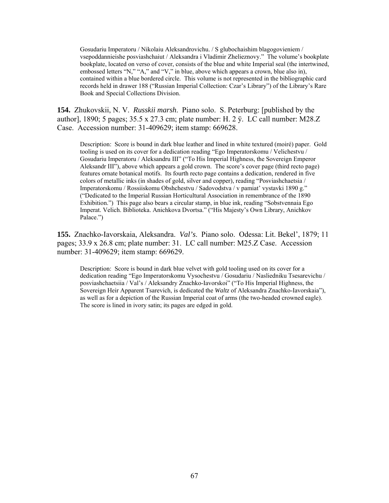Gosudariu Imperatoru / Nikolaiu Aleksandrovichu. / S glubochaishim blagogovieniem / vsepoddannieishe posviashchaiut / Aleksandra i Vladimir Zhelieznovy." The volume's bookplate bookplate, located on verso of cover, consists of the blue and white Imperial seal (the intertwined, embossed letters "N," "A," and "V," in blue, above which appears a crown, blue also in), contained within a blue bordered circle. This volume is not represented in the bibliographic card records held in drawer 188 ("Russian Imperial Collection: Czar's Library") of the Library's Rare Book and Special Collections Division.

**154.** Zhukovskii, N. V. *Russkii marsh*. Piano solo. S. Peterburg: [published by the author], 1890; 5 pages; 35.5 x 27.3 cm; plate number: H. 2 ÿ. LC call number: M28.Z Case. Accession number: 31-409629; item stamp: 669628.

Description: Score is bound in dark blue leather and lined in white textured (moiré) paper. Gold tooling is used on its cover for a dedication reading "Ego Imperatorskomu / Velichestvu / Gosudariu Imperatoru / Aleksandru III" ("To His Imperial Highness, the Sovereign Emperor Aleksandr III"), above which appears a gold crown. The score's cover page (third recto page) features ornate botanical motifs. Its fourth recto page contains a dedication, rendered in five colors of metallic inks (in shades of gold, silver and copper), reading "Posviashchaetsia / Imperatorskomu / Rossiiskomu Obshchestvu / Sadovodstva / v pamiat' vystavki 1890 g." ("Dedicated to the Imperial Russian Horticultural Association in remembrance of the 1890 Exhibition.") This page also bears a circular stamp, in blue ink, reading "Sobstvennaia Ego Imperat. Velich. Biblioteka. Anichkova Dvortsa." ("His Majesty's Own Library, Anichkov Palace.")

**155.** Znachko-Iavorskaia, Aleksandra. *Val's*. Piano solo. Odessa: Lit. Bekel', 1879; 11 pages; 33.9 x 26.8 cm; plate number: 31. LC call number: M25.Z Case. Accession number: 31-409629; item stamp: 669629.

Description: Score is bound in dark blue velvet with gold tooling used on its cover for a dedication reading "Ego Imperatorskomu Vysochestvu / Gosudariu / Nasliedniku Tsesarevichu / posviashchaetsiia / Val's / Aleksandry Znachko-Iavorskoi" ("To His Imperial Highness, the Sovereign Heir Apparent Tsarevich, is dedicated the *Waltz* of Aleksandra Znachko-Iavorskaia"), as well as for a depiction of the Russian Imperial coat of arms (the two-headed crowned eagle). The score is lined in ivory satin; its pages are edged in gold.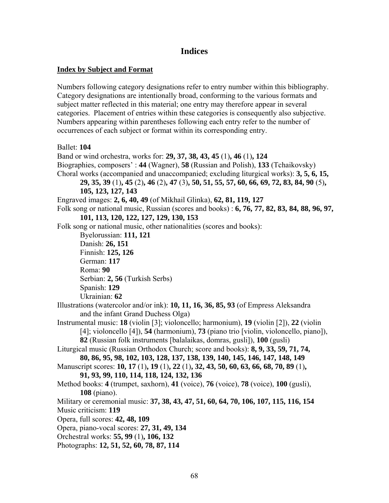# **Indices**

## **Index by Subject and Format**

Numbers following category designations refer to entry number within this bibliography. Category designations are intentionally broad, conforming to the various formats and subject matter reflected in this material; one entry may therefore appear in several categories. Placement of entries within these categories is consequently also subjective. Numbers appearing within parentheses following each entry refer to the number of occurrences of each subject or format within its corresponding entry.

Ballet: **104** Band or wind orchestra, works for: **29, 37, 38, 43, 45** (1)**, 46** (1)**, 124** Biographies, composers' : **44** (Wagner), **58** (Russian and Polish), **133** (Tchaikovsky) Choral works (accompanied and unaccompanied; excluding liturgical works): **3, 5, 6, 15, 29, 35, 39** (1)**, 45** (2)**, 46** (2)**, 47** (3)**, 50, 51, 55, 57, 60, 66, 69, 72, 83, 84, 90** (5)**, 105, 123, 127, 143** Engraved images: **2, 6, 40, 49** (of Mikhail Glinka), **62, 81, 119, 127** Folk song or national music, Russian (scores and books) : **6, 76, 77, 82, 83, 84, 88, 96, 97, 101, 113, 120, 122, 127, 129, 130, 153** Folk song or national music, other nationalities (scores and books): Byelorussian: **111, 121** Danish: **26, 151** Finnish: **125, 126** German: **117**  Roma: **90** Serbian: **2, 56** (Turkish Serbs) Spanish: **129** Ukrainian: **62** Illustrations (watercolor and/or ink): **10, 11, 16, 36, 85, 93** (of Empress Aleksandra and the infant Grand Duchess Olga) Instrumental music: **18** (violin [3]; violoncello; harmonium), **19** (violin [2]), **22** (violin [4]; violoncello [4]), **54** (harmonium), **73** (piano trio [violin, violoncello, piano]), **82** (Russian folk instruments [balalaikas, domras, gusli]), **100** (gusli) Liturgical music (Russian Orthodox Church; score and books): **8, 9, 33, 59, 71, 74, 80, 86, 95, 98, 102, 103, 128, 137, 138, 139, 140, 145, 146, 147, 148, 149** Manuscript scores: **10, 17** (1)**, 19** (1)**, 22** (1)**, 32, 43, 50, 60, 63, 66, 68, 70, 89** (1)**, 91, 93, 99, 110, 114, 118, 124, 132, 136**  Method books: **4** (trumpet, saxhorn), **41** (voice), **76** (voice), **78** (voice), **100** (gusli), **108** (piano). Military or ceremonial music: **37, 38, 43, 47, 51, 60, 64, 70, 106, 107, 115, 116, 154** Music criticism: **119** Opera, full scores: **42, 48, 109** Opera, piano-vocal scores: **27, 31, 49, 134** Orchestral works: **55, 99** (1)**, 106, 132** Photographs: **12, 51, 52, 60, 78, 87, 114**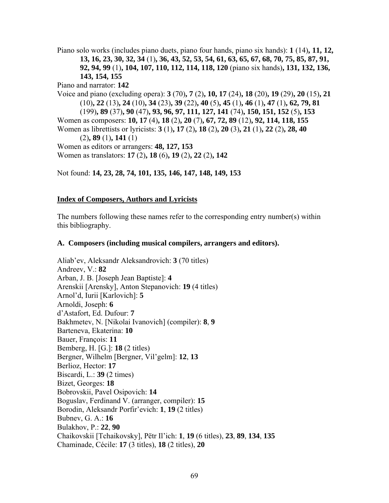Piano solo works (includes piano duets, piano four hands, piano six hands): **1** (14)**, 11, 12, 13, 16, 23, 30, 32, 34** (1)**, 36, 43, 52, 53, 54, 61, 63, 65, 67, 68, 70, 75, 85, 87, 91, 92, 94, 99** (1)**, 104, 107, 110, 112, 114, 118, 120** (piano six hands)**, 131, 132, 136, 143, 154, 155** Piano and narrator: **142**

Voice and piano (excluding opera): **3** (70)**, 7** (2)**, 10, 17** (24)**, 18** (20)**, 19** (29)**, 20** (15)**, 21**  (10)**, 22** (13)**, 24** (10)**, 34** (23)**, 39** (22)**, 40** (5)**, 45** (1)**, 46** (1)**, 47** (1)**, 62, 79, 81**  (199)**, 89** (37)**, 90** (47)**, 93, 96, 97, 111, 127, 141** (74)**, 150, 151, 152** (5)**, 153** Women as composers: **10, 17** (4)**, 18** (2)**, 20** (7)**, 67, 72, 89** (12)**, 92, 114, 118, 155** Women as librettists or lyricists: **3** (1)**, 17** (2)**, 18** (2)**, 20** (3)**, 21** (1)**, 22** (2)**, 28, 40**  (2)**, 89** (1)**, 141** (1) Women as editors or arrangers: **48, 127, 153** Women as translators: **17** (2)**, 18** (6)**, 19** (2)**, 22** (2)**, 142** 

Not found: **14, 23, 28, 74, 101, 135, 146, 147, 148, 149, 153**

# **Index of Composers, Authors and Lyricists**

The numbers following these names refer to the corresponding entry number(s) within this bibliography.

# **A. Composers (including musical compilers, arrangers and editors).**

Aliab'ev, Aleksandr Aleksandrovich: **3** (70 titles) Andreev, V.: **82** Arban, J. B. [Joseph Jean Baptiste]: **4** Arenskii [Arensky], Anton Stepanovich: **19** (4 titles) Arnol'd, Iurii [Karlovich]: **5** Arnoldi, Joseph: **6** d'Astafort, Ed. Dufour: **7** Bakhmetev, N. [Nikolai Ivanovich] (compiler): **8**, **9** Barteneva, Ekaterina: **10** Bauer, François: **11** Bemberg, H. [G.]: **18** (2 titles) Bergner, Wilhelm [Bergner, Vil'gelm]: **12**, **13** Berlioz, Hector: **17**  Biscardi, L.: **39** (2 times) Bizet, Georges: **18** Bobrovskii, Pavel Osipovich: **14** Boguslav, Ferdinand V. (arranger, compiler): **15** Borodin, Aleksandr Porfir'evich: **1**, **19** (2 titles) Bubnev, G. A.: **16** Bulakhov, P.: **22**, **90** Chaikovskii [Tchaikovsky], Pëtr Il'ich: **1**, **19** (6 titles), **23**, **89**, **134**, **135** Chaminade, Cécile: **17** (3 titles), **18** (2 titles), **20**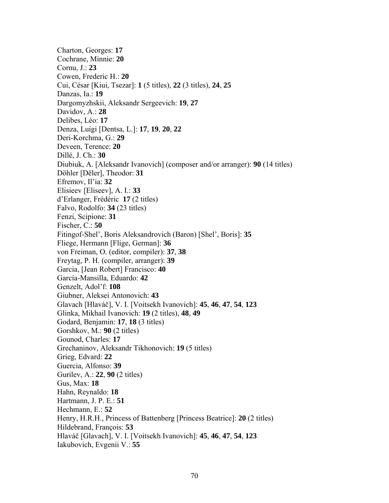Charton, Georges: **17** Cochrane, Minnie: **20** Cornu, J.: **23** Cowen, Frederic H.: **20** Cui, César [Kiui, Tsezar]: **1** (5 titles), **22** (3 titles), **24**, **25** Danzas, Ia.: **19** Dargomyzhskii, Aleksandr Sergeevich: **19**, **27** Davidov, A.: **28** Delibes, Léo: **17** Denza, Luigi [Dentsa, L.]: **17**, **19**, **20**, **22** Deri-Korchma, G.: **29** Deveen, Terence: **20** Dillé, J. Ch.: **30** Diubiuk, A. [Aleksandr Ivanovich] (composer and/or arranger): **90** (14 titles) Döhler [Dëler], Theodor: **31** Efremov, Il'ia: **32** Elisieev [Eliseev], A. I.: **33** d'Erlanger, Frédéric **17** (2 titles) Falvo, Rodolfo: **34** (23 titles) Fenzi, Scipione: **31** Fischer, C.: **50** Fitingof-Shel', Boris Aleksandrovich (Baron) [Shel', Boris]: **35** Fliege, Hermann [Flige, German]: **36** von Freiman, O. (editor, compiler): **37**, **38** Freytag, P. H. (compiler, arranger): **39** Garcia, [Jean Robert] Francisco: **40** García-Mansilla, Eduardo: **42** Genzelt, Adol'f: **108** Giubner, Aleksei Antonovich: **43** Glavach [Hlaváč], V. I. [Voitsekh Ivanovich]: **45**, **46**, **47**, **54**, **123** Glinka, Mikhail Ivanovich: **19** (2 titles), **48**, **49** Godard, Benjamin: **17**, **18** (3 titles) Gorshkov, M.: **90** (2 titles) Gounod, Charles: **17** Grechaninov, Aleksandr Tikhonovich: **19** (5 titles) Grieg, Edvard: **22**  Guercia, Alfonso: **39** Gurilev, A.: **22**, **90** (2 titles) Gus, Max: **18** Hahn, Reynaldo: **18** Hartmann, J. P. E.: **51** Hechmann, E.: **52** Henry, H.R.H., Princess of Battenberg [Princess Beatrice]: **20** (2 titles) Hildebrand, François: **53** Hlaváč [Glavach], V. I. [Voitsekh Ivanovich]: **45**, **46**, **47**, **54**, **123** Iakubovich, Evgenii V.: **55**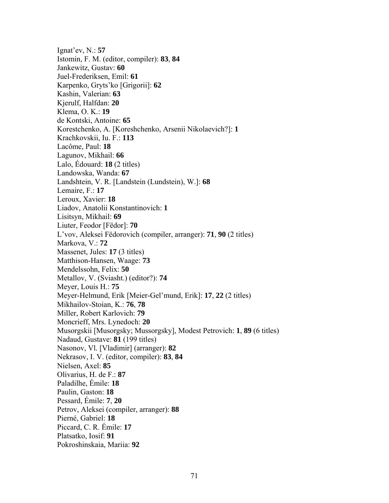Ignat'ev, N.: **57** Istomin, F. M. (editor, compiler): **83**, **84** Jankewitz, Gustav: **60** Juel-Frederiksen, Emil: **61** Karpenko, Gryts'ko [Grigorii]: **62** Kashin, Valerian: **63** Kjerulf, Halfdan: **20** Klema, O. K.: **19** de Kontski, Antoine: **65** Korestchenko, A. [Koreshchenko, Arsenii Nikolaevich?]: **1** Krachkovskii, Iu. F.: **113** Lacôme, Paul: **18** Lagunov, Mikhail: **66** Lalo, Édouard: **18** (2 titles) Landowska, Wanda: **67** Landshtein, V. R. [Landstein (Lundstein), W.]: **68** Lemaire, F.: **17** Leroux, Xavier: **18** Liadov, Anatolii Konstantinovich: **1** Lisitsyn, Mikhail: **69** Liuter, Feodor [Fëdor]: **70** L'vov, Aleksei Fëdorovich (compiler, arranger): **71**, **90** (2 titles) Markova, V.: **72** Massenet, Jules: **17** (3 titles) Matthison-Hansen, Waage: **73** Mendelssohn, Felix: **50** Metallov, V. (Sviasht.) (editor?): **74** Meyer, Louis H.: **75** Meyer-Helmund, Erik [Meier-Gel'mund, Erik]: **17**, **22** (2 titles) Mikhailov-Stoian, K.: **76**, **78** Miller, Robert Karlovich: **79** Moncrieff, Mrs. Lynedoch: **20** Musorgskii [Musorgsky; Mussorgsky], Modest Petrovich: **1**, **89** (6 titles) Nadaud, Gustave: **81** (199 titles) Nasonov, Vl. [Vladimir] (arranger): **82** Nekrasov, I. V. (editor, compiler): **83**, **84** Nielsen, Axel: **85** Olivarius, H. de F.: **87** Paladilhe, Émile: **18** Paulin, Gaston: **18** Pessard, Émile: **7**, **20**  Petrov, Aleksei (compiler, arranger): **88** Pierné, Gabriel: **18** Piccard, C. R. Émile: **17** Platsatko, Iosif: **91** Pokroshinskaia, Mariia: **92**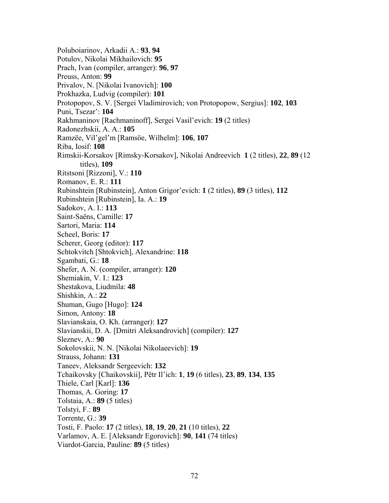Poluboiarinov, Arkadii A.: **93**, **94** Potulov, Nikolai Mikhailovich: **95** Prach, Ivan (compiler, arranger): **96**, **97** Preuss, Anton: **99** Privalov, N. [Nikolai Ivanovich]: **100** Prokhazka, Ludvig (compiler): **101** Protopopov, S. V. [Sergei Vladimirovich; von Protopopow, Sergius]: **102**, **103** Puni, Tsezar': **104** Rakhmaninov [Rachmaninoff], Sergei Vasil'evich: **19** (2 titles) Radonezhskii, A. A.: **105** Ramzëe, Vil'gel'm [Ramsöe, Wilhelm]: **106**, **107** Riba, Iosif: **108** Rimskii-Korsakov [Rimsky-Korsakov], Nikolai Andreevich **1** (2 titles), **22**, **89** (12 titles), **109** Ritstsoni [Rizzoni], V.: **110** Romanov, E. R.: **111** Rubinshtein [Rubinstein], Anton Grigor'evich: **1** (2 titles), **89** (3 titles), **112** Rubinshtein [Rubinstein], Ia. A.: **19** Sadokov, A. I.: **113** Saint-Saëns, Camille: **17** Sartori, Maria: **114** Scheel, Boris: **17** Scherer, Georg (editor): **117** Schtokvitch [Shtokvich], Alexandrine: **118** Sgambati, G.: **18** Shefer, A. N. (compiler, arranger): **120** Shemiakin, V. I.: **123** Shestakova, Liudmila: **48** Shishkin, A.: **22** Shuman, Gugo [Hugo]: **124** Simon, Antony: **18** Slavianskaia, O. Kh. (arranger): **127** Slavianskii, D. A. [Dmitri Aleksandrovich] (compiler): **127** Sleznev, A.: **90** Sokolovskii, N. N. [Nikolai Nikolaeevich]: **19** Strauss, Johann: **131** Taneev, Aleksandr Sergeevich: **132** Tchaikovsky [Chaikovskii], Pëtr Il'ich: **1**, **19** (6 titles), **23**, **89**, **134**, **135** Thiele, Carl [Karl]: **136** Thomas, A. Goring: **17** Tolstaia, A.: **89** (5 titles) Tolstyi, F.: **89**  Torrente, G.: **39** Tosti, F. Paolo: **17** (2 titles), **18**, **19**, **20**, **21** (10 titles), **22** Varlamov, A. E. [Aleksandr Egorovich]: **90**, **141** (74 titles) Viardot-Garcia, Pauline: **89** (5 titles)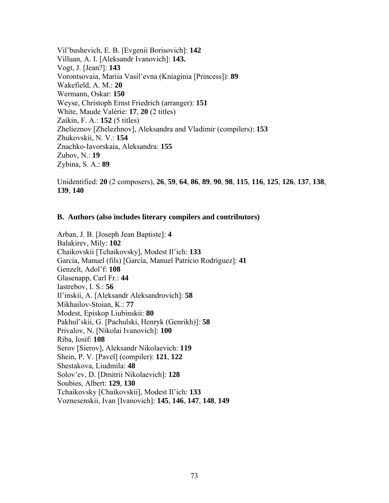Vil'bushevich, E. B. [Evgenii Borisovich]: **142** Villuan, A. I. [Aleksandr Ivanovich]: **143.** Vogt, J. [Jean?]: **143** Vorontsovaia, Mariia Vasil'evna (Kniaginia [Princess]): **89** Wakefield, A. M.: **20** Wermann, Oskar: **150** Weyse, Christoph Ernst Friedrich (arranger): **151** White, Maude Valérie: **17**, **20** (2 titles) Zaikin, F. A.: **152** (5 titles) Zhelieznov [Zhelezhnov], Aleksandra and Vladimir (compilers): **153** Zhukovskii, N. V.: **154** Znachko-Iavorskaia, Aleksandra: **155** Zubov, N.: **19** Zybina, S. A.: **89**

Unidentified: **20** (2 composers), **26**, **59**, **64**, **86**, **89**, **90**, **98**, **115**, **116**, **125**, **126**, **137**, **138**, **139**, **140**

## **B. Authors (also includes literary compilers and contributors)**

Arban, J. B. [Joseph Jean Baptiste]: **4** Balakirev, Mily: **102** Chaikovskii [Tchaikovsky], Modest Il'ich: **133** Garcia, Manuel (fils) [García, Manuel Patricio Rodríguez]: **41** Genzelt, Adol'f: **108** Glasenapp, Carl Fr.: **44** Iastrebov, I. S.: **56** Il'inskii, A. [Aleksandr Aleksandrovich]: **58** Mikhailov-Stoian, K.: **77** Modest, Episkop Liubinskii: **80** Pakhul'skii, G. [Pachulski, Henryk (Genrikh)]: **58** Privalov, N. [Nikolai Ivanovich]: **100** Riba, Iosif: **108** Serov [Sierov], Aleksandr Nikolaevich: **119** Shein, P. V. [Pavel] (compiler): **121**, **122**  Shestakova, Liudmila: **48** Solov'ev, D. [Dmitrii Nikolaevich]: **128** Soubies, Albert: **129**, **130** Tchaikovsky [Chaikovskii], Modest Il'ich: **133** Voznesenskii, Ivan [Ivanovich]: **145**, **146**, **147**, **148**, **149**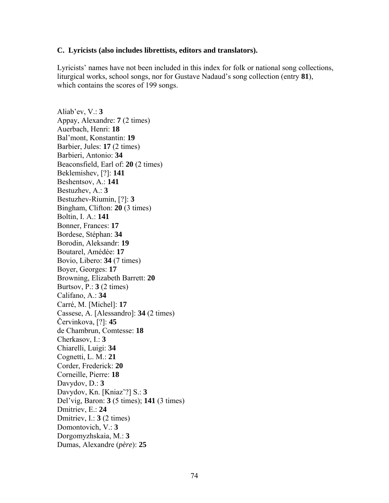## **C. Lyricists (also includes librettists, editors and translators).**

Lyricists' names have not been included in this index for folk or national song collections, liturgical works, school songs, nor for Gustave Nadaud's song collection (entry **81**), which contains the scores of 199 songs.

Aliab'ev, V.: **3** Appay, Alexandre: **7** (2 times) Auerbach, Henri: **18** Bal'mont, Konstantin: **19** Barbier, Jules: **17** (2 times) Barbieri, Antonio: **34** Beaconsfield, Earl of: **20** (2 times) Beklemishev, [?]: **141** Beshentsov, A.: **141** Bestuzhev, A.: **3** Bestuzhev-Riumin, [?]: **3** Bingham, Clifton: **20** (3 times) Boltin, I. A.: **141** Bonner, Frances: **17** Bordese, Stéphan: **34** Borodin, Aleksandr: **19** Boutarel, Amédée: **17** Bovio, Libero: **34** (7 times) Boyer, Georges: **17** Browning, Elizabeth Barrett: **20** Burtsov, P.: **3** (2 times) Califano, A.: **34** Carré, M. [Michel]: **17** Cassese, A. [Alessandro]: **34** (2 times) Červinkova, [?]: **45** de Chambrun, Comtesse: **18** Cherkasov, I.: **3** Chiarelli, Luigi: **34** Cognetti, L. M.: **21** Corder, Frederick: **20** Corneille, Pierre: **18** Davydov, D.: **3** Davydov, Kn. [Kniaz'?] S.: **3** Del'vig, Baron: **3** (5 times); **141** (3 times) Dmitriev, E.: **24** Dmitriev, I.: **3** (2 times) Domontovich, V.: **3** Dorgomyzhskaia, M.: **3** Dumas, Alexandre (*père*): **25**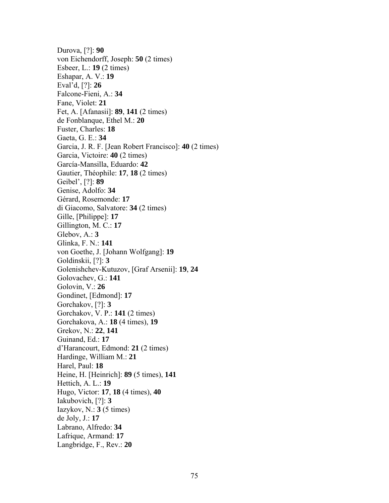Durova, [?]: **90** von Eichendorff, Joseph: **50** (2 times) Esbeer, L.: **19** (2 times) Eshapar, A. V.: **19** Eval'd, [?]: **26** Falcone-Fieni, A.: **34** Fane, Violet: **21** Fet, A. [Afanasii]: **89**, **141** (2 times) de Fonblanque, Ethel M.: **20** Fuster, Charles: **18** Gaeta, G. E.: **34** Garcia, J. R. F. [Jean Robert Francisco]: **40** (2 times) Garcia, Victoire: **40** (2 times) García-Mansilla, Eduardo: **42** Gautier, Théophile: **17**, **18** (2 times) Geibel', [?]: **89** Genise, Adolfo: **34** Gérard, Rosemonde: **17** di Giacomo, Salvatore: **34** (2 times) Gille, [Philippe]: **17** Gillington, M. C.: **17** Glebov, A.: **3** Glinka, F. N.: **141** von Goethe, J. [Johann Wolfgang]: **19** Goldinskii, [?]: **3** Golenishchev-Kutuzov, [Graf Arsenii]: **19**, **24** Golovachev, G.: **141** Golovin, V.: **26** Gondinet, [Edmond]: **17** Gorchakov, [?]: **3** Gorchakov, V. P.: **141** (2 times) Gorchakova, A.: **18** (4 times), **19** Grekov, N.: **22**, **141** Guinand, Ed.: **17** d'Harancourt, Edmond: **21** (2 times) Hardinge, William M.: **21** Harel, Paul: **18** Heine, H. [Heinrich]: **89** (5 times), **141** Hettich, A. L.: **19** Hugo, Victor: **17**, **18** (4 times), **40** Iakubovich, [?]: **3** Iazykov, N.:  $3(5 \text{ times})$ de Joly, J.: **17** Labrano, Alfredo: **34** Lafrique, Armand: **17** Langbridge, F., Rev.: **20**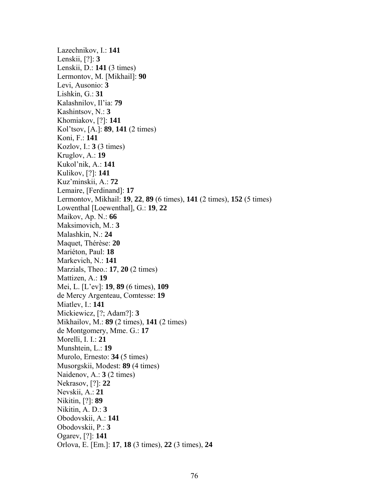Lazechnikov, I.: **141** Lenskii, [?]: **3** Lenskii, D.: **141** (3 times) Lermontov, M. [Mikhail]: **90** Levi, Ausonio: **3** Lishkin, G.: **31** Kalashnilov, Il'ia: **79** Kashintsov, N.: **3** Khomiakov, [?]: **141** Kol'tsov, [A.]: **89**, **141** (2 times) Koni, F.: **141** Kozlov, I.: **3** (3 times) Kruglov, A.: **19** Kukol'nik, A.: **141** Kulikov, [?]: **141** Kuz'minskii, A.: **72** Lemaire, [Ferdinand]: **17** Lermontov, Mikhail: **19**, **22**, **89** (6 times), **141** (2 times), **152** (5 times) Lowenthal [Loewenthal], G.: **19**, **22** Maikov, Ap. N.: **66** Maksimovich, M.: **3** Malashkin, N.: **24** Maquet, Thérèse: **20** Mariéton, Paul: **18** Markevich, N.: **141** Marzials, Theo.: **17**, **20** (2 times) Mattizen, A.: **19** Mei, L. [L'ev]: **19**, **89** (6 times), **109** de Mercy Argenteau, Comtesse: **19** Miatlev, I.: **141** Mickiewicz, [?; Adam?]: **3** Mikhailov, M.: **89** (2 times), **141** (2 times) de Montgomery, Mme. G.: **17** Morelli, I. I.: **21** Munshtein, L.: **19** Murolo, Ernesto: **34** (5 times) Musorgskii, Modest: **89** (4 times) Naidenov, A.: **3** (2 times) Nekrasov, [?]: **22** Nevskii, A.: **21** Nikitin, [?]: **89** Nikitin, A. D.: **3** Obodovskii, A.: **141** Obodovskii, P.: **3** Ogarev, [?]: **141** Orlova, E. [Em.]: **17**, **18** (3 times), **22** (3 times), **24**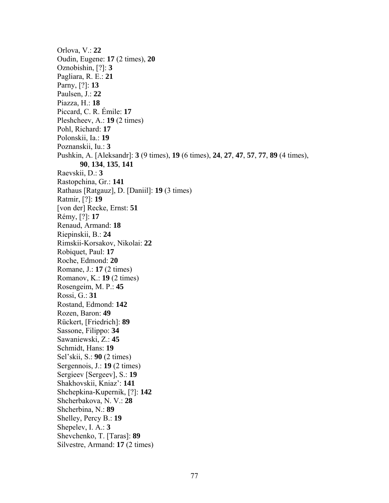Orlova, V.: **22** Oudin, Eugene: **17** (2 times), **20** Oznobishin, [?]: **3** Pagliara, R. E.: **21** Parny, [?]: **13** Paulsen, J.: **22** Piazza, H.: **18** Piccard, C. R. Émile: **17** Pleshcheev, A.: **19** (2 times) Pohl, Richard: **17** Polonskii, Ia.: **19** Poznanskii, Iu.: **3** Pushkin, A. [Aleksandr]: **3** (9 times), **19** (6 times), **24**, **27**, **47**, **57**, **77**, **89** (4 times), **90**, **134**, **135**, **141** Raevskii, D.: **3** Rastopchina, Gr.: **141** Rathaus [Ratgauz], D. [Daniil]: **19** (3 times) Ratmir, [?]: **19** [von der] Recke, Ernst: **51** Rémy, [?]: **17** Renaud, Armand: **18** Riepinskii, B.: **24** Rimskii-Korsakov, Nikolai: **22** Robiquet, Paul: **17** Roche, Edmond: **20** Romane, J.: **17** (2 times) Romanov, K.: **19** (2 times) Rosengeim, M. P.: **45** Rossi, G.: **31** Rostand, Edmond: **142** Rozen, Baron: **49** Rückert, [Friedrich]: **89** Sassone, Filippo: **34** Sawaniewski, Z.: **45** Schmidt, Hans: **19** Sel'skii, S.: **90** (2 times) Sergennois, J.: **19** (2 times) Sergieev [Sergeev], S.: **19** Shakhovskii, Kniaz': **141** Shchepkina-Kupernik, [?]: **142** Shcherbakova, N. V.: **28** Shcherbina, N.: **89** Shelley, Percy B.: **19** Shepelev, I. A.: **3** Shevchenko, T. [Taras]: **89** Silvestre, Armand: **17** (2 times)